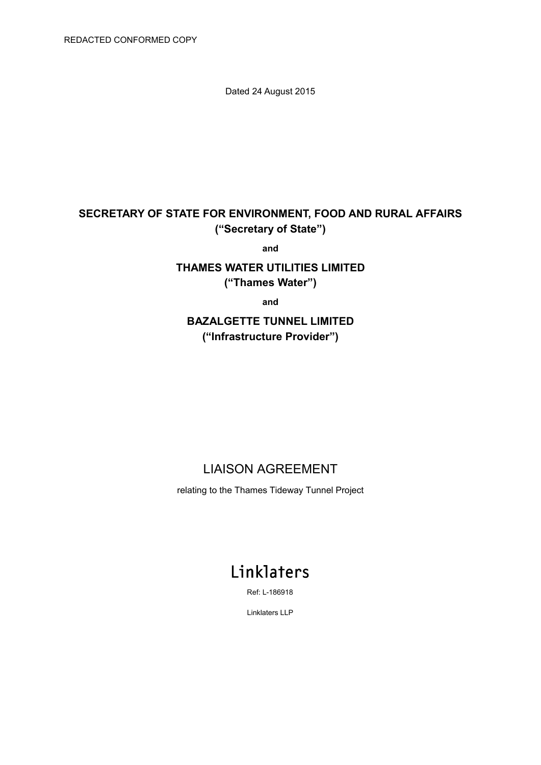Dated 24 August 2015

# **SECRETARY OF STATE FOR ENVIRONMENT, FOOD AND RURAL AFFAIRS ("Secretary of State")**

**and**

# **THAMES WATER UTILITIES LIMITED ("Thames Water")**

**and**

# **BAZALGETTE TUNNEL LIMITED ("Infrastructure Provider")**

# LIAISON AGREEMENT

relating to the Thames Tideway Tunnel Project

# Linklaters

Ref: L-186918

Linklaters LLP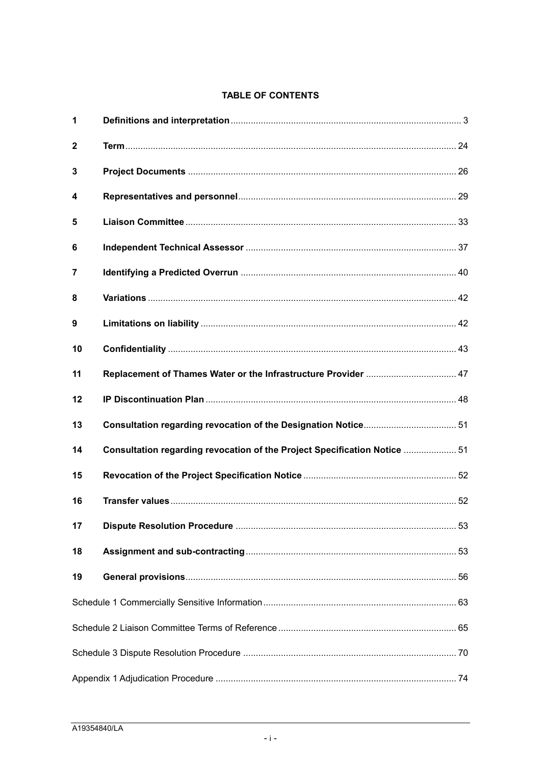# **TABLE OF CONTENTS**

| $\mathbf 1$             |                                                                           |  |  |
|-------------------------|---------------------------------------------------------------------------|--|--|
| $\mathbf{2}$            |                                                                           |  |  |
| 3                       |                                                                           |  |  |
| $\overline{\mathbf{4}}$ |                                                                           |  |  |
| 5                       |                                                                           |  |  |
| 6                       |                                                                           |  |  |
| 7                       |                                                                           |  |  |
| 8                       |                                                                           |  |  |
| 9                       |                                                                           |  |  |
| 10                      |                                                                           |  |  |
| 11                      | Replacement of Thames Water or the Infrastructure Provider  47            |  |  |
| 12                      |                                                                           |  |  |
| 13                      |                                                                           |  |  |
| 14                      | Consultation regarding revocation of the Project Specification Notice  51 |  |  |
| 15                      |                                                                           |  |  |
| 16                      |                                                                           |  |  |
| 17                      |                                                                           |  |  |
| 18                      |                                                                           |  |  |
| 19                      |                                                                           |  |  |
|                         |                                                                           |  |  |
|                         |                                                                           |  |  |
|                         |                                                                           |  |  |
|                         |                                                                           |  |  |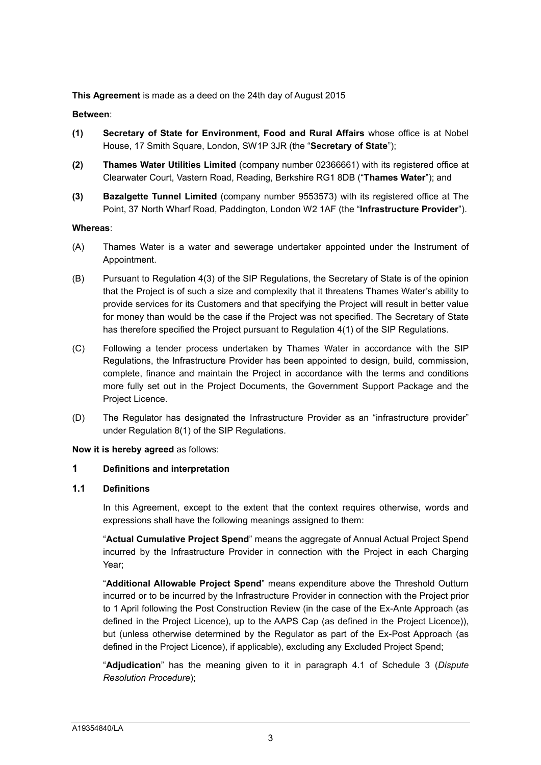**This Agreement** is made as a deed on the 24th day of August 2015

#### **Between**:

- **(1) Secretary of State for Environment, Food and Rural Affairs** whose office is at Nobel House, 17 Smith Square, London, SW1P 3JR (the "**Secretary of State**");
- **(2) Thames Water Utilities Limited** (company number 02366661) with its registered office at Clearwater Court, Vastern Road, Reading, Berkshire RG1 8DB ("**Thames Water**"); and
- **(3) Bazalgette Tunnel Limited** (company number 9553573) with its registered office at The Point, 37 North Wharf Road, Paddington, London W2 1AF (the "**Infrastructure Provider**").

#### **Whereas**:

- (A) Thames Water is a water and sewerage undertaker appointed under the Instrument of Appointment.
- (B) Pursuant to Regulation 4(3) of the SIP Regulations, the Secretary of State is of the opinion that the Project is of such a size and complexity that it threatens Thames Water's ability to provide services for its Customers and that specifying the Project will result in better value for money than would be the case if the Project was not specified. The Secretary of State has therefore specified the Project pursuant to Regulation 4(1) of the SIP Regulations.
- (C) Following a tender process undertaken by Thames Water in accordance with the SIP Regulations, the Infrastructure Provider has been appointed to design, build, commission, complete, finance and maintain the Project in accordance with the terms and conditions more fully set out in the Project Documents, the Government Support Package and the Project Licence.
- (D) The Regulator has designated the Infrastructure Provider as an "infrastructure provider" under Regulation 8(1) of the SIP Regulations.

**Now it is hereby agreed** as follows:

# <span id="page-3-0"></span>**1 Definitions and interpretation**

# **1.1 Definitions**

In this Agreement, except to the extent that the context requires otherwise, words and expressions shall have the following meanings assigned to them:

"**Actual Cumulative Project Spend**" means the aggregate of Annual Actual Project Spend incurred by the Infrastructure Provider in connection with the Project in each Charging Year;

"**Additional Allowable Project Spend**" means expenditure above the Threshold Outturn incurred or to be incurred by the Infrastructure Provider in connection with the Project prior to 1 April following the Post Construction Review (in the case of the Ex-Ante Approach (as defined in the Project Licence), up to the AAPS Cap (as defined in the Project Licence)), but (unless otherwise determined by the Regulator as part of the Ex-Post Approach (as defined in the Project Licence), if applicable), excluding any Excluded Project Spend;

"**Adjudication**" has the meaning given to it in paragraph 4.1 of Schedule 3 (*Dispute Resolution Procedure*);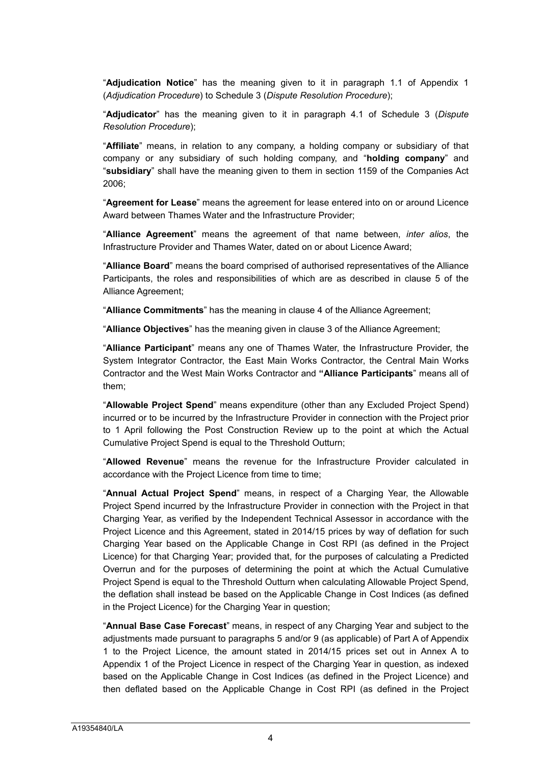"**Adjudication Notice**" has the meaning given to it in paragraph 1.1 of Appendix 1 (*Adjudication Procedure*) to Schedule 3 (*Dispute Resolution Procedure*);

"**Adjudicator**" has the meaning given to it in paragraph 4.1 of Schedule 3 (*Dispute Resolution Procedure*);

"**Affiliate**" means, in relation to any company, a holding company or subsidiary of that company or any subsidiary of such holding company, and "**holding company**" and "**subsidiary**" shall have the meaning given to them in section 1159 of the Companies Act 2006;

"**Agreement for Lease**" means the agreement for lease entered into on or around Licence Award between Thames Water and the Infrastructure Provider;

"**Alliance Agreement**" means the agreement of that name between, *inter alios*, the Infrastructure Provider and Thames Water, dated on or about Licence Award;

"**Alliance Board**" means the board comprised of authorised representatives of the Alliance Participants, the roles and responsibilities of which are as described in clause 5 of the Alliance Agreement;

"**Alliance Commitments**" has the meaning in clause 4 of the Alliance Agreement;

"**Alliance Objectives**" has the meaning given in clause 3 of the Alliance Agreement;

"**Alliance Participant**" means any one of Thames Water, the Infrastructure Provider, the System Integrator Contractor, the East Main Works Contractor, the Central Main Works Contractor and the West Main Works Contractor and **"Alliance Participants**" means all of them;

"**Allowable Project Spend**" means expenditure (other than any Excluded Project Spend) incurred or to be incurred by the Infrastructure Provider in connection with the Project prior to 1 April following the Post Construction Review up to the point at which the Actual Cumulative Project Spend is equal to the Threshold Outturn;

"**Allowed Revenue**" means the revenue for the Infrastructure Provider calculated in accordance with the Project Licence from time to time;

"**Annual Actual Project Spend**" means, in respect of a Charging Year, the Allowable Project Spend incurred by the Infrastructure Provider in connection with the Project in that Charging Year, as verified by the Independent Technical Assessor in accordance with the Project Licence and this Agreement, stated in 2014/15 prices by way of deflation for such Charging Year based on the Applicable Change in Cost RPI (as defined in the Project Licence) for that Charging Year; provided that, for the purposes of calculating a Predicted Overrun and for the purposes of determining the point at which the Actual Cumulative Project Spend is equal to the Threshold Outturn when calculating Allowable Project Spend, the deflation shall instead be based on the Applicable Change in Cost Indices (as defined in the Project Licence) for the Charging Year in question;

"**Annual Base Case Forecast**" means, in respect of any Charging Year and subject to the adjustments made pursuant to paragraphs 5 and/or 9 (as applicable) of Part A of Appendix 1 to the Project Licence, the amount stated in 2014/15 prices set out in Annex A to Appendix 1 of the Project Licence in respect of the Charging Year in question, as indexed based on the Applicable Change in Cost Indices (as defined in the Project Licence) and then deflated based on the Applicable Change in Cost RPI (as defined in the Project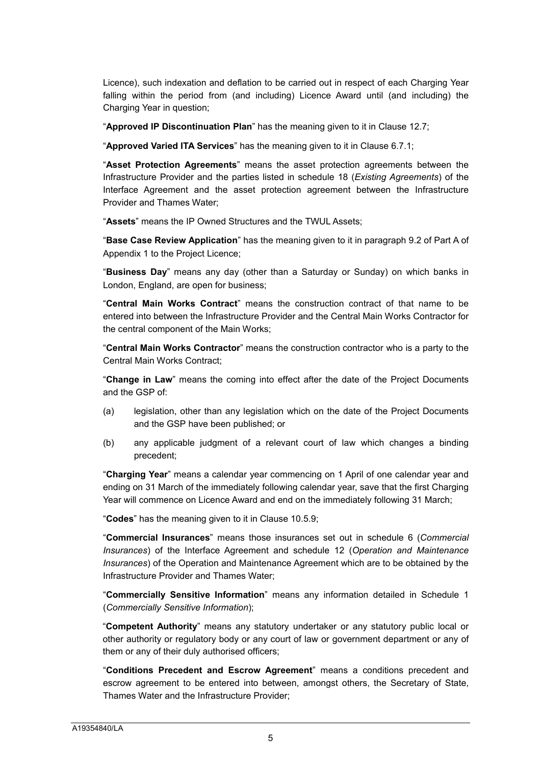Licence), such indexation and deflation to be carried out in respect of each Charging Year falling within the period from (and including) Licence Award until (and including) the Charging Year in question;

"**Approved IP Discontinuation Plan**" has the meaning given to it in Clause 12.7;

"**Approved Varied ITA Services**" has the meaning given to it in Clause 6.7.1;

"**Asset Protection Agreements**" means the asset protection agreements between the Infrastructure Provider and the parties listed in schedule 18 (*Existing Agreements*) of the Interface Agreement and the asset protection agreement between the Infrastructure Provider and Thames Water;

"**Assets**" means the IP Owned Structures and the TWUL Assets;

"**Base Case Review Application**" has the meaning given to it in paragraph 9.2 of Part A of Appendix 1 to the Project Licence;

"**Business Day**" means any day (other than a Saturday or Sunday) on which banks in London, England, are open for business;

"**Central Main Works Contract**" means the construction contract of that name to be entered into between the Infrastructure Provider and the Central Main Works Contractor for the central component of the Main Works;

"**Central Main Works Contractor**" means the construction contractor who is a party to the Central Main Works Contract;

"**Change in Law**" means the coming into effect after the date of the Project Documents and the GSP of:

- (a) legislation, other than any legislation which on the date of the Project Documents and the GSP have been published; or
- (b) any applicable judgment of a relevant court of law which changes a binding precedent;

"**Charging Year**" means a calendar year commencing on 1 April of one calendar year and ending on 31 March of the immediately following calendar year, save that the first Charging Year will commence on Licence Award and end on the immediately following 31 March;

"**Codes**" has the meaning given to it in Clause 10.5.9;

"**Commercial Insurances**" means those insurances set out in schedule 6 (*Commercial Insurances*) of the Interface Agreement and schedule 12 (*Operation and Maintenance Insurances*) of the Operation and Maintenance Agreement which are to be obtained by the Infrastructure Provider and Thames Water;

"**Commercially Sensitive Information**" means any information detailed in Schedule 1 (*Commercially Sensitive Information*);

"**Competent Authority**" means any statutory undertaker or any statutory public local or other authority or regulatory body or any court of law or government department or any of them or any of their duly authorised officers;

"**Conditions Precedent and Escrow Agreement**" means a conditions precedent and escrow agreement to be entered into between, amongst others, the Secretary of State, Thames Water and the Infrastructure Provider;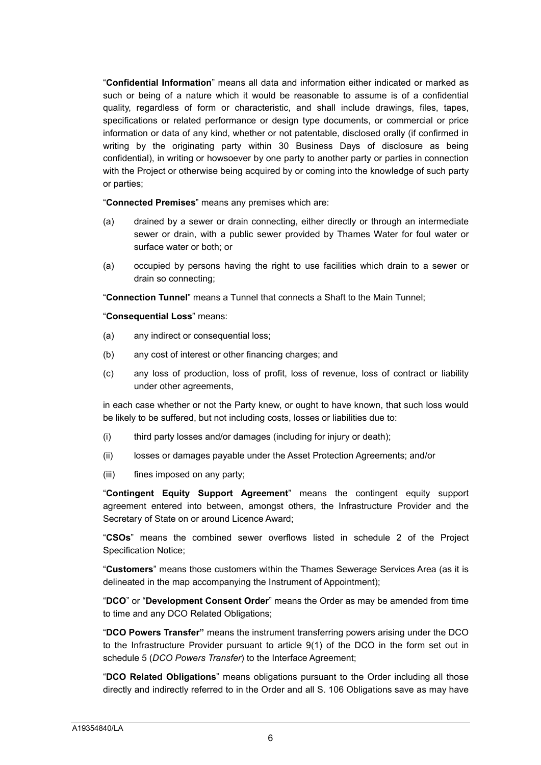"**Confidential Information**" means all data and information either indicated or marked as such or being of a nature which it would be reasonable to assume is of a confidential quality, regardless of form or characteristic, and shall include drawings, files, tapes, specifications or related performance or design type documents, or commercial or price information or data of any kind, whether or not patentable, disclosed orally (if confirmed in writing by the originating party within 30 Business Days of disclosure as being confidential), in writing or howsoever by one party to another party or parties in connection with the Project or otherwise being acquired by or coming into the knowledge of such party or parties;

"**Connected Premises**" means any premises which are:

- (a) drained by a sewer or drain connecting, either directly or through an intermediate sewer or drain, with a public sewer provided by Thames Water for foul water or surface water or both; or
- (a) occupied by persons having the right to use facilities which drain to a sewer or drain so connecting;

"**Connection Tunnel**" means a Tunnel that connects a Shaft to the Main Tunnel;

#### "**Consequential Loss**" means:

- (a) any indirect or consequential loss;
- (b) any cost of interest or other financing charges; and
- (c) any loss of production, loss of profit, loss of revenue, loss of contract or liability under other agreements,

in each case whether or not the Party knew, or ought to have known, that such loss would be likely to be suffered, but not including costs, losses or liabilities due to:

- (i) third party losses and/or damages (including for injury or death);
- (ii) losses or damages payable under the Asset Protection Agreements; and/or
- (iii) fines imposed on any party;

"**Contingent Equity Support Agreement**" means the contingent equity support agreement entered into between, amongst others, the Infrastructure Provider and the Secretary of State on or around Licence Award;

"**CSOs**" means the combined sewer overflows listed in schedule 2 of the Project Specification Notice;

"**Customers**" means those customers within the Thames Sewerage Services Area (as it is delineated in the map accompanying the Instrument of Appointment);

"**DCO**" or "**Development Consent Order**" means the Order as may be amended from time to time and any DCO Related Obligations;

"**DCO Powers Transfer"** means the instrument transferring powers arising under the DCO to the Infrastructure Provider pursuant to article 9(1) of the DCO in the form set out in schedule 5 (*DCO Powers Transfer*) to the Interface Agreement;

"**DCO Related Obligations**" means obligations pursuant to the Order including all those directly and indirectly referred to in the Order and all S. 106 Obligations save as may have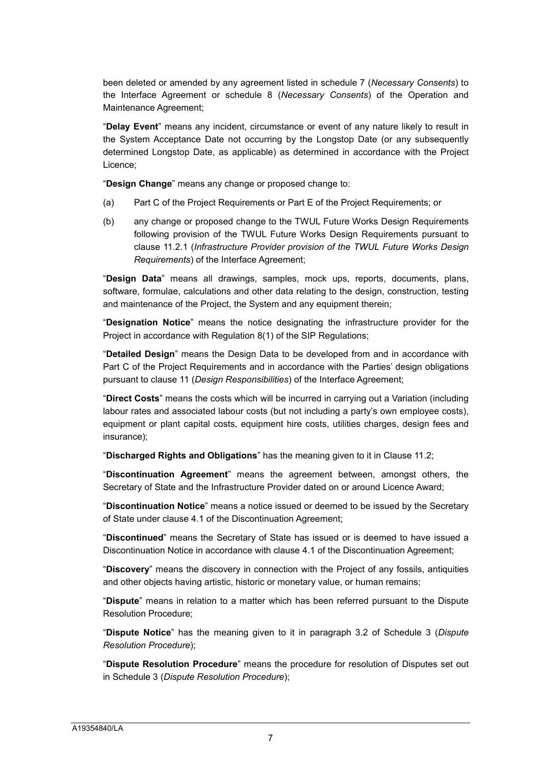been deleted or amended by any agreement listed in schedule 7 (*Necessary Consents*) to the Interface Agreement or schedule 8 (*Necessary Consents*) of the Operation and Maintenance Agreement;

"**Delay Event**" means any incident, circumstance or event of any nature likely to result in the System Acceptance Date not occurring by the Longstop Date (or any subsequently determined Longstop Date, as applicable) as determined in accordance with the Project Licence;

"**Design Change**" means any change or proposed change to:

- (a) Part C of the Project Requirements or Part E of the Project Requirements; or
- (b) any change or proposed change to the TWUL Future Works Design Requirements following provision of the TWUL Future Works Design Requirements pursuant to clause 11.2.1 (*Infrastructure Provider provision of the TWUL Future Works Design Requirements*) of the Interface Agreement;

"**Design Data**" means all drawings, samples, mock ups, reports, documents, plans, software, formulae, calculations and other data relating to the design, construction, testing and maintenance of the Project, the System and any equipment therein;

"**Designation Notice**" means the notice designating the infrastructure provider for the Project in accordance with Regulation 8(1) of the SIP Regulations;

"**Detailed Design**" means the Design Data to be developed from and in accordance with Part C of the Project Requirements and in accordance with the Parties' design obligations pursuant to clause 11 (*Design Responsibilities*) of the Interface Agreement;

"**Direct Costs**" means the costs which will be incurred in carrying out a Variation (including labour rates and associated labour costs (but not including a party's own employee costs), equipment or plant capital costs, equipment hire costs, utilities charges, design fees and insurance);

"**Discharged Rights and Obligations**" has the meaning given to it in Clause 11.2;

"**Discontinuation Agreement**" means the agreement between, amongst others, the Secretary of State and the Infrastructure Provider dated on or around Licence Award;

"**Discontinuation Notice**" means a notice issued or deemed to be issued by the Secretary of State under clause 4.1 of the Discontinuation Agreement;

"**Discontinued**" means the Secretary of State has issued or is deemed to have issued a Discontinuation Notice in accordance with clause 4.1 of the Discontinuation Agreement;

"**Discovery**" means the discovery in connection with the Project of any fossils, antiquities and other objects having artistic, historic or monetary value, or human remains;

"**Dispute**" means in relation to a matter which has been referred pursuant to the Dispute Resolution Procedure;

"**Dispute Notice**" has the meaning given to it in paragraph 3.2 of Schedule 3 (*Dispute Resolution Procedure*);

"**Dispute Resolution Procedure**" means the procedure for resolution of Disputes set out in Schedule 3 (*Dispute Resolution Procedure*);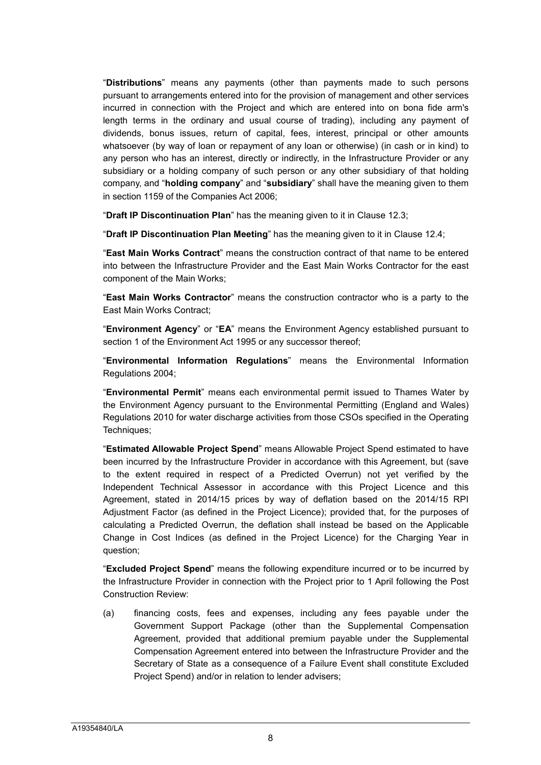"**Distributions**" means any payments (other than payments made to such persons pursuant to arrangements entered into for the provision of management and other services incurred in connection with the Project and which are entered into on bona fide arm's length terms in the ordinary and usual course of trading), including any payment of dividends, bonus issues, return of capital, fees, interest, principal or other amounts whatsoever (by way of loan or repayment of any loan or otherwise) (in cash or in kind) to any person who has an interest, directly or indirectly, in the Infrastructure Provider or any subsidiary or a holding company of such person or any other subsidiary of that holding company, and "**holding company**" and "**subsidiary**" shall have the meaning given to them in section 1159 of the Companies Act 2006;

"**Draft IP Discontinuation Plan**" has the meaning given to it in Clause 12.3;

"**Draft IP Discontinuation Plan Meeting**" has the meaning given to it in Clause 12.4;

"**East Main Works Contract**" means the construction contract of that name to be entered into between the Infrastructure Provider and the East Main Works Contractor for the east component of the Main Works;

"**East Main Works Contractor**" means the construction contractor who is a party to the East Main Works Contract;

"**Environment Agency**" or "**EA**" means the Environment Agency established pursuant to section 1 of the Environment Act 1995 or any successor thereof;

"**Environmental Information Regulations**" means the Environmental Information Regulations 2004;

"**Environmental Permit**" means each environmental permit issued to Thames Water by the Environment Agency pursuant to the Environmental Permitting (England and Wales) Regulations 2010 for water discharge activities from those CSOs specified in the Operating Techniques;

"**Estimated Allowable Project Spend**" means Allowable Project Spend estimated to have been incurred by the Infrastructure Provider in accordance with this Agreement, but (save to the extent required in respect of a Predicted Overrun) not yet verified by the Independent Technical Assessor in accordance with this Project Licence and this Agreement, stated in 2014/15 prices by way of deflation based on the 2014/15 RPI Adjustment Factor (as defined in the Project Licence); provided that, for the purposes of calculating a Predicted Overrun, the deflation shall instead be based on the Applicable Change in Cost Indices (as defined in the Project Licence) for the Charging Year in question;

"**Excluded Project Spend**" means the following expenditure incurred or to be incurred by the Infrastructure Provider in connection with the Project prior to 1 April following the Post Construction Review:

(a) financing costs, fees and expenses, including any fees payable under the Government Support Package (other than the Supplemental Compensation Agreement, provided that additional premium payable under the Supplemental Compensation Agreement entered into between the Infrastructure Provider and the Secretary of State as a consequence of a Failure Event shall constitute Excluded Project Spend) and/or in relation to lender advisers;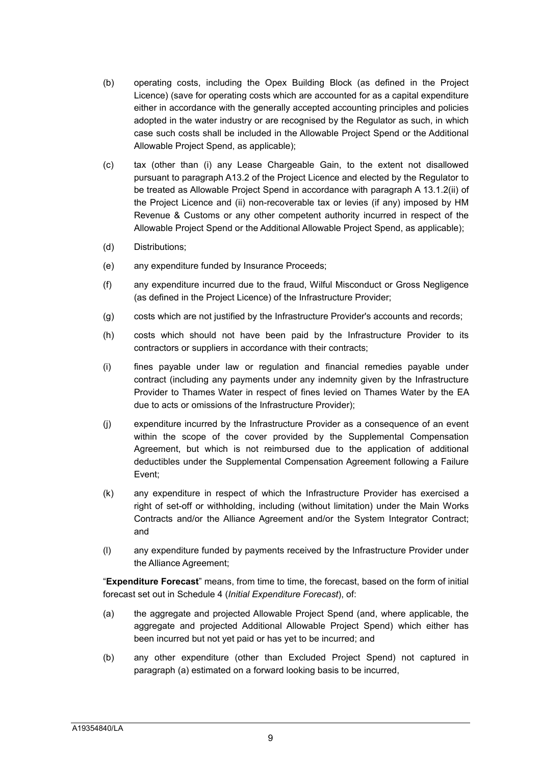- (b) operating costs, including the Opex Building Block (as defined in the Project Licence) (save for operating costs which are accounted for as a capital expenditure either in accordance with the generally accepted accounting principles and policies adopted in the water industry or are recognised by the Regulator as such, in which case such costs shall be included in the Allowable Project Spend or the Additional Allowable Project Spend, as applicable);
- (c) tax (other than (i) any Lease Chargeable Gain, to the extent not disallowed pursuant to paragraph A13.2 of the Project Licence and elected by the Regulator to be treated as Allowable Project Spend in accordance with paragraph A 13.1.2(ii) of the Project Licence and (ii) non-recoverable tax or levies (if any) imposed by HM Revenue & Customs or any other competent authority incurred in respect of the Allowable Project Spend or the Additional Allowable Project Spend, as applicable);
- (d) Distributions;
- (e) any expenditure funded by Insurance Proceeds;
- (f) any expenditure incurred due to the fraud, Wilful Misconduct or Gross Negligence (as defined in the Project Licence) of the Infrastructure Provider;
- (g) costs which are not justified by the Infrastructure Provider's accounts and records;
- (h) costs which should not have been paid by the Infrastructure Provider to its contractors or suppliers in accordance with their contracts;
- (i) fines payable under law or regulation and financial remedies payable under contract (including any payments under any indemnity given by the Infrastructure Provider to Thames Water in respect of fines levied on Thames Water by the EA due to acts or omissions of the Infrastructure Provider);
- (j) expenditure incurred by the Infrastructure Provider as a consequence of an event within the scope of the cover provided by the Supplemental Compensation Agreement, but which is not reimbursed due to the application of additional deductibles under the Supplemental Compensation Agreement following a Failure Event;
- (k) any expenditure in respect of which the Infrastructure Provider has exercised a right of set-off or withholding, including (without limitation) under the Main Works Contracts and/or the Alliance Agreement and/or the System Integrator Contract; and
- (l) any expenditure funded by payments received by the Infrastructure Provider under the Alliance Agreement;

"**Expenditure Forecast**" means, from time to time, the forecast, based on the form of initial forecast set out in Schedule 4 (*Initial Expenditure Forecast*), of:

- (a) the aggregate and projected Allowable Project Spend (and, where applicable, the aggregate and projected Additional Allowable Project Spend) which either has been incurred but not yet paid or has yet to be incurred; and
- (b) any other expenditure (other than Excluded Project Spend) not captured in paragraph (a) estimated on a forward looking basis to be incurred,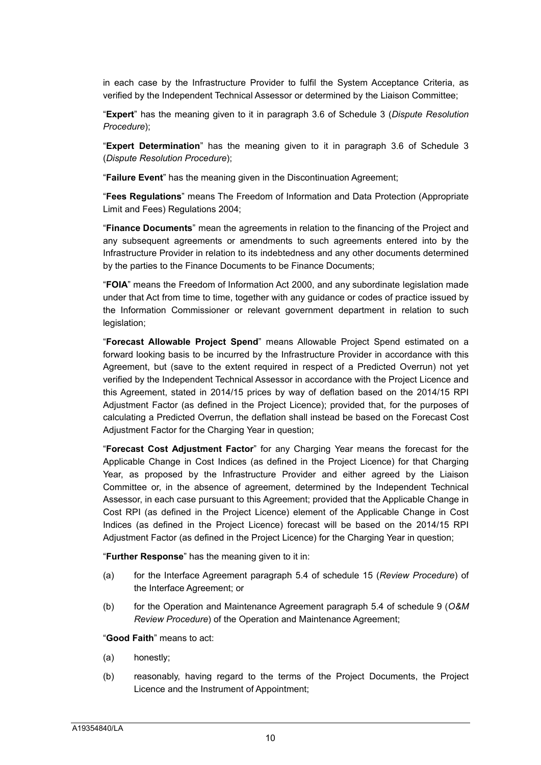in each case by the Infrastructure Provider to fulfil the System Acceptance Criteria, as verified by the Independent Technical Assessor or determined by the Liaison Committee;

"**Expert**" has the meaning given to it in paragraph 3.6 of Schedule 3 (*Dispute Resolution Procedure*);

"**Expert Determination**" has the meaning given to it in paragraph 3.6 of Schedule 3 (*Dispute Resolution Procedure*);

"**Failure Event**" has the meaning given in the Discontinuation Agreement;

"**Fees Regulations**" means The Freedom of Information and Data Protection (Appropriate Limit and Fees) Regulations 2004;

"**Finance Documents**" mean the agreements in relation to the financing of the Project and any subsequent agreements or amendments to such agreements entered into by the Infrastructure Provider in relation to its indebtedness and any other documents determined by the parties to the Finance Documents to be Finance Documents;

"**FOIA**" means the Freedom of Information Act 2000, and any subordinate legislation made under that Act from time to time, together with any guidance or codes of practice issued by the Information Commissioner or relevant government department in relation to such legislation;

"**Forecast Allowable Project Spend**" means Allowable Project Spend estimated on a forward looking basis to be incurred by the Infrastructure Provider in accordance with this Agreement, but (save to the extent required in respect of a Predicted Overrun) not yet verified by the Independent Technical Assessor in accordance with the Project Licence and this Agreement, stated in 2014/15 prices by way of deflation based on the 2014/15 RPI Adjustment Factor (as defined in the Project Licence); provided that, for the purposes of calculating a Predicted Overrun, the deflation shall instead be based on the Forecast Cost Adjustment Factor for the Charging Year in question;

"**Forecast Cost Adjustment Factor**" for any Charging Year means the forecast for the Applicable Change in Cost Indices (as defined in the Project Licence) for that Charging Year, as proposed by the Infrastructure Provider and either agreed by the Liaison Committee or, in the absence of agreement, determined by the Independent Technical Assessor, in each case pursuant to this Agreement; provided that the Applicable Change in Cost RPI (as defined in the Project Licence) element of the Applicable Change in Cost Indices (as defined in the Project Licence) forecast will be based on the 2014/15 RPI Adjustment Factor (as defined in the Project Licence) for the Charging Year in question;

"**Further Response**" has the meaning given to it in:

- (a) for the Interface Agreement paragraph 5.4 of schedule 15 (*Review Procedure*) of the Interface Agreement; or
- (b) for the Operation and Maintenance Agreement paragraph 5.4 of schedule 9 (*O&M Review Procedure*) of the Operation and Maintenance Agreement;

"**Good Faith**" means to act:

- (a) honestly;
- (b) reasonably, having regard to the terms of the Project Documents, the Project Licence and the Instrument of Appointment;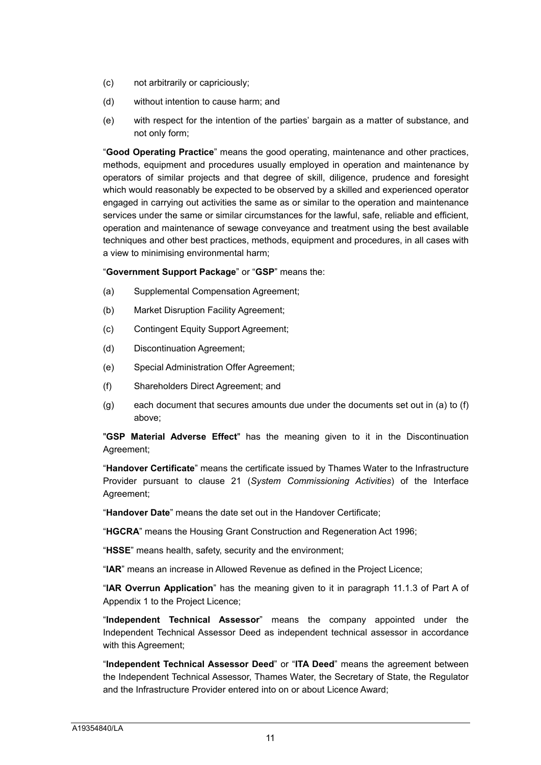- (c) not arbitrarily or capriciously;
- (d) without intention to cause harm; and
- (e) with respect for the intention of the parties' bargain as a matter of substance, and not only form;

"**Good Operating Practice**" means the good operating, maintenance and other practices, methods, equipment and procedures usually employed in operation and maintenance by operators of similar projects and that degree of skill, diligence, prudence and foresight which would reasonably be expected to be observed by a skilled and experienced operator engaged in carrying out activities the same as or similar to the operation and maintenance services under the same or similar circumstances for the lawful, safe, reliable and efficient, operation and maintenance of sewage conveyance and treatment using the best available techniques and other best practices, methods, equipment and procedures, in all cases with a view to minimising environmental harm;

"**Government Support Package**" or "**GSP**" means the:

- (a) Supplemental Compensation Agreement;
- (b) Market Disruption Facility Agreement;
- (c) Contingent Equity Support Agreement;
- (d) Discontinuation Agreement;
- (e) Special Administration Offer Agreement;
- (f) Shareholders Direct Agreement; and
- (g) each document that secures amounts due under the documents set out in (a) to (f) above;

"**GSP Material Adverse Effect**" has the meaning given to it in the Discontinuation Agreement;

"**Handover Certificate**" means the certificate issued by Thames Water to the Infrastructure Provider pursuant to clause 21 (*System Commissioning Activities*) of the Interface Agreement;

"**Handover Date**" means the date set out in the Handover Certificate;

"**HGCRA**" means the Housing Grant Construction and Regeneration Act 1996;

"**HSSE**" means health, safety, security and the environment;

"**IAR**" means an increase in Allowed Revenue as defined in the Project Licence;

"**IAR Overrun Application**" has the meaning given to it in paragraph 11.1.3 of Part A of Appendix 1 to the Project Licence;

"**Independent Technical Assessor**" means the company appointed under the Independent Technical Assessor Deed as independent technical assessor in accordance with this Agreement;

"**Independent Technical Assessor Deed**" or "**ITA Deed**" means the agreement between the Independent Technical Assessor, Thames Water, the Secretary of State, the Regulator and the Infrastructure Provider entered into on or about Licence Award;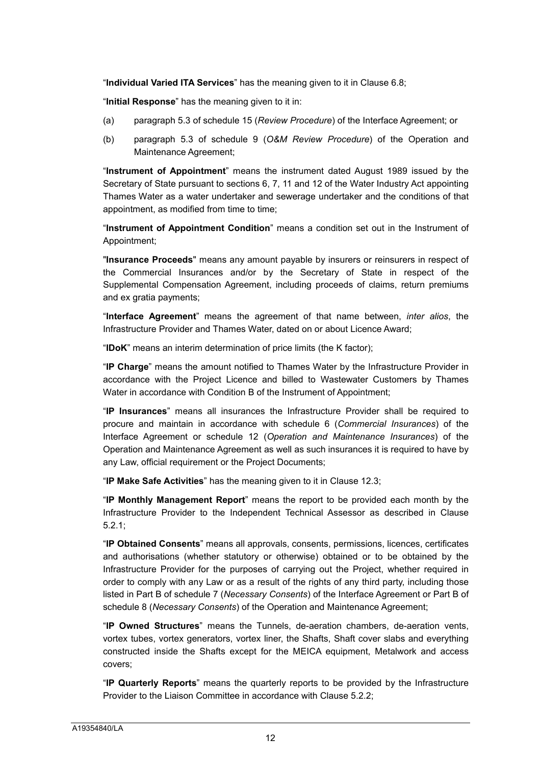"**Individual Varied ITA Services**" has the meaning given to it in Clause 6.8;

"**Initial Response**" has the meaning given to it in:

- (a) paragraph 5.3 of schedule 15 (*Review Procedure*) of the Interface Agreement; or
- (b) paragraph 5.3 of schedule 9 (*O&M Review Procedure*) of the Operation and Maintenance Agreement;

"**Instrument of Appointment**" means the instrument dated August 1989 issued by the Secretary of State pursuant to sections 6, 7, 11 and 12 of the Water Industry Act appointing Thames Water as a water undertaker and sewerage undertaker and the conditions of that appointment, as modified from time to time;

"**Instrument of Appointment Condition**" means a condition set out in the Instrument of Appointment;

"**Insurance Proceeds**" means any amount payable by insurers or reinsurers in respect of the Commercial Insurances and/or by the Secretary of State in respect of the Supplemental Compensation Agreement, including proceeds of claims, return premiums and ex gratia payments;

"**Interface Agreement**" means the agreement of that name between, *inter alios*, the Infrastructure Provider and Thames Water, dated on or about Licence Award;

"**IDoK**" means an interim determination of price limits (the K factor);

"**IP Charge**" means the amount notified to Thames Water by the Infrastructure Provider in accordance with the Project Licence and billed to Wastewater Customers by Thames Water in accordance with Condition B of the Instrument of Appointment;

"**IP Insurances**" means all insurances the Infrastructure Provider shall be required to procure and maintain in accordance with schedule 6 (*Commercial Insurances*) of the Interface Agreement or schedule 12 (*Operation and Maintenance Insurances*) of the Operation and Maintenance Agreement as well as such insurances it is required to have by any Law, official requirement or the Project Documents;

"**IP Make Safe Activities**" has the meaning given to it in Clause 12.3;

"**IP Monthly Management Report**" means the report to be provided each month by the Infrastructure Provider to the Independent Technical Assessor as described in Clause 5.2.1;

"**IP Obtained Consents**" means all approvals, consents, permissions, licences, certificates and authorisations (whether statutory or otherwise) obtained or to be obtained by the Infrastructure Provider for the purposes of carrying out the Project, whether required in order to comply with any Law or as a result of the rights of any third party, including those listed in Part B of schedule 7 (*Necessary Consents*) of the Interface Agreement or Part B of schedule 8 (*Necessary Consents*) of the Operation and Maintenance Agreement;

"**IP Owned Structures**" means the Tunnels, de-aeration chambers, de-aeration vents, vortex tubes, vortex generators, vortex liner, the Shafts, Shaft cover slabs and everything constructed inside the Shafts except for the MEICA equipment, Metalwork and access covers;

"**IP Quarterly Reports**" means the quarterly reports to be provided by the Infrastructure Provider to the Liaison Committee in accordance with Clause 5.2.2;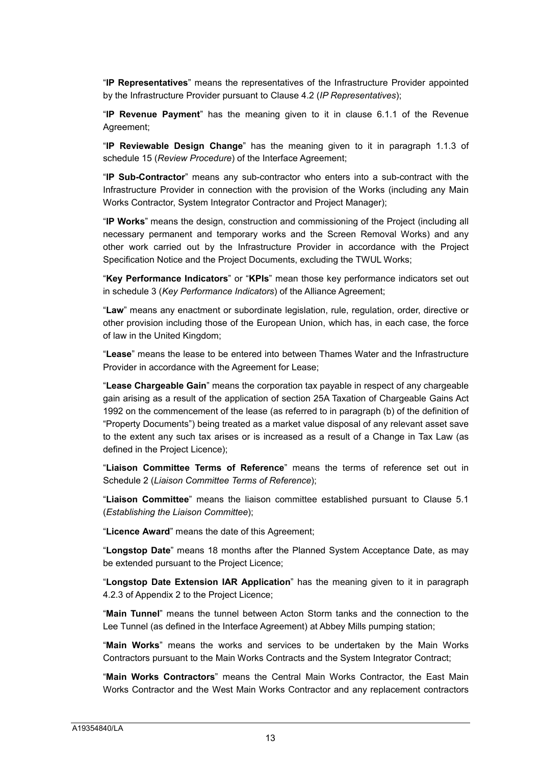"**IP Representatives**" means the representatives of the Infrastructure Provider appointed by the Infrastructure Provider pursuant to Clause 4.2 (*IP Representatives*);

"**IP Revenue Payment**" has the meaning given to it in clause 6.1.1 of the Revenue Agreement;

"**IP Reviewable Design Change**" has the meaning given to it in paragraph 1.1.3 of schedule 15 (*Review Procedure*) of the Interface Agreement;

"**IP Sub-Contractor**" means any sub-contractor who enters into a sub-contract with the Infrastructure Provider in connection with the provision of the Works (including any Main Works Contractor, System Integrator Contractor and Project Manager);

"**IP Works**" means the design, construction and commissioning of the Project (including all necessary permanent and temporary works and the Screen Removal Works) and any other work carried out by the Infrastructure Provider in accordance with the Project Specification Notice and the Project Documents, excluding the TWUL Works;

"**Key Performance Indicators**" or "**KPIs**" mean those key performance indicators set out in schedule 3 (*Key Performance Indicators*) of the Alliance Agreement;

"**Law**" means any enactment or subordinate legislation, rule, regulation, order, directive or other provision including those of the European Union, which has, in each case, the force of law in the United Kingdom;

"**Lease**" means the lease to be entered into between Thames Water and the Infrastructure Provider in accordance with the Agreement for Lease;

"**Lease Chargeable Gain**" means the corporation tax payable in respect of any chargeable gain arising as a result of the application of section 25A Taxation of Chargeable Gains Act 1992 on the commencement of the lease (as referred to in paragraph (b) of the definition of "Property Documents") being treated as a market value disposal of any relevant asset save to the extent any such tax arises or is increased as a result of a Change in Tax Law (as defined in the Project Licence);

"**Liaison Committee Terms of Reference**" means the terms of reference set out in Schedule 2 (*Liaison Committee Terms of Reference*);

"**Liaison Committee**" means the liaison committee established pursuant to Clause 5.1 (*Establishing the Liaison Committee*);

"**Licence Award**" means the date of this Agreement;

"**Longstop Date**" means 18 months after the Planned System Acceptance Date, as may be extended pursuant to the Project Licence;

"**Longstop Date Extension IAR Application**" has the meaning given to it in paragraph 4.2.3 of Appendix 2 to the Project Licence;

"**Main Tunnel**" means the tunnel between Acton Storm tanks and the connection to the Lee Tunnel (as defined in the Interface Agreement) at Abbey Mills pumping station;

"**Main Works**" means the works and services to be undertaken by the Main Works Contractors pursuant to the Main Works Contracts and the System Integrator Contract;

"**Main Works Contractors**" means the Central Main Works Contractor, the East Main Works Contractor and the West Main Works Contractor and any replacement contractors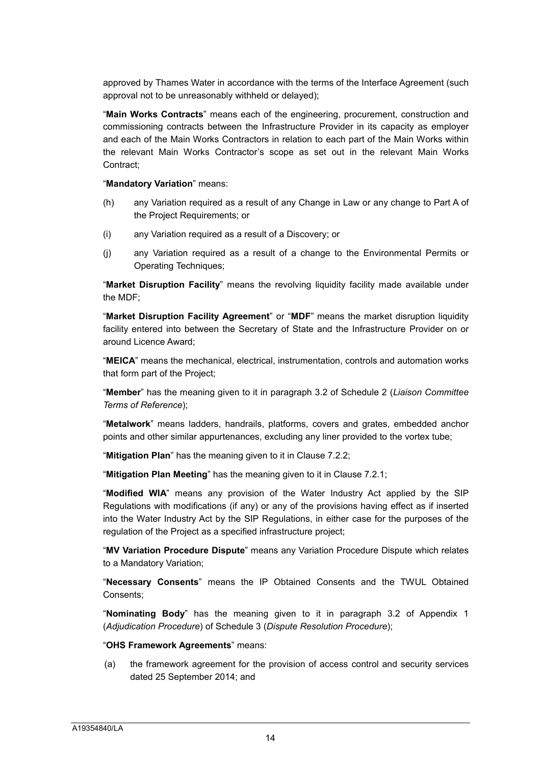approved by Thames Water in accordance with the terms of the Interface Agreement (such approval not to be unreasonably withheld or delayed);

"**Main Works Contracts**" means each of the engineering, procurement, construction and commissioning contracts between the Infrastructure Provider in its capacity as employer and each of the Main Works Contractors in relation to each part of the Main Works within the relevant Main Works Contractor's scope as set out in the relevant Main Works Contract;

"**Mandatory Variation**" means:

- (h) any Variation required as a result of any Change in Law or any change to Part A of the Project Requirements; or
- (i) any Variation required as a result of a Discovery; or
- (j) any Variation required as a result of a change to the Environmental Permits or Operating Techniques;

"**Market Disruption Facility**" means the revolving liquidity facility made available under the MDF;

"**Market Disruption Facility Agreement**" or "**MDF**" means the market disruption liquidity facility entered into between the Secretary of State and the Infrastructure Provider on or around Licence Award;

"**MEICA**" means the mechanical, electrical, instrumentation, controls and automation works that form part of the Project;

"**Member**" has the meaning given to it in paragraph 3.2 of Schedule 2 (*Liaison Committee Terms of Reference*);

"**Metalwork**" means ladders, handrails, platforms, covers and grates, embedded anchor points and other similar appurtenances, excluding any liner provided to the vortex tube;

"**Mitigation Plan**" has the meaning given to it in Clause 7.2.2;

"**Mitigation Plan Meeting**" has the meaning given to it in Clause 7.2.1;

"**Modified WIA**" means any provision of the Water Industry Act applied by the SIP Regulations with modifications (if any) or any of the provisions having effect as if inserted into the Water Industry Act by the SIP Regulations, in either case for the purposes of the regulation of the Project as a specified infrastructure project;

"**MV Variation Procedure Dispute**" means any Variation Procedure Dispute which relates to a Mandatory Variation;

"**Necessary Consents**" means the IP Obtained Consents and the TWUL Obtained Consents;

"**Nominating Body**" has the meaning given to it in paragraph 3.2 of Appendix 1 (*Adjudication Procedure*) of Schedule 3 (*Dispute Resolution Procedure*);

#### "**OHS Framework Agreements**" means:

(a) the framework agreement for the provision of access control and security services dated 25 September 2014; and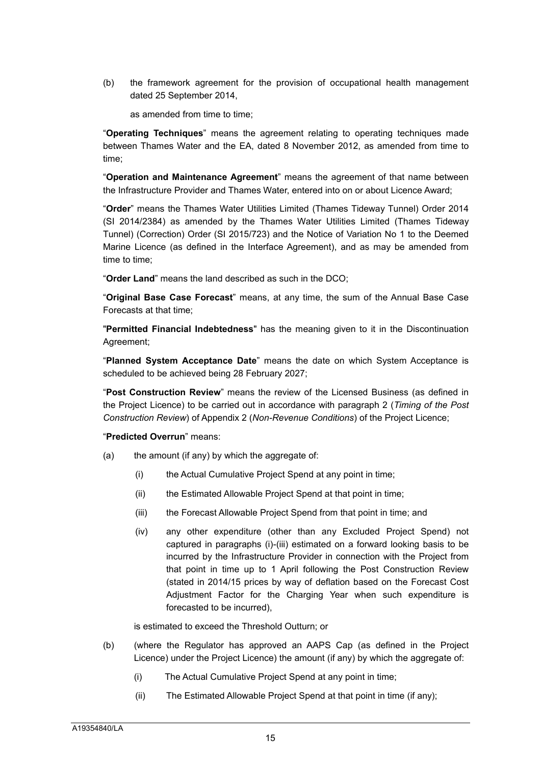(b) the framework agreement for the provision of occupational health management dated 25 September 2014,

as amended from time to time;

"**Operating Techniques**" means the agreement relating to operating techniques made between Thames Water and the EA, dated 8 November 2012, as amended from time to time;

"**Operation and Maintenance Agreement**" means the agreement of that name between the Infrastructure Provider and Thames Water, entered into on or about Licence Award;

"**Order**" means the Thames Water Utilities Limited (Thames Tideway Tunnel) Order 2014 (SI 2014/2384) as amended by the Thames Water Utilities Limited (Thames Tideway Tunnel) (Correction) Order (SI 2015/723) and the Notice of Variation No 1 to the Deemed Marine Licence (as defined in the Interface Agreement), and as may be amended from time to time;

"**Order Land**" means the land described as such in the DCO;

"**Original Base Case Forecast**" means, at any time, the sum of the Annual Base Case Forecasts at that time;

"**Permitted Financial Indebtedness**" has the meaning given to it in the Discontinuation Agreement;

"**Planned System Acceptance Date**" means the date on which System Acceptance is scheduled to be achieved being 28 February 2027;

"**Post Construction Review**" means the review of the Licensed Business (as defined in the Project Licence) to be carried out in accordance with paragraph 2 (*Timing of the Post Construction Review*) of Appendix 2 (*Non-Revenue Conditions*) of the Project Licence;

#### "**Predicted Overrun**" means:

- (a) the amount (if any) by which the aggregate of:
	- (i) the Actual Cumulative Project Spend at any point in time;
	- (ii) the Estimated Allowable Project Spend at that point in time;
	- (iii) the Forecast Allowable Project Spend from that point in time; and
	- (iv) any other expenditure (other than any Excluded Project Spend) not captured in paragraphs (i)-(iii) estimated on a forward looking basis to be incurred by the Infrastructure Provider in connection with the Project from that point in time up to 1 April following the Post Construction Review (stated in 2014/15 prices by way of deflation based on the Forecast Cost Adjustment Factor for the Charging Year when such expenditure is forecasted to be incurred),

is estimated to exceed the Threshold Outturn; or

- (b) (where the Regulator has approved an AAPS Cap (as defined in the Project Licence) under the Project Licence) the amount (if any) by which the aggregate of:
	- (i) The Actual Cumulative Project Spend at any point in time;
	- (ii) The Estimated Allowable Project Spend at that point in time (if any);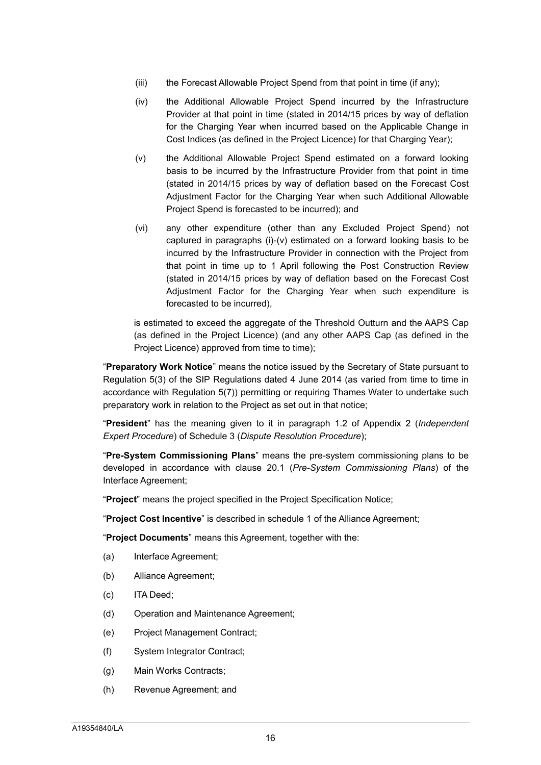- (iii) the Forecast Allowable Project Spend from that point in time (if any);
- (iv) the Additional Allowable Project Spend incurred by the Infrastructure Provider at that point in time (stated in 2014/15 prices by way of deflation for the Charging Year when incurred based on the Applicable Change in Cost Indices (as defined in the Project Licence) for that Charging Year);
- (v) the Additional Allowable Project Spend estimated on a forward looking basis to be incurred by the Infrastructure Provider from that point in time (stated in 2014/15 prices by way of deflation based on the Forecast Cost Adjustment Factor for the Charging Year when such Additional Allowable Project Spend is forecasted to be incurred); and
- (vi) any other expenditure (other than any Excluded Project Spend) not captured in paragraphs (i)-(v) estimated on a forward looking basis to be incurred by the Infrastructure Provider in connection with the Project from that point in time up to 1 April following the Post Construction Review (stated in 2014/15 prices by way of deflation based on the Forecast Cost Adjustment Factor for the Charging Year when such expenditure is forecasted to be incurred),

is estimated to exceed the aggregate of the Threshold Outturn and the AAPS Cap (as defined in the Project Licence) (and any other AAPS Cap (as defined in the Project Licence) approved from time to time);

"**Preparatory Work Notice**" means the notice issued by the Secretary of State pursuant to Regulation 5(3) of the SIP Regulations dated 4 June 2014 (as varied from time to time in accordance with Regulation 5(7)) permitting or requiring Thames Water to undertake such preparatory work in relation to the Project as set out in that notice;

"**President**" has the meaning given to it in paragraph 1.2 of Appendix 2 (*Independent Expert Procedure*) of Schedule 3 (*Dispute Resolution Procedure*);

"**Pre-System Commissioning Plans**" means the pre-system commissioning plans to be developed in accordance with clause 20.1 (*Pre-System Commissioning Plans*) of the Interface Agreement;

"**Project**" means the project specified in the Project Specification Notice;

"**Project Cost Incentive**" is described in schedule 1 of the Alliance Agreement;

"**Project Documents**" means this Agreement, together with the:

- (a) Interface Agreement;
- (b) Alliance Agreement;
- (c) ITA Deed;
- (d) Operation and Maintenance Agreement;
- (e) Project Management Contract;
- (f) System Integrator Contract;
- (g) Main Works Contracts;
- (h) Revenue Agreement; and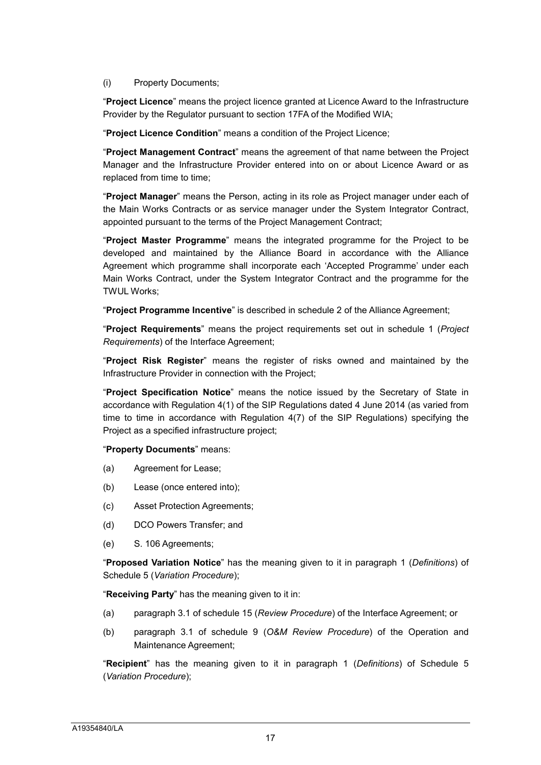#### (i) Property Documents;

"**Project Licence**" means the project licence granted at Licence Award to the Infrastructure Provider by the Regulator pursuant to section 17FA of the Modified WIA;

"**Project Licence Condition**" means a condition of the Project Licence;

"**Project Management Contract**" means the agreement of that name between the Project Manager and the Infrastructure Provider entered into on or about Licence Award or as replaced from time to time;

"**Project Manager**" means the Person, acting in its role as Project manager under each of the Main Works Contracts or as service manager under the System Integrator Contract, appointed pursuant to the terms of the Project Management Contract;

"**Project Master Programme**" means the integrated programme for the Project to be developed and maintained by the Alliance Board in accordance with the Alliance Agreement which programme shall incorporate each 'Accepted Programme' under each Main Works Contract, under the System Integrator Contract and the programme for the TWUL Works;

"**Project Programme Incentive**" is described in schedule 2 of the Alliance Agreement;

"**Project Requirements**" means the project requirements set out in schedule 1 (*Project Requirements*) of the Interface Agreement;

"**Project Risk Register**" means the register of risks owned and maintained by the Infrastructure Provider in connection with the Project;

"**Project Specification Notice**" means the notice issued by the Secretary of State in accordance with Regulation 4(1) of the SIP Regulations dated 4 June 2014 (as varied from time to time in accordance with Regulation 4(7) of the SIP Regulations) specifying the Project as a specified infrastructure project;

#### "**Property Documents**" means:

- (a) Agreement for Lease;
- (b) Lease (once entered into);
- (c) Asset Protection Agreements;
- (d) DCO Powers Transfer; and
- (e) S. 106 Agreements;

"**Proposed Variation Notice**" has the meaning given to it in paragraph 1 (*Definitions*) of Schedule 5 (*Variation Procedure*);

"**Receiving Party**" has the meaning given to it in:

- (a) paragraph 3.1 of schedule 15 (*Review Procedure*) of the Interface Agreement; or
- (b) paragraph 3.1 of schedule 9 (*O&M Review Procedure*) of the Operation and Maintenance Agreement;

"**Recipient**" has the meaning given to it in paragraph 1 (*Definitions*) of Schedule 5 (*Variation Procedure*);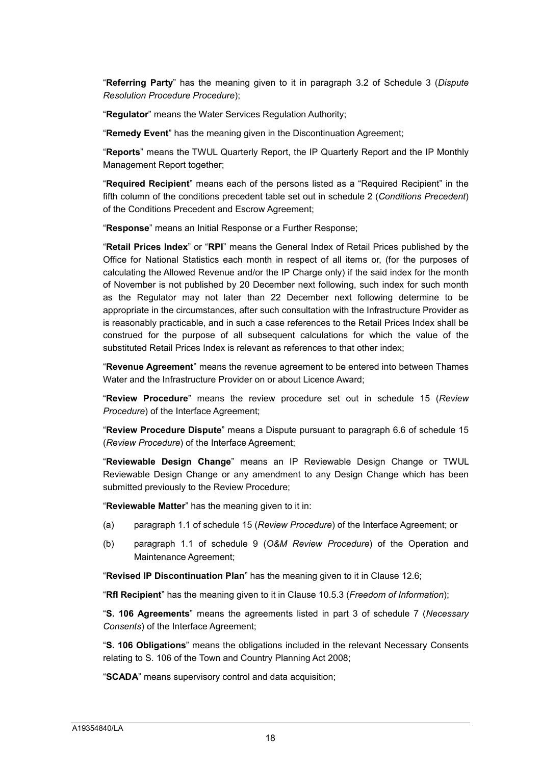"**Referring Party**" has the meaning given to it in paragraph 3.2 of Schedule 3 (*Dispute Resolution Procedure Procedure*);

"**Regulator**" means the Water Services Regulation Authority;

"**Remedy Event**" has the meaning given in the Discontinuation Agreement;

"**Reports**" means the TWUL Quarterly Report, the IP Quarterly Report and the IP Monthly Management Report together;

"**Required Recipient**" means each of the persons listed as a "Required Recipient" in the fifth column of the conditions precedent table set out in schedule 2 (*Conditions Precedent*) of the Conditions Precedent and Escrow Agreement;

"**Response**" means an Initial Response or a Further Response;

"**Retail Prices Index**" or "**RPI**" means the General Index of Retail Prices published by the Office for National Statistics each month in respect of all items or, (for the purposes of calculating the Allowed Revenue and/or the IP Charge only) if the said index for the month of November is not published by 20 December next following, such index for such month as the Regulator may not later than 22 December next following determine to be appropriate in the circumstances, after such consultation with the Infrastructure Provider as is reasonably practicable, and in such a case references to the Retail Prices Index shall be construed for the purpose of all subsequent calculations for which the value of the substituted Retail Prices Index is relevant as references to that other index;

"**Revenue Agreement**" means the revenue agreement to be entered into between Thames Water and the Infrastructure Provider on or about Licence Award;

"**Review Procedure**" means the review procedure set out in schedule 15 (*Review Procedure*) of the Interface Agreement;

"**Review Procedure Dispute**" means a Dispute pursuant to paragraph 6.6 of schedule 15 (*Review Procedure*) of the Interface Agreement;

"**Reviewable Design Change**" means an IP Reviewable Design Change or TWUL Reviewable Design Change or any amendment to any Design Change which has been submitted previously to the Review Procedure;

"**Reviewable Matter**" has the meaning given to it in:

- (a) paragraph 1.1 of schedule 15 (*Review Procedure*) of the Interface Agreement; or
- (b) paragraph 1.1 of schedule 9 (*O&M Review Procedure*) of the Operation and Maintenance Agreement;

"**Revised IP Discontinuation Plan**" has the meaning given to it in Clause 12.6;

"**RfI Recipient**" has the meaning given to it in Clause 10.5.3 (*Freedom of Information*);

"**S. 106 Agreements**" means the agreements listed in part 3 of schedule 7 (*Necessary Consents*) of the Interface Agreement;

"**S. 106 Obligations**" means the obligations included in the relevant Necessary Consents relating to S. 106 of the Town and Country Planning Act 2008;

"**SCADA**" means supervisory control and data acquisition;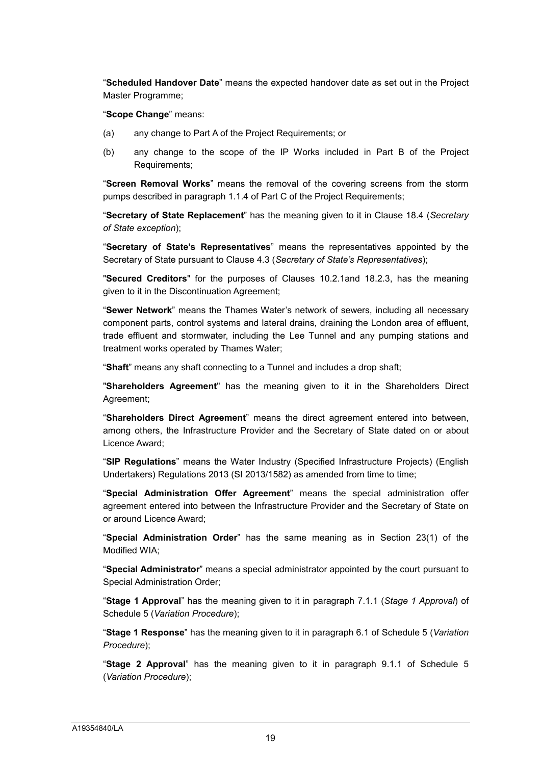"**Scheduled Handover Date**" means the expected handover date as set out in the Project Master Programme;

"**Scope Change**" means:

- (a) any change to Part A of the Project Requirements; or
- (b) any change to the scope of the IP Works included in Part B of the Project Requirements;

"**Screen Removal Works**" means the removal of the covering screens from the storm pumps described in paragraph 1.1.4 of Part C of the Project Requirements;

"**Secretary of State Replacement**" has the meaning given to it in Clause 18.4 (*Secretary of State exception*);

"**Secretary of State's Representatives**" means the representatives appointed by the Secretary of State pursuant to Clause 4.3 (*Secretary of State's Representatives*);

"**Secured Creditors**" for the purposes of Clauses 10.2.1and 18.2.3, has the meaning given to it in the Discontinuation Agreement;

"**Sewer Network**" means the Thames Water's network of sewers, including all necessary component parts, control systems and lateral drains, draining the London area of effluent, trade effluent and stormwater, including the Lee Tunnel and any pumping stations and treatment works operated by Thames Water;

"**Shaft**" means any shaft connecting to a Tunnel and includes a drop shaft;

"**Shareholders Agreement**" has the meaning given to it in the Shareholders Direct Agreement;

"**Shareholders Direct Agreement**" means the direct agreement entered into between, among others, the Infrastructure Provider and the Secretary of State dated on or about Licence Award;

"**SIP Regulations**" means the Water Industry (Specified Infrastructure Projects) (English Undertakers) Regulations 2013 (SI 2013/1582) as amended from time to time;

"**Special Administration Offer Agreement**" means the special administration offer agreement entered into between the Infrastructure Provider and the Secretary of State on or around Licence Award;

"**Special Administration Order**" has the same meaning as in Section 23(1) of the Modified WIA;

"**Special Administrator**" means a special administrator appointed by the court pursuant to Special Administration Order;

"**Stage 1 Approval**" has the meaning given to it in paragraph 7.1.1 (*Stage 1 Approval*) of Schedule 5 (*Variation Procedure*);

"**Stage 1 Response**" has the meaning given to it in paragraph 6.1 of Schedule 5 (*Variation Procedure*);

"**Stage 2 Approval**" has the meaning given to it in paragraph 9.1.1 of Schedule 5 (*Variation Procedure*);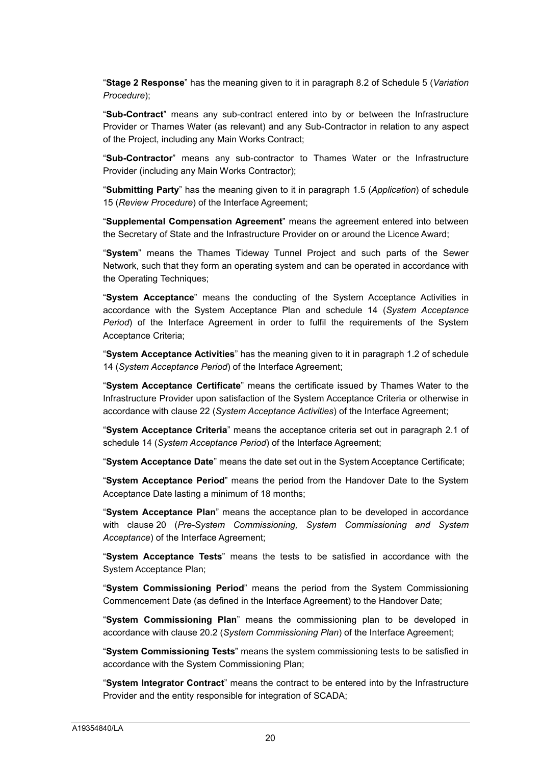"**Stage 2 Response**" has the meaning given to it in paragraph 8.2 of Schedule 5 (*Variation Procedure*);

"**Sub-Contract**" means any sub-contract entered into by or between the Infrastructure Provider or Thames Water (as relevant) and any Sub-Contractor in relation to any aspect of the Project, including any Main Works Contract;

"**Sub-Contractor**" means any sub-contractor to Thames Water or the Infrastructure Provider (including any Main Works Contractor);

"**Submitting Party**" has the meaning given to it in paragraph 1.5 (*Application*) of schedule 15 (*Review Procedure*) of the Interface Agreement;

"**Supplemental Compensation Agreement**" means the agreement entered into between the Secretary of State and the Infrastructure Provider on or around the Licence Award;

"**System**" means the Thames Tideway Tunnel Project and such parts of the Sewer Network, such that they form an operating system and can be operated in accordance with the Operating Techniques;

"**System Acceptance**" means the conducting of the System Acceptance Activities in accordance with the System Acceptance Plan and schedule 14 (*System Acceptance Period*) of the Interface Agreement in order to fulfil the requirements of the System Acceptance Criteria;

"**System Acceptance Activities**" has the meaning given to it in paragraph 1.2 of schedule 14 (*System Acceptance Period*) of the Interface Agreement;

"**System Acceptance Certificate**" means the certificate issued by Thames Water to the Infrastructure Provider upon satisfaction of the System Acceptance Criteria or otherwise in accordance with clause 22 (*System Acceptance Activities*) of the Interface Agreement;

"**System Acceptance Criteria**" means the acceptance criteria set out in paragraph 2.1 of schedule 14 (*System Acceptance Period*) of the Interface Agreement;

"**System Acceptance Date**" means the date set out in the System Acceptance Certificate;

"**System Acceptance Period**" means the period from the Handover Date to the System Acceptance Date lasting a minimum of 18 months;

"**System Acceptance Plan**" means the acceptance plan to be developed in accordance with clause 20 (*Pre-System Commissioning, System Commissioning and System Acceptance*) of the Interface Agreement;

"**System Acceptance Tests**" means the tests to be satisfied in accordance with the System Acceptance Plan;

"**System Commissioning Period**" means the period from the System Commissioning Commencement Date (as defined in the Interface Agreement) to the Handover Date;

"**System Commissioning Plan**" means the commissioning plan to be developed in accordance with clause 20.2 (*System Commissioning Plan*) of the Interface Agreement;

"**System Commissioning Tests**" means the system commissioning tests to be satisfied in accordance with the System Commissioning Plan;

"**System Integrator Contract**" means the contract to be entered into by the Infrastructure Provider and the entity responsible for integration of SCADA;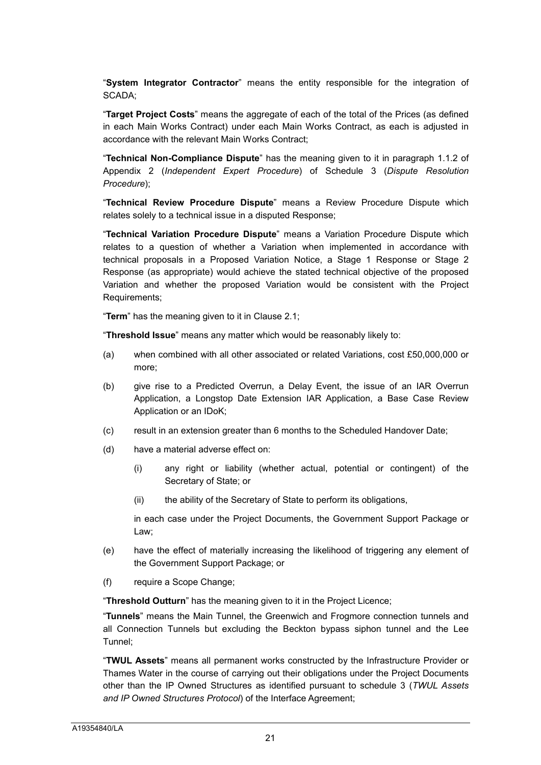"**System Integrator Contractor**" means the entity responsible for the integration of SCADA;

"**Target Project Costs**" means the aggregate of each of the total of the Prices (as defined in each Main Works Contract) under each Main Works Contract, as each is adjusted in accordance with the relevant Main Works Contract;

"**Technical Non-Compliance Dispute**" has the meaning given to it in paragraph 1.1.2 of Appendix 2 (*Independent Expert Procedure*) of Schedule 3 (*Dispute Resolution Procedure*);

"**Technical Review Procedure Dispute**" means a Review Procedure Dispute which relates solely to a technical issue in a disputed Response;

"**Technical Variation Procedure Dispute**" means a Variation Procedure Dispute which relates to a question of whether a Variation when implemented in accordance with technical proposals in a Proposed Variation Notice, a Stage 1 Response or Stage 2 Response (as appropriate) would achieve the stated technical objective of the proposed Variation and whether the proposed Variation would be consistent with the Project Requirements;

"**Term**" has the meaning given to it in Clause 2.1;

"**Threshold Issue**" means any matter which would be reasonably likely to:

- (a) when combined with all other associated or related Variations, cost £50,000,000 or more;
- (b) give rise to a Predicted Overrun, a Delay Event, the issue of an IAR Overrun Application, a Longstop Date Extension IAR Application, a Base Case Review Application or an IDoK;
- (c) result in an extension greater than 6 months to the Scheduled Handover Date;
- (d) have a material adverse effect on:
	- (i) any right or liability (whether actual, potential or contingent) of the Secretary of State; or
	- (ii) the ability of the Secretary of State to perform its obligations,

in each case under the Project Documents, the Government Support Package or Law;

- (e) have the effect of materially increasing the likelihood of triggering any element of the Government Support Package; or
- (f) require a Scope Change;

"**Threshold Outturn**" has the meaning given to it in the Project Licence;

"**Tunnels**" means the Main Tunnel, the Greenwich and Frogmore connection tunnels and all Connection Tunnels but excluding the Beckton bypass siphon tunnel and the Lee Tunnel;

"**TWUL Assets**" means all permanent works constructed by the Infrastructure Provider or Thames Water in the course of carrying out their obligations under the Project Documents other than the IP Owned Structures as identified pursuant to schedule 3 (*TWUL Assets and IP Owned Structures Protocol*) of the Interface Agreement;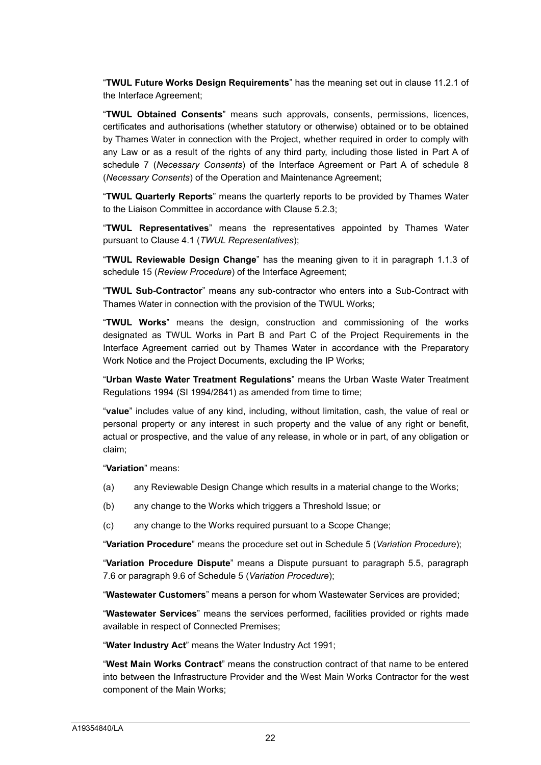"**TWUL Future Works Design Requirements**" has the meaning set out in clause 11.2.1 of the Interface Agreement;

"**TWUL Obtained Consents**" means such approvals, consents, permissions, licences, certificates and authorisations (whether statutory or otherwise) obtained or to be obtained by Thames Water in connection with the Project, whether required in order to comply with any Law or as a result of the rights of any third party, including those listed in Part A of schedule 7 (*Necessary Consents*) of the Interface Agreement or Part A of schedule 8 (*Necessary Consents*) of the Operation and Maintenance Agreement;

"**TWUL Quarterly Reports**" means the quarterly reports to be provided by Thames Water to the Liaison Committee in accordance with Clause 5.2.3;

"**TWUL Representatives**" means the representatives appointed by Thames Water pursuant to Clause 4.1 (*TWUL Representatives*);

"**TWUL Reviewable Design Change**" has the meaning given to it in paragraph 1.1.3 of schedule 15 (*Review Procedure*) of the Interface Agreement;

"**TWUL Sub-Contractor**" means any sub-contractor who enters into a Sub-Contract with Thames Water in connection with the provision of the TWUL Works;

"**TWUL Works**" means the design, construction and commissioning of the works designated as TWUL Works in Part B and Part C of the Project Requirements in the Interface Agreement carried out by Thames Water in accordance with the Preparatory Work Notice and the Project Documents, excluding the IP Works;

"**Urban Waste Water Treatment Regulations**" means the Urban Waste Water Treatment Regulations 1994 (SI 1994/2841) as amended from time to time;

"**value**" includes value of any kind, including, without limitation, cash, the value of real or personal property or any interest in such property and the value of any right or benefit, actual or prospective, and the value of any release, in whole or in part, of any obligation or claim;

"**Variation**" means:

- (a) any Reviewable Design Change which results in a material change to the Works;
- (b) any change to the Works which triggers a Threshold Issue; or
- (c) any change to the Works required pursuant to a Scope Change;

"**Variation Procedure**" means the procedure set out in Schedule 5 (*Variation Procedure*);

"**Variation Procedure Dispute**" means a Dispute pursuant to paragraph 5.5, paragraph 7.6 or paragraph 9.6 of Schedule 5 (*Variation Procedure*);

"**Wastewater Customers**" means a person for whom Wastewater Services are provided;

"**Wastewater Services**" means the services performed, facilities provided or rights made available in respect of Connected Premises;

"**Water Industry Act**" means the Water Industry Act 1991;

"**West Main Works Contract**" means the construction contract of that name to be entered into between the Infrastructure Provider and the West Main Works Contractor for the west component of the Main Works;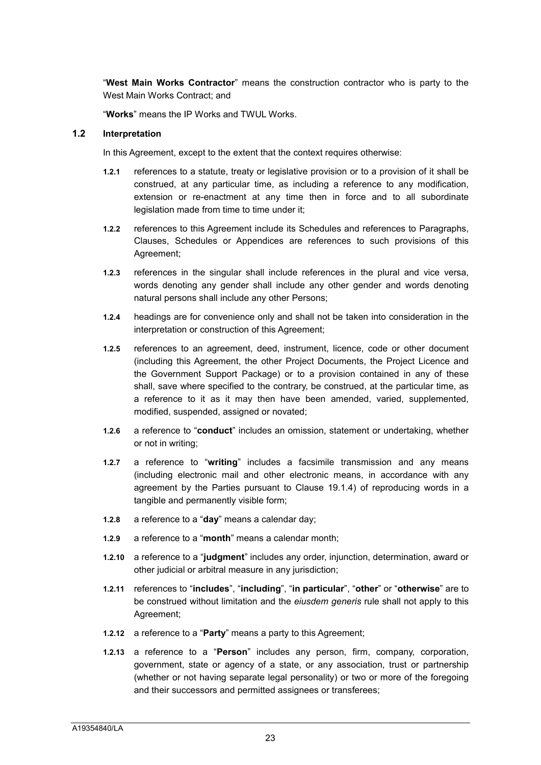"**West Main Works Contractor**" means the construction contractor who is party to the West Main Works Contract; and

"**Works**" means the IP Works and TWUL Works.

#### **1.2 Interpretation**

In this Agreement, except to the extent that the context requires otherwise:

- **1.2.1** references to a statute, treaty or legislative provision or to a provision of it shall be construed, at any particular time, as including a reference to any modification, extension or re-enactment at any time then in force and to all subordinate legislation made from time to time under it;
- **1.2.2** references to this Agreement include its Schedules and references to Paragraphs, Clauses, Schedules or Appendices are references to such provisions of this Agreement;
- **1.2.3** references in the singular shall include references in the plural and vice versa, words denoting any gender shall include any other gender and words denoting natural persons shall include any other Persons;
- **1.2.4** headings are for convenience only and shall not be taken into consideration in the interpretation or construction of this Agreement;
- **1.2.5** references to an agreement, deed, instrument, licence, code or other document (including this Agreement, the other Project Documents, the Project Licence and the Government Support Package) or to a provision contained in any of these shall, save where specified to the contrary, be construed, at the particular time, as a reference to it as it may then have been amended, varied, supplemented, modified, suspended, assigned or novated;
- **1.2.6** a reference to "**conduct**" includes an omission, statement or undertaking, whether or not in writing;
- **1.2.7** a reference to "**writing**" includes a facsimile transmission and any means (including electronic mail and other electronic means, in accordance with any agreement by the Parties pursuant to Clause 19.1.4) of reproducing words in a tangible and permanently visible form;
- **1.2.8** a reference to a "**day**" means a calendar day;
- **1.2.9** a reference to a "**month**" means a calendar month;
- **1.2.10** a reference to a "**judgment**" includes any order, injunction, determination, award or other judicial or arbitral measure in any jurisdiction;
- **1.2.11** references to "**includes**", "**including**", "**in particular**", "**other**" or "**otherwise**" are to be construed without limitation and the *eiusdem generis* rule shall not apply to this Agreement;
- **1.2.12** a reference to a "**Party**" means a party to this Agreement;
- **1.2.13** a reference to a "**Person**" includes any person, firm, company, corporation, government, state or agency of a state, or any association, trust or partnership (whether or not having separate legal personality) or two or more of the foregoing and their successors and permitted assignees or transferees;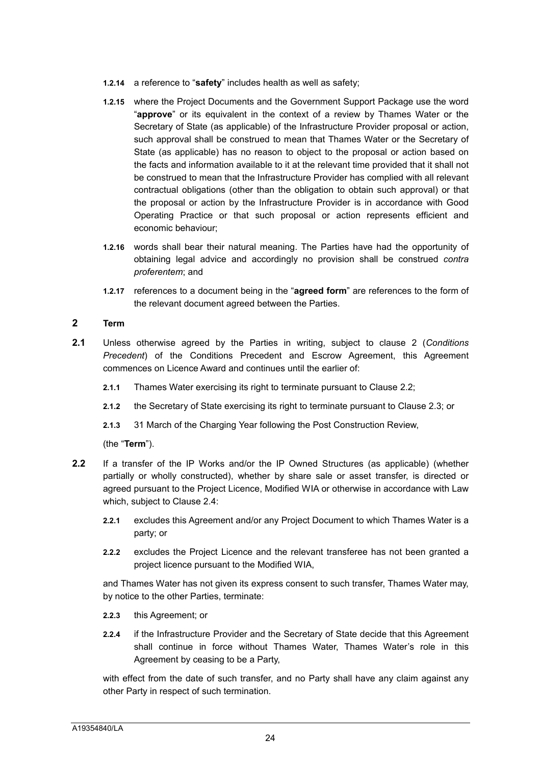- **1.2.14** a reference to "**safety**" includes health as well as safety;
- **1.2.15** where the Project Documents and the Government Support Package use the word "**approve**" or its equivalent in the context of a review by Thames Water or the Secretary of State (as applicable) of the Infrastructure Provider proposal or action, such approval shall be construed to mean that Thames Water or the Secretary of State (as applicable) has no reason to object to the proposal or action based on the facts and information available to it at the relevant time provided that it shall not be construed to mean that the Infrastructure Provider has complied with all relevant contractual obligations (other than the obligation to obtain such approval) or that the proposal or action by the Infrastructure Provider is in accordance with Good Operating Practice or that such proposal or action represents efficient and economic behaviour;
- **1.2.16** words shall bear their natural meaning. The Parties have had the opportunity of obtaining legal advice and accordingly no provision shall be construed *contra proferentem*; and
- **1.2.17** references to a document being in the "**agreed form**" are references to the form of the relevant document agreed between the Parties.

# <span id="page-24-0"></span>**2 Term**

- **2.1** Unless otherwise agreed by the Parties in writing, subject to clause 2 (*Conditions Precedent*) of the Conditions Precedent and Escrow Agreement, this Agreement commences on Licence Award and continues until the earlier of:
	- **2.1.1** Thames Water exercising its right to terminate pursuant to Clause 2.2;
	- **2.1.2** the Secretary of State exercising its right to terminate pursuant to Clause 2.3; or
	- **2.1.3** 31 March of the Charging Year following the Post Construction Review,

(the "**Term**").

- **2.2** If a transfer of the IP Works and/or the IP Owned Structures (as applicable) (whether partially or wholly constructed), whether by share sale or asset transfer, is directed or agreed pursuant to the Project Licence, Modified WIA or otherwise in accordance with Law which, subject to Clause 2.4:
	- **2.2.1** excludes this Agreement and/or any Project Document to which Thames Water is a party; or
	- **2.2.2** excludes the Project Licence and the relevant transferee has not been granted a project licence pursuant to the Modified WIA,

and Thames Water has not given its express consent to such transfer, Thames Water may, by notice to the other Parties, terminate:

- **2.2.3** this Agreement; or
- **2.2.4** if the Infrastructure Provider and the Secretary of State decide that this Agreement shall continue in force without Thames Water, Thames Water's role in this Agreement by ceasing to be a Party,

with effect from the date of such transfer, and no Party shall have any claim against any other Party in respect of such termination.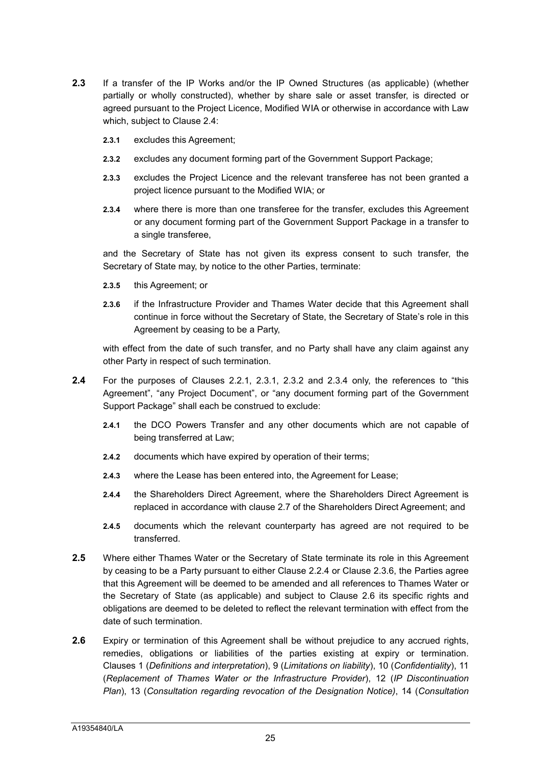- **2.3** If a transfer of the IP Works and/or the IP Owned Structures (as applicable) (whether partially or wholly constructed), whether by share sale or asset transfer, is directed or agreed pursuant to the Project Licence, Modified WIA or otherwise in accordance with Law which, subject to Clause 2.4:
	- **2.3.1** excludes this Agreement;
	- **2.3.2** excludes any document forming part of the Government Support Package;
	- **2.3.3** excludes the Project Licence and the relevant transferee has not been granted a project licence pursuant to the Modified WIA; or
	- **2.3.4** where there is more than one transferee for the transfer, excludes this Agreement or any document forming part of the Government Support Package in a transfer to a single transferee,

and the Secretary of State has not given its express consent to such transfer, the Secretary of State may, by notice to the other Parties, terminate:

- **2.3.5** this Agreement; or
- **2.3.6** if the Infrastructure Provider and Thames Water decide that this Agreement shall continue in force without the Secretary of State, the Secretary of State's role in this Agreement by ceasing to be a Party,

with effect from the date of such transfer, and no Party shall have any claim against any other Party in respect of such termination.

- **2.4** For the purposes of Clauses 2.2.1, 2.3.1, 2.3.2 and 2.3.4 only, the references to "this Agreement", "any Project Document", or "any document forming part of the Government Support Package" shall each be construed to exclude:
	- **2.4.1** the DCO Powers Transfer and any other documents which are not capable of being transferred at Law;
	- **2.4.2** documents which have expired by operation of their terms;
	- **2.4.3** where the Lease has been entered into, the Agreement for Lease;
	- **2.4.4** the Shareholders Direct Agreement, where the Shareholders Direct Agreement is replaced in accordance with clause 2.7 of the Shareholders Direct Agreement; and
	- **2.4.5** documents which the relevant counterparty has agreed are not required to be transferred.
- **2.5** Where either Thames Water or the Secretary of State terminate its role in this Agreement by ceasing to be a Party pursuant to either Clause 2.2.4 or Clause 2.3.6, the Parties agree that this Agreement will be deemed to be amended and all references to Thames Water or the Secretary of State (as applicable) and subject to Clause 2.6 its specific rights and obligations are deemed to be deleted to reflect the relevant termination with effect from the date of such termination.
- **2.6** Expiry or termination of this Agreement shall be without prejudice to any accrued rights, remedies, obligations or liabilities of the parties existing at expiry or termination. Clauses 1 (*Definitions and interpretation*), 9 (*Limitations on liability*), 10 (*Confidentiality*), 11 (*Replacement of Thames Water or the Infrastructure Provider*), 12 (*IP Discontinuation Plan*), 13 (*Consultation regarding revocation of the Designation Notice)*, 14 (*Consultation*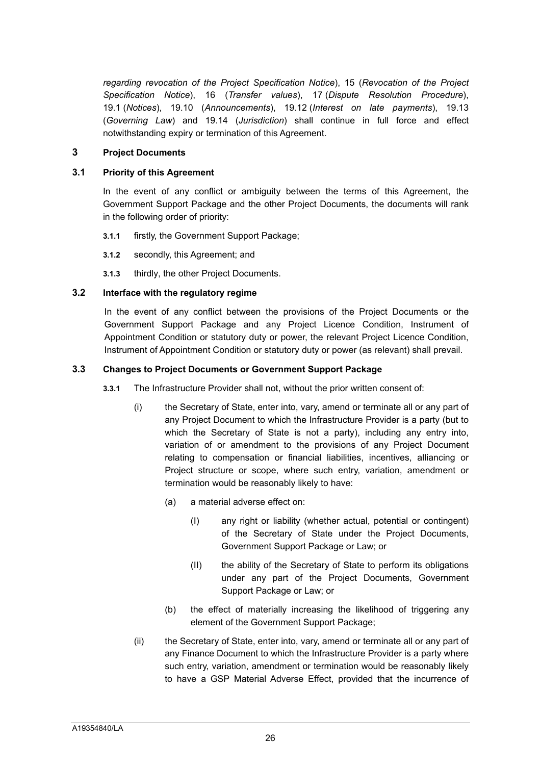*regarding revocation of the Project Specification Notice*), 15 (*Revocation of the Project Specification Notice*), 16 (*Transfer values*), 17 (*Dispute Resolution Procedure*), 19.1 (*Notices*), 19.10 (*Announcements*), 19.12 (*Interest on late payments*), 19.13 (*Governing Law*) and 19.14 (*Jurisdiction*) shall continue in full force and effect notwithstanding expiry or termination of this Agreement.

#### <span id="page-26-0"></span>**3 Project Documents**

#### **3.1 Priority of this Agreement**

In the event of any conflict or ambiguity between the terms of this Agreement, the Government Support Package and the other Project Documents, the documents will rank in the following order of priority:

- **3.1.1** firstly, the Government Support Package;
- **3.1.2** secondly, this Agreement; and
- **3.1.3** thirdly, the other Project Documents.

#### **3.2 Interface with the regulatory regime**

In the event of any conflict between the provisions of the Project Documents or the Government Support Package and any Project Licence Condition, Instrument of Appointment Condition or statutory duty or power, the relevant Project Licence Condition, Instrument of Appointment Condition or statutory duty or power (as relevant) shall prevail.

#### **3.3 Changes to Project Documents or Government Support Package**

- **3.3.1** The Infrastructure Provider shall not, without the prior written consent of:
	- (i) the Secretary of State, enter into, vary, amend or terminate all or any part of any Project Document to which the Infrastructure Provider is a party (but to which the Secretary of State is not a party), including any entry into, variation of or amendment to the provisions of any Project Document relating to compensation or financial liabilities, incentives, alliancing or Project structure or scope, where such entry, variation, amendment or termination would be reasonably likely to have:
		- (a) a material adverse effect on:
			- (I) any right or liability (whether actual, potential or contingent) of the Secretary of State under the Project Documents, Government Support Package or Law; or
			- (II) the ability of the Secretary of State to perform its obligations under any part of the Project Documents, Government Support Package or Law; or
		- (b) the effect of materially increasing the likelihood of triggering any element of the Government Support Package;
	- (ii) the Secretary of State, enter into, vary, amend or terminate all or any part of any Finance Document to which the Infrastructure Provider is a party where such entry, variation, amendment or termination would be reasonably likely to have a GSP Material Adverse Effect, provided that the incurrence of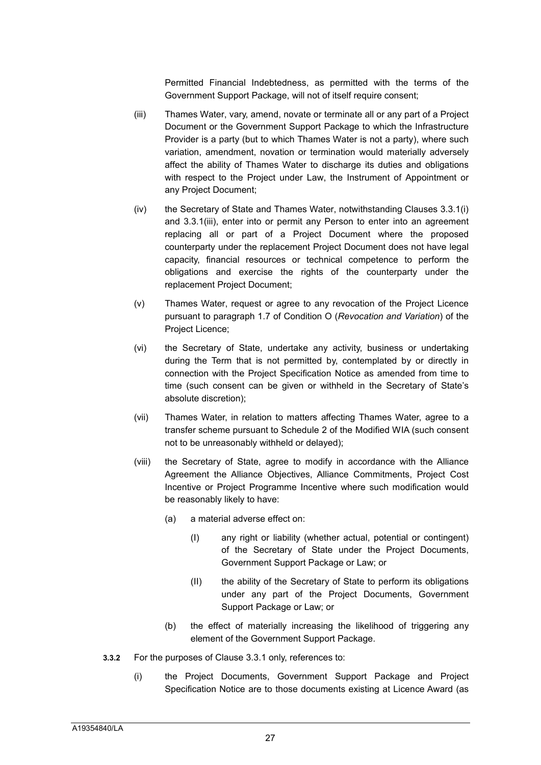Permitted Financial Indebtedness, as permitted with the terms of the Government Support Package, will not of itself require consent;

- (iii) Thames Water, vary, amend, novate or terminate all or any part of a Project Document or the Government Support Package to which the Infrastructure Provider is a party (but to which Thames Water is not a party), where such variation, amendment, novation or termination would materially adversely affect the ability of Thames Water to discharge its duties and obligations with respect to the Project under Law, the Instrument of Appointment or any Project Document;
- (iv) the Secretary of State and Thames Water, notwithstanding Clauses 3.3.1(i) and 3.3.1(iii), enter into or permit any Person to enter into an agreement replacing all or part of a Project Document where the proposed counterparty under the replacement Project Document does not have legal capacity, financial resources or technical competence to perform the obligations and exercise the rights of the counterparty under the replacement Project Document;
- (v) Thames Water, request or agree to any revocation of the Project Licence pursuant to paragraph 1.7 of Condition O (*Revocation and Variation*) of the Project Licence;
- (vi) the Secretary of State, undertake any activity, business or undertaking during the Term that is not permitted by, contemplated by or directly in connection with the Project Specification Notice as amended from time to time (such consent can be given or withheld in the Secretary of State's absolute discretion);
- (vii) Thames Water, in relation to matters affecting Thames Water, agree to a transfer scheme pursuant to Schedule 2 of the Modified WIA (such consent not to be unreasonably withheld or delayed);
- (viii) the Secretary of State, agree to modify in accordance with the Alliance Agreement the Alliance Objectives, Alliance Commitments, Project Cost Incentive or Project Programme Incentive where such modification would be reasonably likely to have:
	- (a) a material adverse effect on:
		- (I) any right or liability (whether actual, potential or contingent) of the Secretary of State under the Project Documents, Government Support Package or Law; or
		- (II) the ability of the Secretary of State to perform its obligations under any part of the Project Documents, Government Support Package or Law; or
	- (b) the effect of materially increasing the likelihood of triggering any element of the Government Support Package.
- **3.3.2** For the purposes of Clause 3.3.1 only, references to:
	- (i) the Project Documents, Government Support Package and Project Specification Notice are to those documents existing at Licence Award (as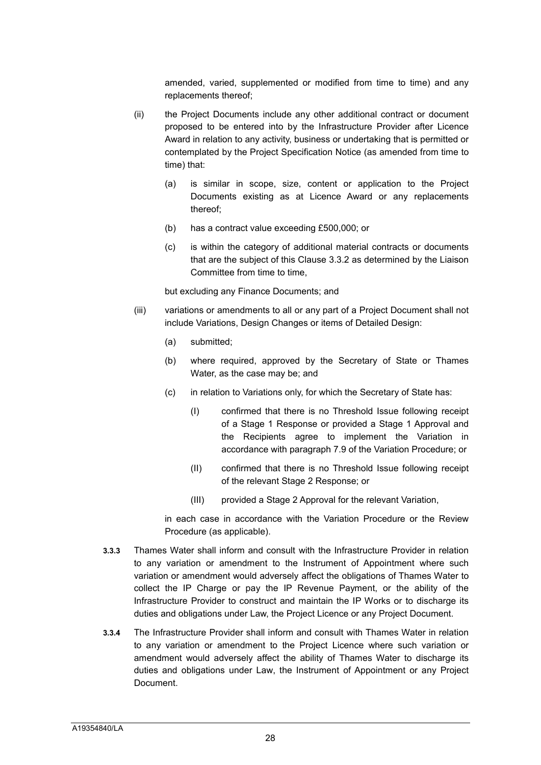amended, varied, supplemented or modified from time to time) and any replacements thereof;

- (ii) the Project Documents include any other additional contract or document proposed to be entered into by the Infrastructure Provider after Licence Award in relation to any activity, business or undertaking that is permitted or contemplated by the Project Specification Notice (as amended from time to time) that:
	- (a) is similar in scope, size, content or application to the Project Documents existing as at Licence Award or any replacements thereof;
	- (b) has a contract value exceeding £500,000; or
	- (c) is within the category of additional material contracts or documents that are the subject of this Clause 3.3.2 as determined by the Liaison Committee from time to time,

but excluding any Finance Documents; and

- (iii) variations or amendments to all or any part of a Project Document shall not include Variations, Design Changes or items of Detailed Design:
	- (a) submitted;
	- (b) where required, approved by the Secretary of State or Thames Water, as the case may be; and
	- (c) in relation to Variations only, for which the Secretary of State has:
		- (I) confirmed that there is no Threshold Issue following receipt of a Stage 1 Response or provided a Stage 1 Approval and the Recipients agree to implement the Variation in accordance with paragraph 7.9 of the Variation Procedure; or
		- (II) confirmed that there is no Threshold Issue following receipt of the relevant Stage 2 Response; or
		- (III) provided a Stage 2 Approval for the relevant Variation,

in each case in accordance with the Variation Procedure or the Review Procedure (as applicable).

- **3.3.3** Thames Water shall inform and consult with the Infrastructure Provider in relation to any variation or amendment to the Instrument of Appointment where such variation or amendment would adversely affect the obligations of Thames Water to collect the IP Charge or pay the IP Revenue Payment, or the ability of the Infrastructure Provider to construct and maintain the IP Works or to discharge its duties and obligations under Law, the Project Licence or any Project Document.
- **3.3.4** The Infrastructure Provider shall inform and consult with Thames Water in relation to any variation or amendment to the Project Licence where such variation or amendment would adversely affect the ability of Thames Water to discharge its duties and obligations under Law, the Instrument of Appointment or any Project Document.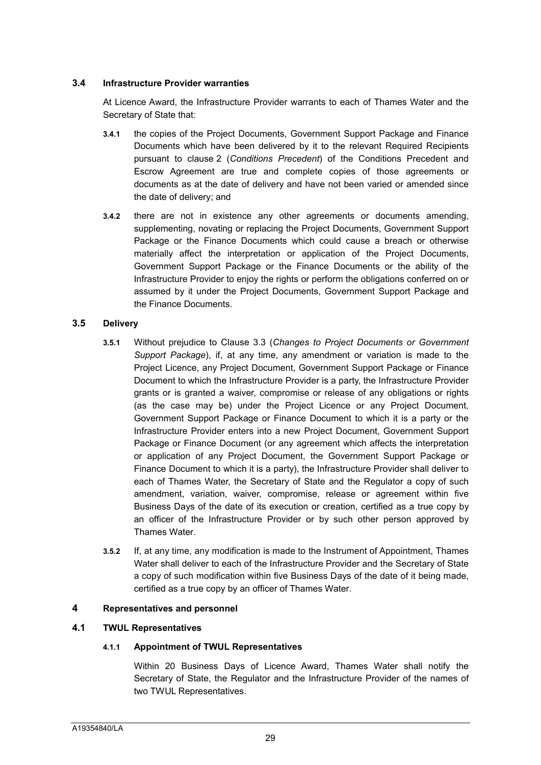#### **3.4 Infrastructure Provider warranties**

At Licence Award, the Infrastructure Provider warrants to each of Thames Water and the Secretary of State that:

- **3.4.1** the copies of the Project Documents, Government Support Package and Finance Documents which have been delivered by it to the relevant Required Recipients pursuant to clause 2 (*Conditions Precedent*) of the Conditions Precedent and Escrow Agreement are true and complete copies of those agreements or documents as at the date of delivery and have not been varied or amended since the date of delivery; and
- **3.4.2** there are not in existence any other agreements or documents amending, supplementing, novating or replacing the Project Documents, Government Support Package or the Finance Documents which could cause a breach or otherwise materially affect the interpretation or application of the Project Documents, Government Support Package or the Finance Documents or the ability of the Infrastructure Provider to enjoy the rights or perform the obligations conferred on or assumed by it under the Project Documents, Government Support Package and the Finance Documents.

# **3.5 Delivery**

- **3.5.1** Without prejudice to Clause 3.3 (*Changes to Project Documents or Government Support Package*), if, at any time, any amendment or variation is made to the Project Licence, any Project Document, Government Support Package or Finance Document to which the Infrastructure Provider is a party, the Infrastructure Provider grants or is granted a waiver, compromise or release of any obligations or rights (as the case may be) under the Project Licence or any Project Document, Government Support Package or Finance Document to which it is a party or the Infrastructure Provider enters into a new Project Document, Government Support Package or Finance Document (or any agreement which affects the interpretation or application of any Project Document, the Government Support Package or Finance Document to which it is a party), the Infrastructure Provider shall deliver to each of Thames Water, the Secretary of State and the Regulator a copy of such amendment, variation, waiver, compromise, release or agreement within five Business Days of the date of its execution or creation, certified as a true copy by an officer of the Infrastructure Provider or by such other person approved by Thames Water.
- **3.5.2** If, at any time, any modification is made to the Instrument of Appointment, Thames Water shall deliver to each of the Infrastructure Provider and the Secretary of State a copy of such modification within five Business Days of the date of it being made, certified as a true copy by an officer of Thames Water.

# <span id="page-29-0"></span>**4 Representatives and personnel**

# **4.1 TWUL Representatives**

# **4.1.1 Appointment of TWUL Representatives**

Within 20 Business Days of Licence Award, Thames Water shall notify the Secretary of State, the Regulator and the Infrastructure Provider of the names of two TWUL Representatives.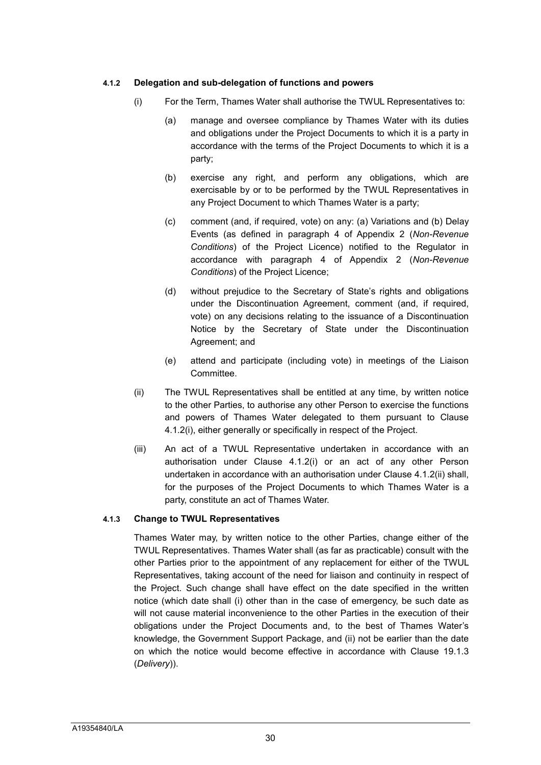#### **4.1.2 Delegation and sub-delegation of functions and powers**

- (i) For the Term, Thames Water shall authorise the TWUL Representatives to:
	- (a) manage and oversee compliance by Thames Water with its duties and obligations under the Project Documents to which it is a party in accordance with the terms of the Project Documents to which it is a party;
	- (b) exercise any right, and perform any obligations, which are exercisable by or to be performed by the TWUL Representatives in any Project Document to which Thames Water is a party;
	- (c) comment (and, if required, vote) on any: (a) Variations and (b) Delay Events (as defined in paragraph 4 of Appendix 2 (*Non-Revenue Conditions*) of the Project Licence) notified to the Regulator in accordance with paragraph 4 of Appendix 2 (*Non-Revenue Conditions*) of the Project Licence;
	- (d) without prejudice to the Secretary of State's rights and obligations under the Discontinuation Agreement, comment (and, if required, vote) on any decisions relating to the issuance of a Discontinuation Notice by the Secretary of State under the Discontinuation Agreement; and
	- (e) attend and participate (including vote) in meetings of the Liaison Committee.
- (ii) The TWUL Representatives shall be entitled at any time, by written notice to the other Parties, to authorise any other Person to exercise the functions and powers of Thames Water delegated to them pursuant to Clause 4.1.2(i), either generally or specifically in respect of the Project.
- (iii) An act of a TWUL Representative undertaken in accordance with an authorisation under Clause 4.1.2(i) or an act of any other Person undertaken in accordance with an authorisation under Clause 4.1.2(ii) shall, for the purposes of the Project Documents to which Thames Water is a party, constitute an act of Thames Water.

#### **4.1.3 Change to TWUL Representatives**

Thames Water may, by written notice to the other Parties, change either of the TWUL Representatives. Thames Water shall (as far as practicable) consult with the other Parties prior to the appointment of any replacement for either of the TWUL Representatives, taking account of the need for liaison and continuity in respect of the Project. Such change shall have effect on the date specified in the written notice (which date shall (i) other than in the case of emergency, be such date as will not cause material inconvenience to the other Parties in the execution of their obligations under the Project Documents and, to the best of Thames Water's knowledge, the Government Support Package, and (ii) not be earlier than the date on which the notice would become effective in accordance with Clause 19.1.3 (*Delivery*)).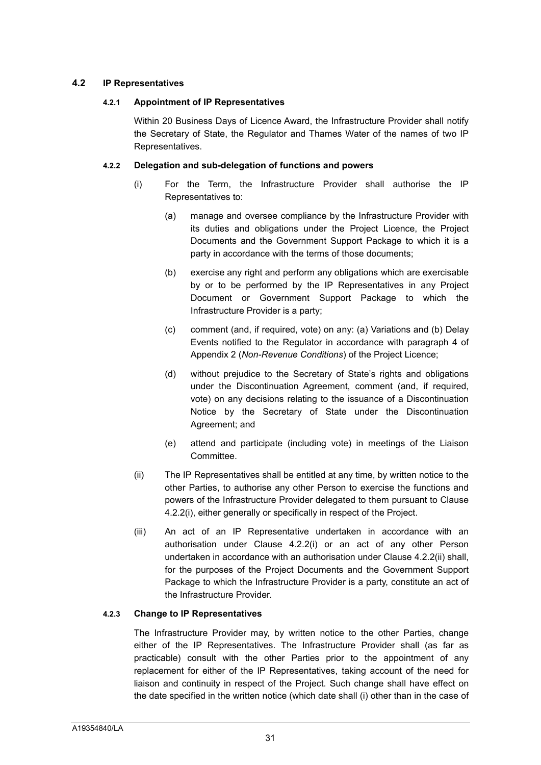#### **4.2 IP Representatives**

#### **4.2.1 Appointment of IP Representatives**

Within 20 Business Days of Licence Award, the Infrastructure Provider shall notify the Secretary of State, the Regulator and Thames Water of the names of two IP Representatives.

#### **4.2.2 Delegation and sub-delegation of functions and powers**

- (i) For the Term, the Infrastructure Provider shall authorise the IP Representatives to:
	- (a) manage and oversee compliance by the Infrastructure Provider with its duties and obligations under the Project Licence, the Project Documents and the Government Support Package to which it is a party in accordance with the terms of those documents;
	- (b) exercise any right and perform any obligations which are exercisable by or to be performed by the IP Representatives in any Project Document or Government Support Package to which the Infrastructure Provider is a party;
	- (c) comment (and, if required, vote) on any: (a) Variations and (b) Delay Events notified to the Regulator in accordance with paragraph 4 of Appendix 2 (*Non-Revenue Conditions*) of the Project Licence;
	- (d) without prejudice to the Secretary of State's rights and obligations under the Discontinuation Agreement, comment (and, if required, vote) on any decisions relating to the issuance of a Discontinuation Notice by the Secretary of State under the Discontinuation Agreement; and
	- (e) attend and participate (including vote) in meetings of the Liaison Committee.
- (ii) The IP Representatives shall be entitled at any time, by written notice to the other Parties, to authorise any other Person to exercise the functions and powers of the Infrastructure Provider delegated to them pursuant to Clause 4.2.2(i), either generally or specifically in respect of the Project.
- (iii) An act of an IP Representative undertaken in accordance with an authorisation under Clause 4.2.2(i) or an act of any other Person undertaken in accordance with an authorisation under Clause 4.2.2(ii) shall, for the purposes of the Project Documents and the Government Support Package to which the Infrastructure Provider is a party, constitute an act of the Infrastructure Provider.

# **4.2.3 Change to IP Representatives**

The Infrastructure Provider may, by written notice to the other Parties, change either of the IP Representatives. The Infrastructure Provider shall (as far as practicable) consult with the other Parties prior to the appointment of any replacement for either of the IP Representatives, taking account of the need for liaison and continuity in respect of the Project. Such change shall have effect on the date specified in the written notice (which date shall (i) other than in the case of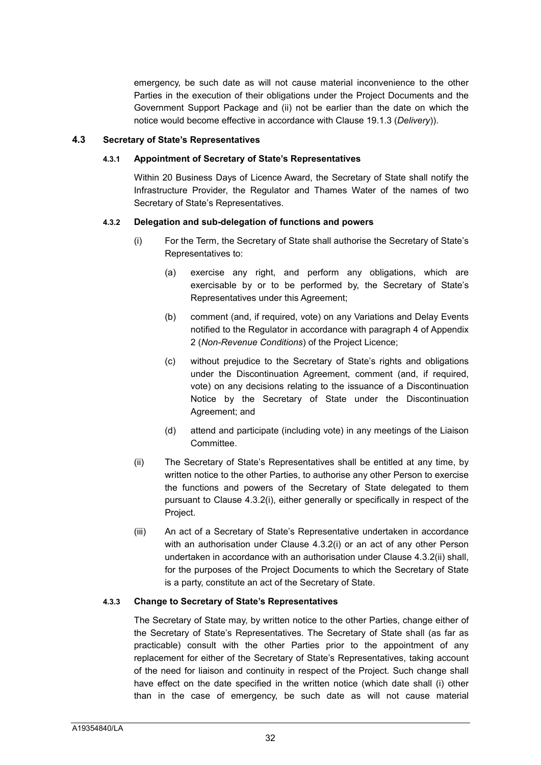emergency, be such date as will not cause material inconvenience to the other Parties in the execution of their obligations under the Project Documents and the Government Support Package and (ii) not be earlier than the date on which the notice would become effective in accordance with Clause 19.1.3 (*Delivery*)).

#### **4.3 Secretary of State's Representatives**

#### **4.3.1 Appointment of Secretary of State's Representatives**

Within 20 Business Days of Licence Award, the Secretary of State shall notify the Infrastructure Provider, the Regulator and Thames Water of the names of two Secretary of State's Representatives.

#### **4.3.2 Delegation and sub-delegation of functions and powers**

- (i) For the Term, the Secretary of State shall authorise the Secretary of State's Representatives to:
	- (a) exercise any right, and perform any obligations, which are exercisable by or to be performed by, the Secretary of State's Representatives under this Agreement;
	- (b) comment (and, if required, vote) on any Variations and Delay Events notified to the Regulator in accordance with paragraph 4 of Appendix 2 (*Non-Revenue Conditions*) of the Project Licence;
	- (c) without prejudice to the Secretary of State's rights and obligations under the Discontinuation Agreement, comment (and, if required, vote) on any decisions relating to the issuance of a Discontinuation Notice by the Secretary of State under the Discontinuation Agreement; and
	- (d) attend and participate (including vote) in any meetings of the Liaison Committee.
- (ii) The Secretary of State's Representatives shall be entitled at any time, by written notice to the other Parties, to authorise any other Person to exercise the functions and powers of the Secretary of State delegated to them pursuant to Clause 4.3.2(i), either generally or specifically in respect of the Project.
- (iii) An act of a Secretary of State's Representative undertaken in accordance with an authorisation under Clause 4.3.2(i) or an act of any other Person undertaken in accordance with an authorisation under Clause 4.3.2(ii) shall, for the purposes of the Project Documents to which the Secretary of State is a party, constitute an act of the Secretary of State.

# **4.3.3 Change to Secretary of State's Representatives**

The Secretary of State may, by written notice to the other Parties, change either of the Secretary of State's Representatives. The Secretary of State shall (as far as practicable) consult with the other Parties prior to the appointment of any replacement for either of the Secretary of State's Representatives, taking account of the need for liaison and continuity in respect of the Project. Such change shall have effect on the date specified in the written notice (which date shall (i) other than in the case of emergency, be such date as will not cause material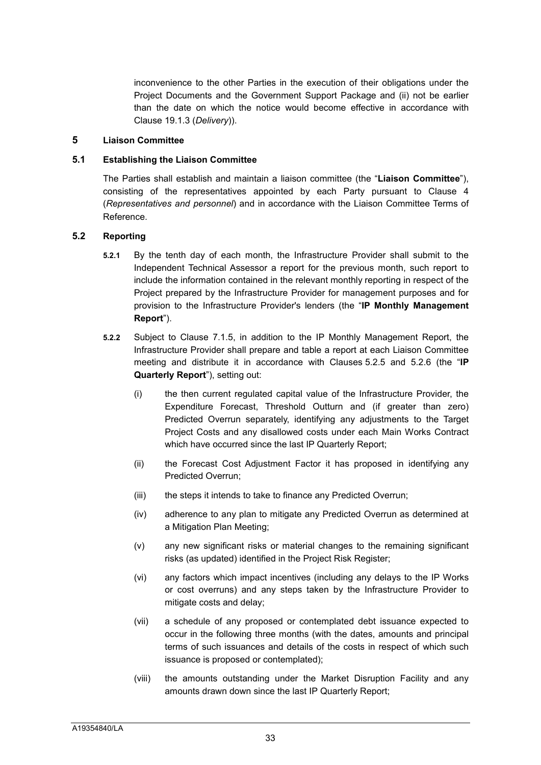inconvenience to the other Parties in the execution of their obligations under the Project Documents and the Government Support Package and (ii) not be earlier than the date on which the notice would become effective in accordance with Clause 19.1.3 (*Delivery*)).

#### <span id="page-33-0"></span>**5 Liaison Committee**

#### **5.1 Establishing the Liaison Committee**

The Parties shall establish and maintain a liaison committee (the "**Liaison Committee**"), consisting of the representatives appointed by each Party pursuant to Clause 4 (*Representatives and personnel*) and in accordance with the Liaison Committee Terms of Reference.

#### **5.2 Reporting**

- **5.2.1** By the tenth day of each month, the Infrastructure Provider shall submit to the Independent Technical Assessor a report for the previous month, such report to include the information contained in the relevant monthly reporting in respect of the Project prepared by the Infrastructure Provider for management purposes and for provision to the Infrastructure Provider's lenders (the "**IP Monthly Management Report**").
- **5.2.2** Subject to Clause 7.1.5, in addition to the IP Monthly Management Report, the Infrastructure Provider shall prepare and table a report at each Liaison Committee meeting and distribute it in accordance with Clauses 5.2.5 and 5.2.6 (the "**IP Quarterly Report**"), setting out:
	- (i) the then current regulated capital value of the Infrastructure Provider, the Expenditure Forecast, Threshold Outturn and (if greater than zero) Predicted Overrun separately, identifying any adjustments to the Target Project Costs and any disallowed costs under each Main Works Contract which have occurred since the last IP Quarterly Report;
	- (ii) the Forecast Cost Adjustment Factor it has proposed in identifying any Predicted Overrun;
	- (iii) the steps it intends to take to finance any Predicted Overrun;
	- (iv) adherence to any plan to mitigate any Predicted Overrun as determined at a Mitigation Plan Meeting;
	- (v) any new significant risks or material changes to the remaining significant risks (as updated) identified in the Project Risk Register;
	- (vi) any factors which impact incentives (including any delays to the IP Works or cost overruns) and any steps taken by the Infrastructure Provider to mitigate costs and delay;
	- (vii) a schedule of any proposed or contemplated debt issuance expected to occur in the following three months (with the dates, amounts and principal terms of such issuances and details of the costs in respect of which such issuance is proposed or contemplated);
	- (viii) the amounts outstanding under the Market Disruption Facility and any amounts drawn down since the last IP Quarterly Report;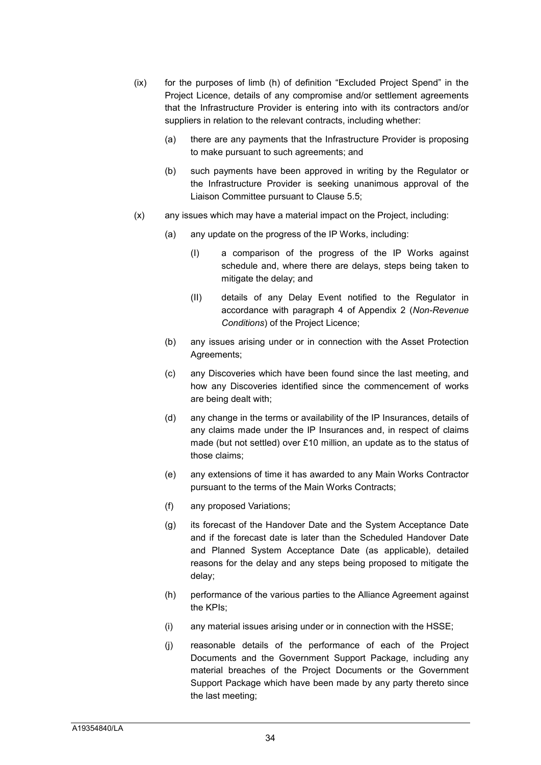- (ix) for the purposes of limb (h) of definition "Excluded Project Spend" in the Project Licence, details of any compromise and/or settlement agreements that the Infrastructure Provider is entering into with its contractors and/or suppliers in relation to the relevant contracts, including whether:
	- (a) there are any payments that the Infrastructure Provider is proposing to make pursuant to such agreements; and
	- (b) such payments have been approved in writing by the Regulator or the Infrastructure Provider is seeking unanimous approval of the Liaison Committee pursuant to Clause 5.5;
- (x) any issues which may have a material impact on the Project, including:
	- (a) any update on the progress of the IP Works, including:
		- (I) a comparison of the progress of the IP Works against schedule and, where there are delays, steps being taken to mitigate the delay; and
		- (II) details of any Delay Event notified to the Regulator in accordance with paragraph 4 of Appendix 2 (*Non-Revenue Conditions*) of the Project Licence;
	- (b) any issues arising under or in connection with the Asset Protection Agreements;
	- (c) any Discoveries which have been found since the last meeting, and how any Discoveries identified since the commencement of works are being dealt with;
	- (d) any change in the terms or availability of the IP Insurances, details of any claims made under the IP Insurances and, in respect of claims made (but not settled) over £10 million, an update as to the status of those claims;
	- (e) any extensions of time it has awarded to any Main Works Contractor pursuant to the terms of the Main Works Contracts;
	- (f) any proposed Variations;
	- (g) its forecast of the Handover Date and the System Acceptance Date and if the forecast date is later than the Scheduled Handover Date and Planned System Acceptance Date (as applicable), detailed reasons for the delay and any steps being proposed to mitigate the delay;
	- (h) performance of the various parties to the Alliance Agreement against the KPIs;
	- (i) any material issues arising under or in connection with the HSSE;
	- (j) reasonable details of the performance of each of the Project Documents and the Government Support Package, including any material breaches of the Project Documents or the Government Support Package which have been made by any party thereto since the last meeting;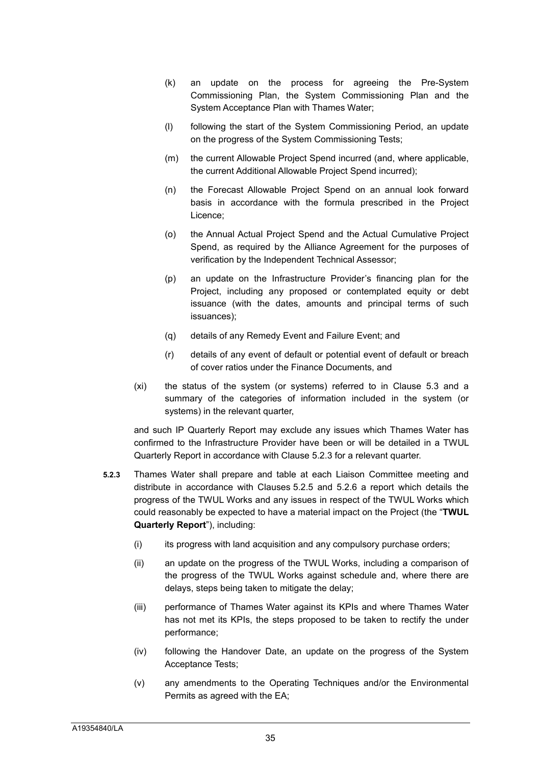- (k) an update on the process for agreeing the Pre-System Commissioning Plan, the System Commissioning Plan and the System Acceptance Plan with Thames Water;
- (l) following the start of the System Commissioning Period, an update on the progress of the System Commissioning Tests;
- (m) the current Allowable Project Spend incurred (and, where applicable, the current Additional Allowable Project Spend incurred);
- (n) the Forecast Allowable Project Spend on an annual look forward basis in accordance with the formula prescribed in the Project Licence;
- (o) the Annual Actual Project Spend and the Actual Cumulative Project Spend, as required by the Alliance Agreement for the purposes of verification by the Independent Technical Assessor;
- (p) an update on the Infrastructure Provider's financing plan for the Project, including any proposed or contemplated equity or debt issuance (with the dates, amounts and principal terms of such issuances);
- (q) details of any Remedy Event and Failure Event; and
- (r) details of any event of default or potential event of default or breach of cover ratios under the Finance Documents, and
- (xi) the status of the system (or systems) referred to in Clause 5.3 and a summary of the categories of information included in the system (or systems) in the relevant quarter,

and such IP Quarterly Report may exclude any issues which Thames Water has confirmed to the Infrastructure Provider have been or will be detailed in a TWUL Quarterly Report in accordance with Clause 5.2.3 for a relevant quarter.

- **5.2.3** Thames Water shall prepare and table at each Liaison Committee meeting and distribute in accordance with Clauses 5.2.5 and 5.2.6 a report which details the progress of the TWUL Works and any issues in respect of the TWUL Works which could reasonably be expected to have a material impact on the Project (the "**TWUL Quarterly Report**"), including:
	- (i) its progress with land acquisition and any compulsory purchase orders;
	- (ii) an update on the progress of the TWUL Works, including a comparison of the progress of the TWUL Works against schedule and, where there are delays, steps being taken to mitigate the delay;
	- (iii) performance of Thames Water against its KPIs and where Thames Water has not met its KPIs, the steps proposed to be taken to rectify the under performance;
	- (iv) following the Handover Date, an update on the progress of the System Acceptance Tests;
	- (v) any amendments to the Operating Techniques and/or the Environmental Permits as agreed with the EA;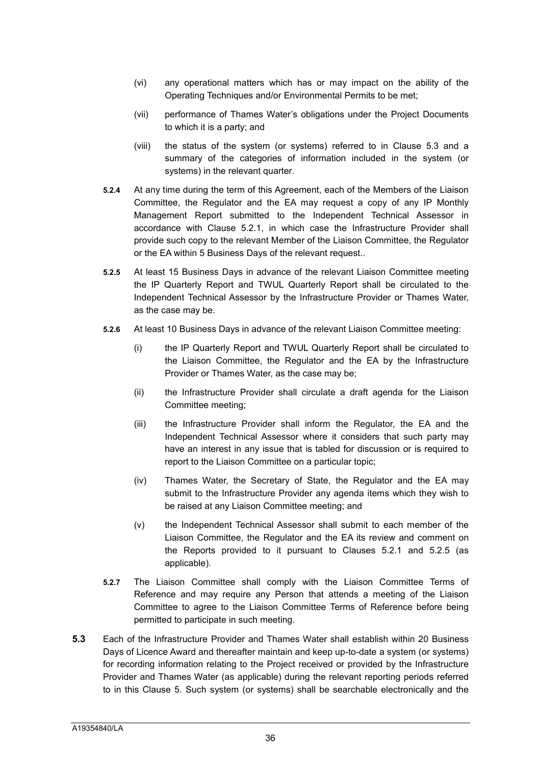- (vi) any operational matters which has or may impact on the ability of the Operating Techniques and/or Environmental Permits to be met;
- (vii) performance of Thames Water's obligations under the Project Documents to which it is a party; and
- (viii) the status of the system (or systems) referred to in Clause 5.3 and a summary of the categories of information included in the system (or systems) in the relevant quarter.
- **5.2.4** At any time during the term of this Agreement, each of the Members of the Liaison Committee, the Regulator and the EA may request a copy of any IP Monthly Management Report submitted to the Independent Technical Assessor in accordance with Clause 5.2.1, in which case the Infrastructure Provider shall provide such copy to the relevant Member of the Liaison Committee, the Regulator or the EA within 5 Business Days of the relevant request..
- **5.2.5** At least 15 Business Days in advance of the relevant Liaison Committee meeting the IP Quarterly Report and TWUL Quarterly Report shall be circulated to the Independent Technical Assessor by the Infrastructure Provider or Thames Water, as the case may be.
- **5.2.6** At least 10 Business Days in advance of the relevant Liaison Committee meeting:
	- (i) the IP Quarterly Report and TWUL Quarterly Report shall be circulated to the Liaison Committee, the Regulator and the EA by the Infrastructure Provider or Thames Water, as the case may be;
	- (ii) the Infrastructure Provider shall circulate a draft agenda for the Liaison Committee meeting;
	- (iii) the Infrastructure Provider shall inform the Regulator, the EA and the Independent Technical Assessor where it considers that such party may have an interest in any issue that is tabled for discussion or is required to report to the Liaison Committee on a particular topic;
	- (iv) Thames Water, the Secretary of State, the Regulator and the EA may submit to the Infrastructure Provider any agenda items which they wish to be raised at any Liaison Committee meeting; and
	- (v) the Independent Technical Assessor shall submit to each member of the Liaison Committee, the Regulator and the EA its review and comment on the Reports provided to it pursuant to Clauses 5.2.1 and 5.2.5 (as applicable).
- **5.2.7** The Liaison Committee shall comply with the Liaison Committee Terms of Reference and may require any Person that attends a meeting of the Liaison Committee to agree to the Liaison Committee Terms of Reference before being permitted to participate in such meeting.
- **5.3** Each of the Infrastructure Provider and Thames Water shall establish within 20 Business Days of Licence Award and thereafter maintain and keep up-to-date a system (or systems) for recording information relating to the Project received or provided by the Infrastructure Provider and Thames Water (as applicable) during the relevant reporting periods referred to in this Clause 5. Such system (or systems) shall be searchable electronically and the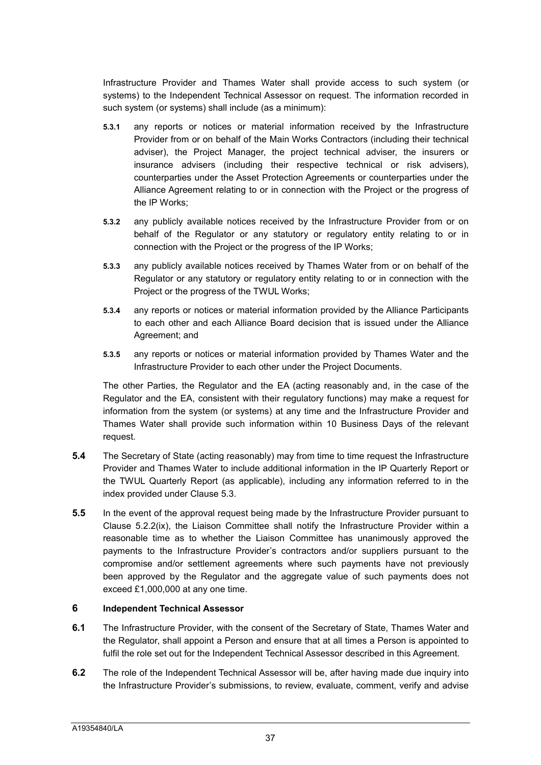Infrastructure Provider and Thames Water shall provide access to such system (or systems) to the Independent Technical Assessor on request. The information recorded in such system (or systems) shall include (as a minimum):

- **5.3.1** any reports or notices or material information received by the Infrastructure Provider from or on behalf of the Main Works Contractors (including their technical adviser), the Project Manager, the project technical adviser, the insurers or insurance advisers (including their respective technical or risk advisers), counterparties under the Asset Protection Agreements or counterparties under the Alliance Agreement relating to or in connection with the Project or the progress of the IP Works;
- **5.3.2** any publicly available notices received by the Infrastructure Provider from or on behalf of the Regulator or any statutory or regulatory entity relating to or in connection with the Project or the progress of the IP Works;
- **5.3.3** any publicly available notices received by Thames Water from or on behalf of the Regulator or any statutory or regulatory entity relating to or in connection with the Project or the progress of the TWUL Works;
- **5.3.4** any reports or notices or material information provided by the Alliance Participants to each other and each Alliance Board decision that is issued under the Alliance Agreement; and
- **5.3.5** any reports or notices or material information provided by Thames Water and the Infrastructure Provider to each other under the Project Documents.

The other Parties, the Regulator and the EA (acting reasonably and, in the case of the Regulator and the EA, consistent with their regulatory functions) may make a request for information from the system (or systems) at any time and the Infrastructure Provider and Thames Water shall provide such information within 10 Business Days of the relevant request.

- **5.4** The Secretary of State (acting reasonably) may from time to time request the Infrastructure Provider and Thames Water to include additional information in the IP Quarterly Report or the TWUL Quarterly Report (as applicable), including any information referred to in the index provided under Clause 5.3.
- **5.5** In the event of the approval request being made by the Infrastructure Provider pursuant to Clause 5.2.2(ix), the Liaison Committee shall notify the Infrastructure Provider within a reasonable time as to whether the Liaison Committee has unanimously approved the payments to the Infrastructure Provider's contractors and/or suppliers pursuant to the compromise and/or settlement agreements where such payments have not previously been approved by the Regulator and the aggregate value of such payments does not exceed £1,000,000 at any one time.

### **6 Independent Technical Assessor**

- **6.1** The Infrastructure Provider, with the consent of the Secretary of State, Thames Water and the Regulator, shall appoint a Person and ensure that at all times a Person is appointed to fulfil the role set out for the Independent Technical Assessor described in this Agreement.
- **6.2** The role of the Independent Technical Assessor will be, after having made due inquiry into the Infrastructure Provider's submissions, to review, evaluate, comment, verify and advise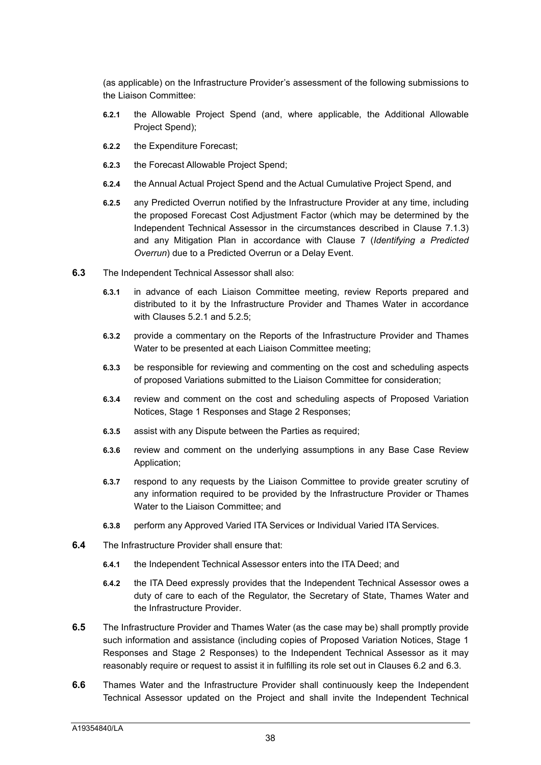(as applicable) on the Infrastructure Provider's assessment of the following submissions to the Liaison Committee:

- **6.2.1** the Allowable Project Spend (and, where applicable, the Additional Allowable Project Spend);
- **6.2.2** the Expenditure Forecast;
- **6.2.3** the Forecast Allowable Project Spend;
- **6.2.4** the Annual Actual Project Spend and the Actual Cumulative Project Spend, and
- **6.2.5** any Predicted Overrun notified by the Infrastructure Provider at any time, including the proposed Forecast Cost Adjustment Factor (which may be determined by the Independent Technical Assessor in the circumstances described in Clause 7.1.3) and any Mitigation Plan in accordance with Clause 7 (*Identifying a Predicted Overrun*) due to a Predicted Overrun or a Delay Event.
- **6.3** The Independent Technical Assessor shall also:
	- **6.3.1** in advance of each Liaison Committee meeting, review Reports prepared and distributed to it by the Infrastructure Provider and Thames Water in accordance with Clauses 5.2.1 and 5.2.5;
	- **6.3.2** provide a commentary on the Reports of the Infrastructure Provider and Thames Water to be presented at each Liaison Committee meeting;
	- **6.3.3** be responsible for reviewing and commenting on the cost and scheduling aspects of proposed Variations submitted to the Liaison Committee for consideration;
	- **6.3.4** review and comment on the cost and scheduling aspects of Proposed Variation Notices, Stage 1 Responses and Stage 2 Responses;
	- **6.3.5** assist with any Dispute between the Parties as required;
	- **6.3.6** review and comment on the underlying assumptions in any Base Case Review Application;
	- **6.3.7** respond to any requests by the Liaison Committee to provide greater scrutiny of any information required to be provided by the Infrastructure Provider or Thames Water to the Liaison Committee; and
	- **6.3.8** perform any Approved Varied ITA Services or Individual Varied ITA Services.
- **6.4** The Infrastructure Provider shall ensure that:
	- **6.4.1** the Independent Technical Assessor enters into the ITA Deed; and
	- **6.4.2** the ITA Deed expressly provides that the Independent Technical Assessor owes a duty of care to each of the Regulator, the Secretary of State, Thames Water and the Infrastructure Provider.
- **6.5** The Infrastructure Provider and Thames Water (as the case may be) shall promptly provide such information and assistance (including copies of Proposed Variation Notices, Stage 1 Responses and Stage 2 Responses) to the Independent Technical Assessor as it may reasonably require or request to assist it in fulfilling its role set out in Clauses 6.2 and 6.3.
- **6.6** Thames Water and the Infrastructure Provider shall continuously keep the Independent Technical Assessor updated on the Project and shall invite the Independent Technical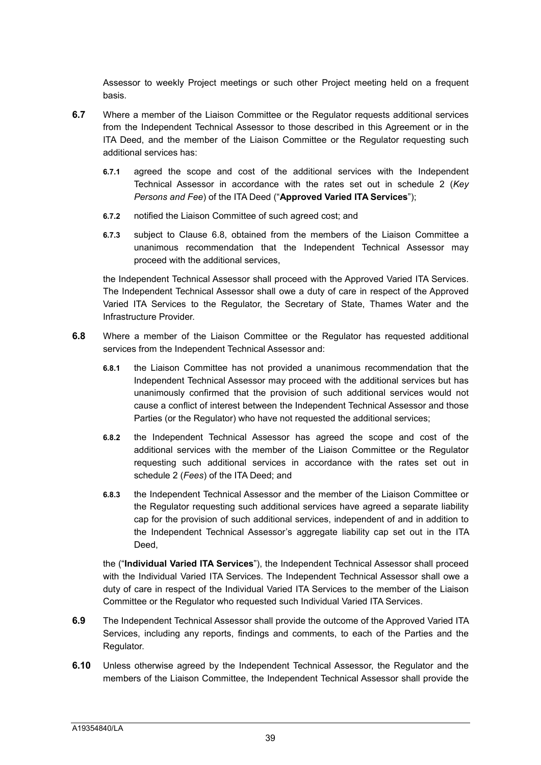Assessor to weekly Project meetings or such other Project meeting held on a frequent basis.

- **6.7** Where a member of the Liaison Committee or the Regulator requests additional services from the Independent Technical Assessor to those described in this Agreement or in the ITA Deed, and the member of the Liaison Committee or the Regulator requesting such additional services has:
	- **6.7.1** agreed the scope and cost of the additional services with the Independent Technical Assessor in accordance with the rates set out in schedule 2 (*Key Persons and Fee*) of the ITA Deed ("**Approved Varied ITA Services**");
	- **6.7.2** notified the Liaison Committee of such agreed cost; and
	- **6.7.3** subject to Clause 6.8, obtained from the members of the Liaison Committee a unanimous recommendation that the Independent Technical Assessor may proceed with the additional services,

the Independent Technical Assessor shall proceed with the Approved Varied ITA Services. The Independent Technical Assessor shall owe a duty of care in respect of the Approved Varied ITA Services to the Regulator, the Secretary of State, Thames Water and the Infrastructure Provider.

- **6.8** Where a member of the Liaison Committee or the Regulator has requested additional services from the Independent Technical Assessor and:
	- **6.8.1** the Liaison Committee has not provided a unanimous recommendation that the Independent Technical Assessor may proceed with the additional services but has unanimously confirmed that the provision of such additional services would not cause a conflict of interest between the Independent Technical Assessor and those Parties (or the Regulator) who have not requested the additional services;
	- **6.8.2** the Independent Technical Assessor has agreed the scope and cost of the additional services with the member of the Liaison Committee or the Regulator requesting such additional services in accordance with the rates set out in schedule 2 (*Fees*) of the ITA Deed; and
	- **6.8.3** the Independent Technical Assessor and the member of the Liaison Committee or the Regulator requesting such additional services have agreed a separate liability cap for the provision of such additional services, independent of and in addition to the Independent Technical Assessor's aggregate liability cap set out in the ITA Deed.

the ("**Individual Varied ITA Services**"), the Independent Technical Assessor shall proceed with the Individual Varied ITA Services. The Independent Technical Assessor shall owe a duty of care in respect of the Individual Varied ITA Services to the member of the Liaison Committee or the Regulator who requested such Individual Varied ITA Services.

- **6.9** The Independent Technical Assessor shall provide the outcome of the Approved Varied ITA Services, including any reports, findings and comments, to each of the Parties and the Regulator.
- **6.10** Unless otherwise agreed by the Independent Technical Assessor, the Regulator and the members of the Liaison Committee, the Independent Technical Assessor shall provide the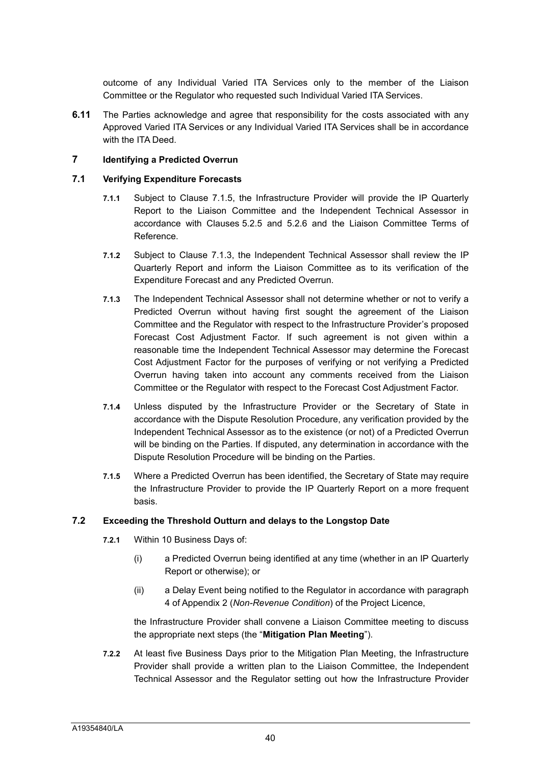outcome of any Individual Varied ITA Services only to the member of the Liaison Committee or the Regulator who requested such Individual Varied ITA Services.

**6.11** The Parties acknowledge and agree that responsibility for the costs associated with any Approved Varied ITA Services or any Individual Varied ITA Services shall be in accordance with the ITA Deed.

## **7 Identifying a Predicted Overrun**

#### **7.1 Verifying Expenditure Forecasts**

- **7.1.1** Subject to Clause 7.1.5, the Infrastructure Provider will provide the IP Quarterly Report to the Liaison Committee and the Independent Technical Assessor in accordance with Clauses 5.2.5 and 5.2.6 and the Liaison Committee Terms of Reference.
- **7.1.2** Subject to Clause 7.1.3, the Independent Technical Assessor shall review the IP Quarterly Report and inform the Liaison Committee as to its verification of the Expenditure Forecast and any Predicted Overrun.
- **7.1.3** The Independent Technical Assessor shall not determine whether or not to verify a Predicted Overrun without having first sought the agreement of the Liaison Committee and the Regulator with respect to the Infrastructure Provider's proposed Forecast Cost Adjustment Factor. If such agreement is not given within a reasonable time the Independent Technical Assessor may determine the Forecast Cost Adjustment Factor for the purposes of verifying or not verifying a Predicted Overrun having taken into account any comments received from the Liaison Committee or the Regulator with respect to the Forecast Cost Adjustment Factor.
- **7.1.4** Unless disputed by the Infrastructure Provider or the Secretary of State in accordance with the Dispute Resolution Procedure, any verification provided by the Independent Technical Assessor as to the existence (or not) of a Predicted Overrun will be binding on the Parties. If disputed, any determination in accordance with the Dispute Resolution Procedure will be binding on the Parties.
- **7.1.5** Where a Predicted Overrun has been identified, the Secretary of State may require the Infrastructure Provider to provide the IP Quarterly Report on a more frequent basis.

#### **7.2 Exceeding the Threshold Outturn and delays to the Longstop Date**

- **7.2.1** Within 10 Business Days of:
	- (i) a Predicted Overrun being identified at any time (whether in an IP Quarterly Report or otherwise); or
	- (ii) a Delay Event being notified to the Regulator in accordance with paragraph 4 of Appendix 2 (*Non-Revenue Condition*) of the Project Licence,

the Infrastructure Provider shall convene a Liaison Committee meeting to discuss the appropriate next steps (the "**Mitigation Plan Meeting**").

**7.2.2** At least five Business Days prior to the Mitigation Plan Meeting, the Infrastructure Provider shall provide a written plan to the Liaison Committee, the Independent Technical Assessor and the Regulator setting out how the Infrastructure Provider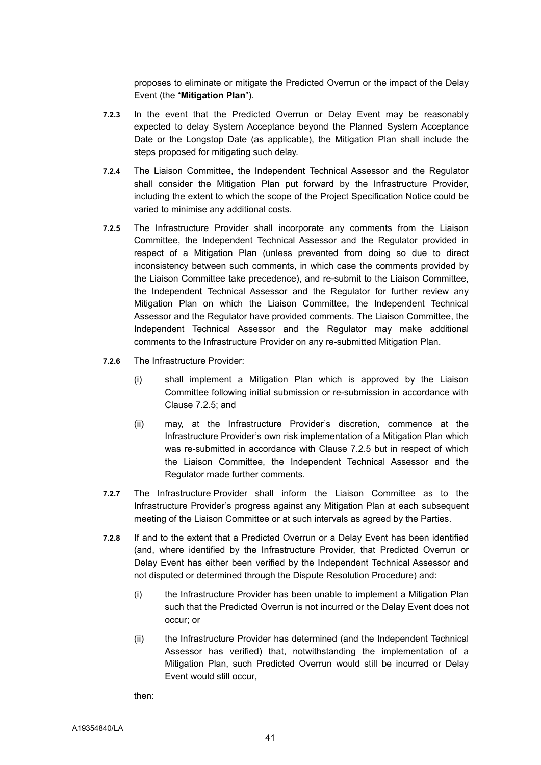proposes to eliminate or mitigate the Predicted Overrun or the impact of the Delay Event (the "**Mitigation Plan**").

- **7.2.3** In the event that the Predicted Overrun or Delay Event may be reasonably expected to delay System Acceptance beyond the Planned System Acceptance Date or the Longstop Date (as applicable), the Mitigation Plan shall include the steps proposed for mitigating such delay.
- **7.2.4** The Liaison Committee, the Independent Technical Assessor and the Regulator shall consider the Mitigation Plan put forward by the Infrastructure Provider, including the extent to which the scope of the Project Specification Notice could be varied to minimise any additional costs.
- **7.2.5** The Infrastructure Provider shall incorporate any comments from the Liaison Committee, the Independent Technical Assessor and the Regulator provided in respect of a Mitigation Plan (unless prevented from doing so due to direct inconsistency between such comments, in which case the comments provided by the Liaison Committee take precedence), and re-submit to the Liaison Committee, the Independent Technical Assessor and the Regulator for further review any Mitigation Plan on which the Liaison Committee, the Independent Technical Assessor and the Regulator have provided comments. The Liaison Committee, the Independent Technical Assessor and the Regulator may make additional comments to the Infrastructure Provider on any re-submitted Mitigation Plan.
- **7.2.6** The Infrastructure Provider:
	- (i) shall implement a Mitigation Plan which is approved by the Liaison Committee following initial submission or re-submission in accordance with Clause 7.2.5; and
	- (ii) may, at the Infrastructure Provider's discretion, commence at the Infrastructure Provider's own risk implementation of a Mitigation Plan which was re-submitted in accordance with Clause 7.2.5 but in respect of which the Liaison Committee, the Independent Technical Assessor and the Regulator made further comments.
- **7.2.7** The Infrastructure Provider shall inform the Liaison Committee as to the Infrastructure Provider's progress against any Mitigation Plan at each subsequent meeting of the Liaison Committee or at such intervals as agreed by the Parties.
- **7.2.8** If and to the extent that a Predicted Overrun or a Delay Event has been identified (and, where identified by the Infrastructure Provider, that Predicted Overrun or Delay Event has either been verified by the Independent Technical Assessor and not disputed or determined through the Dispute Resolution Procedure) and:
	- (i) the Infrastructure Provider has been unable to implement a Mitigation Plan such that the Predicted Overrun is not incurred or the Delay Event does not occur; or
	- (ii) the Infrastructure Provider has determined (and the Independent Technical Assessor has verified) that, notwithstanding the implementation of a Mitigation Plan, such Predicted Overrun would still be incurred or Delay Event would still occur,

then: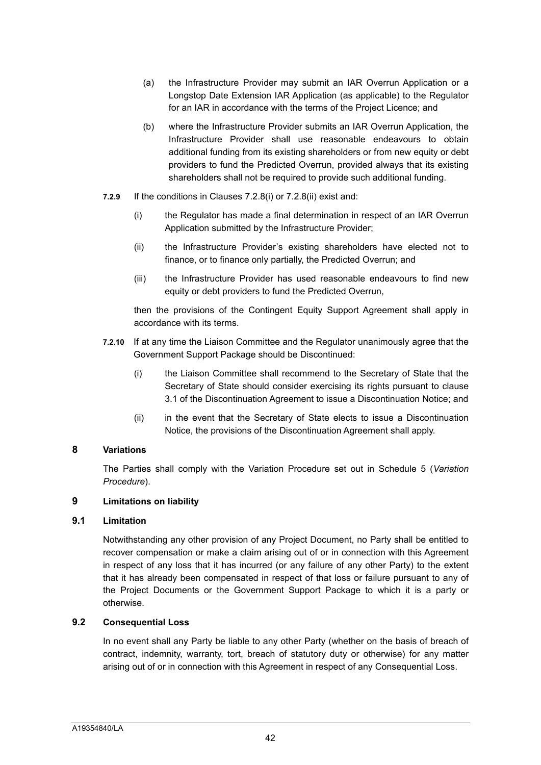- (a) the Infrastructure Provider may submit an IAR Overrun Application or a Longstop Date Extension IAR Application (as applicable) to the Regulator for an IAR in accordance with the terms of the Project Licence; and
- (b) where the Infrastructure Provider submits an IAR Overrun Application, the Infrastructure Provider shall use reasonable endeavours to obtain additional funding from its existing shareholders or from new equity or debt providers to fund the Predicted Overrun, provided always that its existing shareholders shall not be required to provide such additional funding.
- **7.2.9** If the conditions in Clauses 7.2.8(i) or 7.2.8(ii) exist and:
	- (i) the Regulator has made a final determination in respect of an IAR Overrun Application submitted by the Infrastructure Provider;
	- (ii) the Infrastructure Provider's existing shareholders have elected not to finance, or to finance only partially, the Predicted Overrun; and
	- (iii) the Infrastructure Provider has used reasonable endeavours to find new equity or debt providers to fund the Predicted Overrun,

then the provisions of the Contingent Equity Support Agreement shall apply in accordance with its terms.

- **7.2.10** If at any time the Liaison Committee and the Regulator unanimously agree that the Government Support Package should be Discontinued:
	- (i) the Liaison Committee shall recommend to the Secretary of State that the Secretary of State should consider exercising its rights pursuant to clause 3.1 of the Discontinuation Agreement to issue a Discontinuation Notice; and
	- (ii) in the event that the Secretary of State elects to issue a Discontinuation Notice, the provisions of the Discontinuation Agreement shall apply.

# **8 Variations**

The Parties shall comply with the Variation Procedure set out in Schedule 5 (*Variation Procedure*).

## **9 Limitations on liability**

#### **9.1 Limitation**

Notwithstanding any other provision of any Project Document, no Party shall be entitled to recover compensation or make a claim arising out of or in connection with this Agreement in respect of any loss that it has incurred (or any failure of any other Party) to the extent that it has already been compensated in respect of that loss or failure pursuant to any of the Project Documents or the Government Support Package to which it is a party or otherwise.

# **9.2 Consequential Loss**

In no event shall any Party be liable to any other Party (whether on the basis of breach of contract, indemnity, warranty, tort, breach of statutory duty or otherwise) for any matter arising out of or in connection with this Agreement in respect of any Consequential Loss.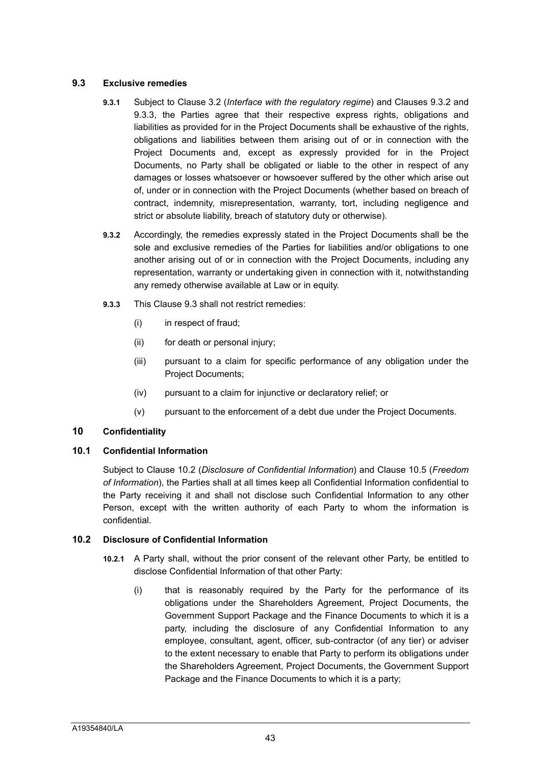# **9.3 Exclusive remedies**

- **9.3.1** Subject to Clause 3.2 (*Interface with the regulatory regime*) and Clauses 9.3.2 and 9.3.3, the Parties agree that their respective express rights, obligations and liabilities as provided for in the Project Documents shall be exhaustive of the rights, obligations and liabilities between them arising out of or in connection with the Project Documents and, except as expressly provided for in the Project Documents, no Party shall be obligated or liable to the other in respect of any damages or losses whatsoever or howsoever suffered by the other which arise out of, under or in connection with the Project Documents (whether based on breach of contract, indemnity, misrepresentation, warranty, tort, including negligence and strict or absolute liability, breach of statutory duty or otherwise).
- **9.3.2** Accordingly, the remedies expressly stated in the Project Documents shall be the sole and exclusive remedies of the Parties for liabilities and/or obligations to one another arising out of or in connection with the Project Documents, including any representation, warranty or undertaking given in connection with it, notwithstanding any remedy otherwise available at Law or in equity.
- **9.3.3** This Clause 9.3 shall not restrict remedies:
	- (i) in respect of fraud;
	- (ii) for death or personal injury;
	- (iii) pursuant to a claim for specific performance of any obligation under the Project Documents;
	- (iv) pursuant to a claim for injunctive or declaratory relief; or
	- (v) pursuant to the enforcement of a debt due under the Project Documents.

# **10 Confidentiality**

# **10.1 Confidential Information**

Subject to Clause 10.2 (*Disclosure of Confidential Information*) and Clause 10.5 (*Freedom of Information*), the Parties shall at all times keep all Confidential Information confidential to the Party receiving it and shall not disclose such Confidential Information to any other Person, except with the written authority of each Party to whom the information is confidential.

# **10.2 Disclosure of Confidential Information**

- **10.2.1** A Party shall, without the prior consent of the relevant other Party, be entitled to disclose Confidential Information of that other Party:
	- (i) that is reasonably required by the Party for the performance of its obligations under the Shareholders Agreement, Project Documents, the Government Support Package and the Finance Documents to which it is a party, including the disclosure of any Confidential Information to any employee, consultant, agent, officer, sub-contractor (of any tier) or adviser to the extent necessary to enable that Party to perform its obligations under the Shareholders Agreement, Project Documents, the Government Support Package and the Finance Documents to which it is a party;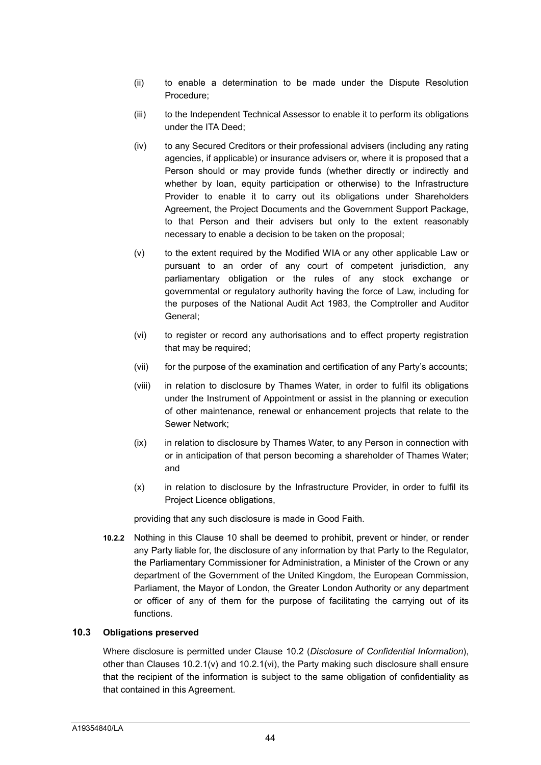- (ii) to enable a determination to be made under the Dispute Resolution Procedure;
- (iii) to the Independent Technical Assessor to enable it to perform its obligations under the ITA Deed;
- (iv) to any Secured Creditors or their professional advisers (including any rating agencies, if applicable) or insurance advisers or, where it is proposed that a Person should or may provide funds (whether directly or indirectly and whether by loan, equity participation or otherwise) to the Infrastructure Provider to enable it to carry out its obligations under Shareholders Agreement, the Project Documents and the Government Support Package, to that Person and their advisers but only to the extent reasonably necessary to enable a decision to be taken on the proposal;
- (v) to the extent required by the Modified WIA or any other applicable Law or pursuant to an order of any court of competent jurisdiction, any parliamentary obligation or the rules of any stock exchange or governmental or regulatory authority having the force of Law, including for the purposes of the National Audit Act 1983, the Comptroller and Auditor General;
- (vi) to register or record any authorisations and to effect property registration that may be required;
- (vii) for the purpose of the examination and certification of any Party's accounts;
- (viii) in relation to disclosure by Thames Water, in order to fulfil its obligations under the Instrument of Appointment or assist in the planning or execution of other maintenance, renewal or enhancement projects that relate to the Sewer Network;
- (ix) in relation to disclosure by Thames Water, to any Person in connection with or in anticipation of that person becoming a shareholder of Thames Water; and
- (x) in relation to disclosure by the Infrastructure Provider, in order to fulfil its Project Licence obligations,

providing that any such disclosure is made in Good Faith.

**10.2.2** Nothing in this Clause 10 shall be deemed to prohibit, prevent or hinder, or render any Party liable for, the disclosure of any information by that Party to the Regulator, the Parliamentary Commissioner for Administration, a Minister of the Crown or any department of the Government of the United Kingdom, the European Commission, Parliament, the Mayor of London, the Greater London Authority or any department or officer of any of them for the purpose of facilitating the carrying out of its functions.

# **10.3 Obligations preserved**

Where disclosure is permitted under Clause 10.2 (*Disclosure of Confidential Information*), other than Clauses  $10.2.1(v)$  and  $10.2.1(vi)$ , the Party making such disclosure shall ensure that the recipient of the information is subject to the same obligation of confidentiality as that contained in this Agreement.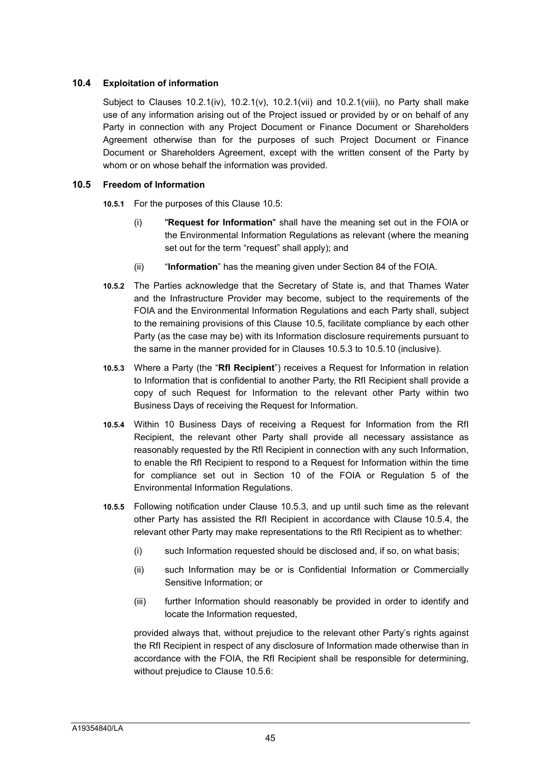# **10.4 Exploitation of information**

Subject to Clauses  $10.2.1(iv)$ ,  $10.2.1(v)$ ,  $10.2.1(vii)$  and  $10.2.1(viii)$ , no Party shall make use of any information arising out of the Project issued or provided by or on behalf of any Party in connection with any Project Document or Finance Document or Shareholders Agreement otherwise than for the purposes of such Project Document or Finance Document or Shareholders Agreement, except with the written consent of the Party by whom or on whose behalf the information was provided.

## **10.5 Freedom of Information**

**10.5.1** For the purposes of this Clause 10.5:

- (i) "**Request for Information**" shall have the meaning set out in the FOIA or the Environmental Information Regulations as relevant (where the meaning set out for the term "request" shall apply); and
- (ii) "**Information**" has the meaning given under Section 84 of the FOIA.
- **10.5.2** The Parties acknowledge that the Secretary of State is, and that Thames Water and the Infrastructure Provider may become, subject to the requirements of the FOIA and the Environmental Information Regulations and each Party shall, subject to the remaining provisions of this Clause 10.5, facilitate compliance by each other Party (as the case may be) with its Information disclosure requirements pursuant to the same in the manner provided for in Clauses 10.5.3 to 10.5.10 (inclusive).
- **10.5.3** Where a Party (the "**RfI Recipient**") receives a Request for Information in relation to Information that is confidential to another Party, the RfI Recipient shall provide a copy of such Request for Information to the relevant other Party within two Business Days of receiving the Request for Information.
- **10.5.4** Within 10 Business Days of receiving a Request for Information from the RfI Recipient, the relevant other Party shall provide all necessary assistance as reasonably requested by the RfI Recipient in connection with any such Information, to enable the RfI Recipient to respond to a Request for Information within the time for compliance set out in Section 10 of the FOIA or Regulation 5 of the Environmental Information Regulations.
- **10.5.5** Following notification under Clause 10.5.3, and up until such time as the relevant other Party has assisted the RfI Recipient in accordance with Clause 10.5.4, the relevant other Party may make representations to the RfI Recipient as to whether:
	- (i) such Information requested should be disclosed and, if so, on what basis;
	- (ii) such Information may be or is Confidential Information or Commercially Sensitive Information; or
	- (iii) further Information should reasonably be provided in order to identify and locate the Information requested,

provided always that, without prejudice to the relevant other Party's rights against the RfI Recipient in respect of any disclosure of Information made otherwise than in accordance with the FOIA, the RfI Recipient shall be responsible for determining, without prejudice to Clause 10.5.6: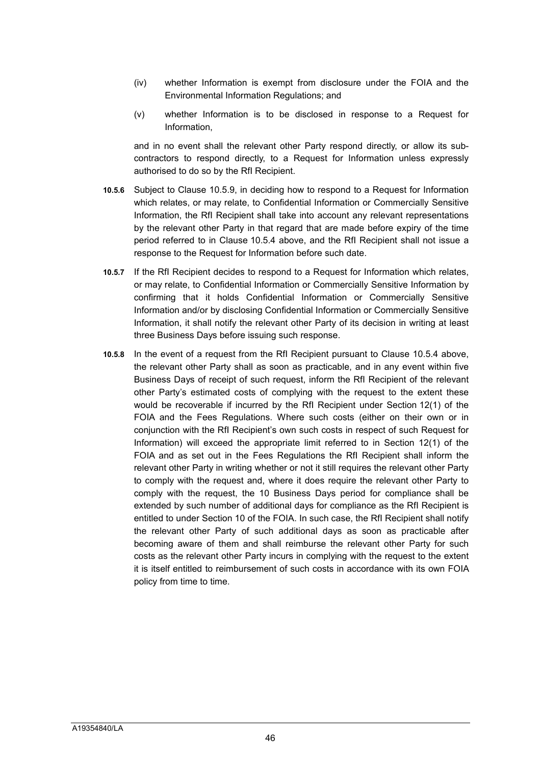- (iv) whether Information is exempt from disclosure under the FOIA and the Environmental Information Regulations; and
- (v) whether Information is to be disclosed in response to a Request for Information,

and in no event shall the relevant other Party respond directly, or allow its subcontractors to respond directly, to a Request for Information unless expressly authorised to do so by the RfI Recipient.

- **10.5.6** Subject to Clause 10.5.9, in deciding how to respond to a Request for Information which relates, or may relate, to Confidential Information or Commercially Sensitive Information, the RfI Recipient shall take into account any relevant representations by the relevant other Party in that regard that are made before expiry of the time period referred to in Clause 10.5.4 above, and the RfI Recipient shall not issue a response to the Request for Information before such date.
- **10.5.7** If the RfI Recipient decides to respond to a Request for Information which relates, or may relate, to Confidential Information or Commercially Sensitive Information by confirming that it holds Confidential Information or Commercially Sensitive Information and/or by disclosing Confidential Information or Commercially Sensitive Information, it shall notify the relevant other Party of its decision in writing at least three Business Days before issuing such response.
- **10.5.8** In the event of a request from the RfI Recipient pursuant to Clause 10.5.4 above, the relevant other Party shall as soon as practicable, and in any event within five Business Days of receipt of such request, inform the RfI Recipient of the relevant other Party's estimated costs of complying with the request to the extent these would be recoverable if incurred by the RfI Recipient under Section 12(1) of the FOIA and the Fees Regulations. Where such costs (either on their own or in conjunction with the RfI Recipient's own such costs in respect of such Request for Information) will exceed the appropriate limit referred to in Section 12(1) of the FOIA and as set out in the Fees Regulations the RfI Recipient shall inform the relevant other Party in writing whether or not it still requires the relevant other Party to comply with the request and, where it does require the relevant other Party to comply with the request, the 10 Business Days period for compliance shall be extended by such number of additional days for compliance as the RfI Recipient is entitled to under Section 10 of the FOIA. In such case, the RfI Recipient shall notify the relevant other Party of such additional days as soon as practicable after becoming aware of them and shall reimburse the relevant other Party for such costs as the relevant other Party incurs in complying with the request to the extent it is itself entitled to reimbursement of such costs in accordance with its own FOIA policy from time to time.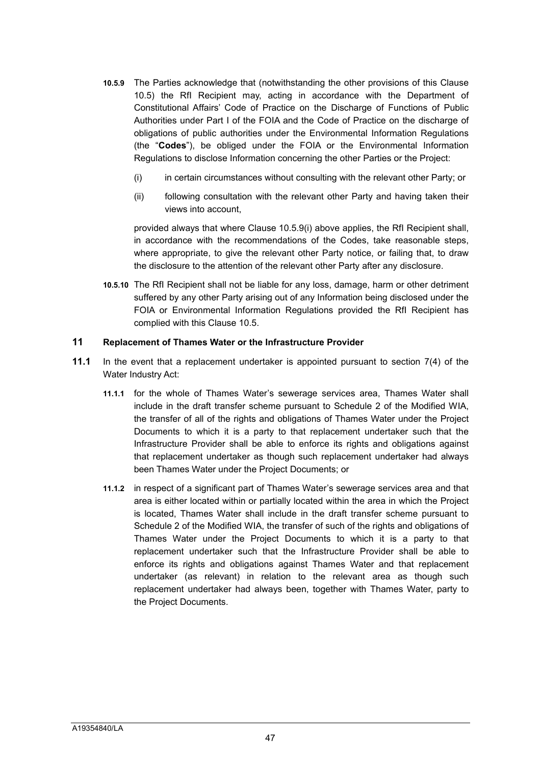- **10.5.9** The Parties acknowledge that (notwithstanding the other provisions of this Clause 10.5) the RfI Recipient may, acting in accordance with the Department of Constitutional Affairs' Code of Practice on the Discharge of Functions of Public Authorities under Part I of the FOIA and the Code of Practice on the discharge of obligations of public authorities under the Environmental Information Regulations (the "**Codes**"), be obliged under the FOIA or the Environmental Information Regulations to disclose Information concerning the other Parties or the Project:
	- (i) in certain circumstances without consulting with the relevant other Party; or
	- (ii) following consultation with the relevant other Party and having taken their views into account,

provided always that where Clause 10.5.9(i) above applies, the RfI Recipient shall, in accordance with the recommendations of the Codes, take reasonable steps, where appropriate, to give the relevant other Party notice, or failing that, to draw the disclosure to the attention of the relevant other Party after any disclosure.

**10.5.10** The RfI Recipient shall not be liable for any loss, damage, harm or other detriment suffered by any other Party arising out of any Information being disclosed under the FOIA or Environmental Information Regulations provided the RfI Recipient has complied with this Clause 10.5.

### **11 Replacement of Thames Water or the Infrastructure Provider**

- **11.1** In the event that a replacement undertaker is appointed pursuant to section 7(4) of the Water Industry Act:
	- **11.1.1** for the whole of Thames Water's sewerage services area, Thames Water shall include in the draft transfer scheme pursuant to Schedule 2 of the Modified WIA, the transfer of all of the rights and obligations of Thames Water under the Project Documents to which it is a party to that replacement undertaker such that the Infrastructure Provider shall be able to enforce its rights and obligations against that replacement undertaker as though such replacement undertaker had always been Thames Water under the Project Documents; or
	- **11.1.2** in respect of a significant part of Thames Water's sewerage services area and that area is either located within or partially located within the area in which the Project is located, Thames Water shall include in the draft transfer scheme pursuant to Schedule 2 of the Modified WIA, the transfer of such of the rights and obligations of Thames Water under the Project Documents to which it is a party to that replacement undertaker such that the Infrastructure Provider shall be able to enforce its rights and obligations against Thames Water and that replacement undertaker (as relevant) in relation to the relevant area as though such replacement undertaker had always been, together with Thames Water, party to the Project Documents.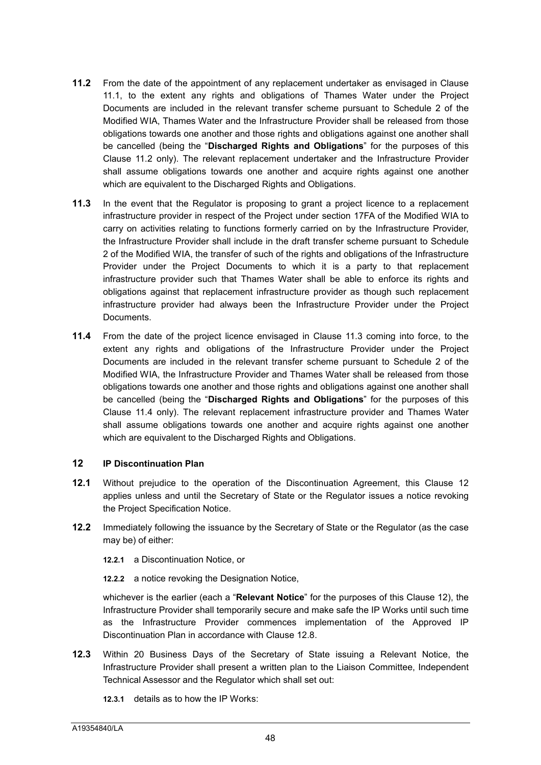- **11.2** From the date of the appointment of any replacement undertaker as envisaged in Clause 11.1, to the extent any rights and obligations of Thames Water under the Project Documents are included in the relevant transfer scheme pursuant to Schedule 2 of the Modified WIA, Thames Water and the Infrastructure Provider shall be released from those obligations towards one another and those rights and obligations against one another shall be cancelled (being the "**Discharged Rights and Obligations**" for the purposes of this Clause 11.2 only). The relevant replacement undertaker and the Infrastructure Provider shall assume obligations towards one another and acquire rights against one another which are equivalent to the Discharged Rights and Obligations.
- **11.3** In the event that the Regulator is proposing to grant a project licence to a replacement infrastructure provider in respect of the Project under section 17FA of the Modified WIA to carry on activities relating to functions formerly carried on by the Infrastructure Provider, the Infrastructure Provider shall include in the draft transfer scheme pursuant to Schedule 2 of the Modified WIA, the transfer of such of the rights and obligations of the Infrastructure Provider under the Project Documents to which it is a party to that replacement infrastructure provider such that Thames Water shall be able to enforce its rights and obligations against that replacement infrastructure provider as though such replacement infrastructure provider had always been the Infrastructure Provider under the Project **Documents**
- **11.4** From the date of the project licence envisaged in Clause 11.3 coming into force, to the extent any rights and obligations of the Infrastructure Provider under the Project Documents are included in the relevant transfer scheme pursuant to Schedule 2 of the Modified WIA, the Infrastructure Provider and Thames Water shall be released from those obligations towards one another and those rights and obligations against one another shall be cancelled (being the "**Discharged Rights and Obligations**" for the purposes of this Clause 11.4 only). The relevant replacement infrastructure provider and Thames Water shall assume obligations towards one another and acquire rights against one another which are equivalent to the Discharged Rights and Obligations.

# **12 IP Discontinuation Plan**

- **12.1** Without prejudice to the operation of the Discontinuation Agreement, this Clause 12 applies unless and until the Secretary of State or the Regulator issues a notice revoking the Project Specification Notice.
- **12.2** Immediately following the issuance by the Secretary of State or the Regulator (as the case may be) of either:
	- **12.2.1** a Discontinuation Notice, or
	- **12.2.2** a notice revoking the Designation Notice,

whichever is the earlier (each a "**Relevant Notice**" for the purposes of this Clause 12), the Infrastructure Provider shall temporarily secure and make safe the IP Works until such time as the Infrastructure Provider commences implementation of the Approved IP Discontinuation Plan in accordance with Clause 12.8.

- **12.3** Within 20 Business Days of the Secretary of State issuing a Relevant Notice, the Infrastructure Provider shall present a written plan to the Liaison Committee, Independent Technical Assessor and the Regulator which shall set out:
	- **12.3.1** details as to how the IP Works: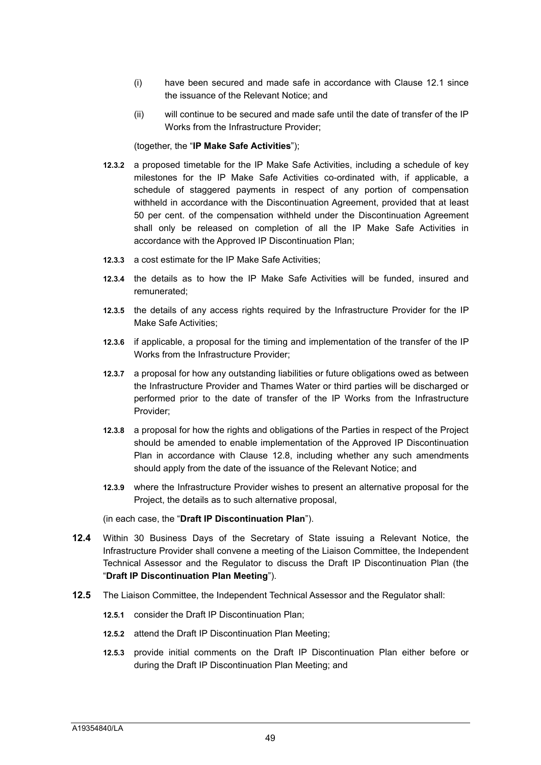- (i) have been secured and made safe in accordance with Clause 12.1 since the issuance of the Relevant Notice; and
- (ii) will continue to be secured and made safe until the date of transfer of the IP Works from the Infrastructure Provider;

#### (together, the "**IP Make Safe Activities**");

- **12.3.2** a proposed timetable for the IP Make Safe Activities, including a schedule of key milestones for the IP Make Safe Activities co-ordinated with, if applicable, a schedule of staggered payments in respect of any portion of compensation withheld in accordance with the Discontinuation Agreement, provided that at least 50 per cent. of the compensation withheld under the Discontinuation Agreement shall only be released on completion of all the IP Make Safe Activities in accordance with the Approved IP Discontinuation Plan;
- **12.3.3** a cost estimate for the IP Make Safe Activities;
- **12.3.4** the details as to how the IP Make Safe Activities will be funded, insured and remunerated;
- **12.3.5** the details of any access rights required by the Infrastructure Provider for the IP Make Safe Activities;
- **12.3.6** if applicable, a proposal for the timing and implementation of the transfer of the IP Works from the Infrastructure Provider;
- **12.3.7** a proposal for how any outstanding liabilities or future obligations owed as between the Infrastructure Provider and Thames Water or third parties will be discharged or performed prior to the date of transfer of the IP Works from the Infrastructure Provider;
- **12.3.8** a proposal for how the rights and obligations of the Parties in respect of the Project should be amended to enable implementation of the Approved IP Discontinuation Plan in accordance with Clause 12.8, including whether any such amendments should apply from the date of the issuance of the Relevant Notice; and
- **12.3.9** where the Infrastructure Provider wishes to present an alternative proposal for the Project, the details as to such alternative proposal,

#### (in each case, the "**Draft IP Discontinuation Plan**").

- **12.4** Within 30 Business Days of the Secretary of State issuing a Relevant Notice, the Infrastructure Provider shall convene a meeting of the Liaison Committee, the Independent Technical Assessor and the Regulator to discuss the Draft IP Discontinuation Plan (the "**Draft IP Discontinuation Plan Meeting**").
- **12.5** The Liaison Committee, the Independent Technical Assessor and the Regulator shall:
	- **12.5.1** consider the Draft IP Discontinuation Plan;
	- **12.5.2** attend the Draft IP Discontinuation Plan Meeting;
	- **12.5.3** provide initial comments on the Draft IP Discontinuation Plan either before or during the Draft IP Discontinuation Plan Meeting; and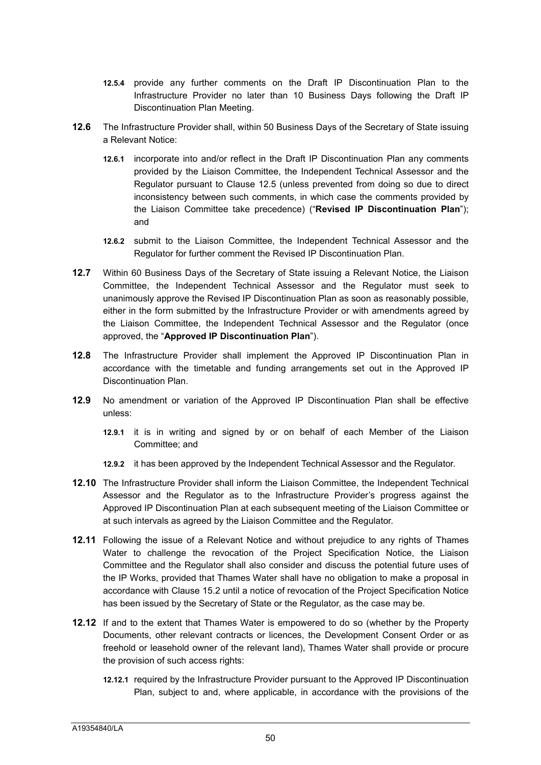- **12.5.4** provide any further comments on the Draft IP Discontinuation Plan to the Infrastructure Provider no later than 10 Business Days following the Draft IP Discontinuation Plan Meeting.
- **12.6** The Infrastructure Provider shall, within 50 Business Days of the Secretary of State issuing a Relevant Notice:
	- **12.6.1** incorporate into and/or reflect in the Draft IP Discontinuation Plan any comments provided by the Liaison Committee, the Independent Technical Assessor and the Regulator pursuant to Clause 12.5 (unless prevented from doing so due to direct inconsistency between such comments, in which case the comments provided by the Liaison Committee take precedence) ("**Revised IP Discontinuation Plan**"); and
	- **12.6.2** submit to the Liaison Committee, the Independent Technical Assessor and the Regulator for further comment the Revised IP Discontinuation Plan.
- **12.7** Within 60 Business Days of the Secretary of State issuing a Relevant Notice, the Liaison Committee, the Independent Technical Assessor and the Regulator must seek to unanimously approve the Revised IP Discontinuation Plan as soon as reasonably possible, either in the form submitted by the Infrastructure Provider or with amendments agreed by the Liaison Committee, the Independent Technical Assessor and the Regulator (once approved, the "**Approved IP Discontinuation Plan**").
- **12.8** The Infrastructure Provider shall implement the Approved IP Discontinuation Plan in accordance with the timetable and funding arrangements set out in the Approved IP Discontinuation Plan.
- **12.9** No amendment or variation of the Approved IP Discontinuation Plan shall be effective unless:
	- **12.9.1** it is in writing and signed by or on behalf of each Member of the Liaison Committee; and
	- **12.9.2** it has been approved by the Independent Technical Assessor and the Regulator.
- **12.10** The Infrastructure Provider shall inform the Liaison Committee, the Independent Technical Assessor and the Regulator as to the Infrastructure Provider's progress against the Approved IP Discontinuation Plan at each subsequent meeting of the Liaison Committee or at such intervals as agreed by the Liaison Committee and the Regulator.
- **12.11** Following the issue of a Relevant Notice and without prejudice to any rights of Thames Water to challenge the revocation of the Project Specification Notice, the Liaison Committee and the Regulator shall also consider and discuss the potential future uses of the IP Works, provided that Thames Water shall have no obligation to make a proposal in accordance with Clause 15.2 until a notice of revocation of the Project Specification Notice has been issued by the Secretary of State or the Regulator, as the case may be.
- **12.12** If and to the extent that Thames Water is empowered to do so (whether by the Property Documents, other relevant contracts or licences, the Development Consent Order or as freehold or leasehold owner of the relevant land), Thames Water shall provide or procure the provision of such access rights:
	- **12.12.1** required by the Infrastructure Provider pursuant to the Approved IP Discontinuation Plan, subject to and, where applicable, in accordance with the provisions of the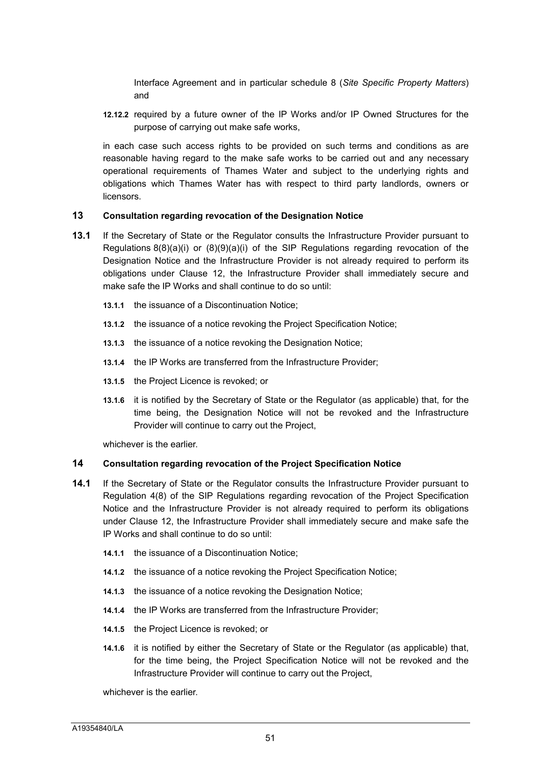Interface Agreement and in particular schedule 8 (*Site Specific Property Matters*) and

**12.12.2** required by a future owner of the IP Works and/or IP Owned Structures for the purpose of carrying out make safe works,

in each case such access rights to be provided on such terms and conditions as are reasonable having regard to the make safe works to be carried out and any necessary operational requirements of Thames Water and subject to the underlying rights and obligations which Thames Water has with respect to third party landlords, owners or **licensors** 

#### **13 Consultation regarding revocation of the Designation Notice**

- **13.1** If the Secretary of State or the Regulator consults the Infrastructure Provider pursuant to Regulations 8(8)(a)(i) or (8)(9)(a)(i) of the SIP Regulations regarding revocation of the Designation Notice and the Infrastructure Provider is not already required to perform its obligations under Clause 12, the Infrastructure Provider shall immediately secure and make safe the IP Works and shall continue to do so until
	- **13.1.1** the issuance of a Discontinuation Notice;
	- **13.1.2** the issuance of a notice revoking the Project Specification Notice;
	- **13.1.3** the issuance of a notice revoking the Designation Notice;
	- **13.1.4** the IP Works are transferred from the Infrastructure Provider;
	- **13.1.5** the Project Licence is revoked; or
	- **13.1.6** it is notified by the Secretary of State or the Regulator (as applicable) that, for the time being, the Designation Notice will not be revoked and the Infrastructure Provider will continue to carry out the Project,

whichever is the earlier.

#### **14 Consultation regarding revocation of the Project Specification Notice**

- **14.1** If the Secretary of State or the Regulator consults the Infrastructure Provider pursuant to Regulation 4(8) of the SIP Regulations regarding revocation of the Project Specification Notice and the Infrastructure Provider is not already required to perform its obligations under Clause 12, the Infrastructure Provider shall immediately secure and make safe the IP Works and shall continue to do so until:
	- **14.1.1** the issuance of a Discontinuation Notice;
	- **14.1.2** the issuance of a notice revoking the Project Specification Notice;
	- **14.1.3** the issuance of a notice revoking the Designation Notice;
	- **14.1.4** the IP Works are transferred from the Infrastructure Provider;
	- **14.1.5** the Project Licence is revoked; or
	- **14.1.6** it is notified by either the Secretary of State or the Regulator (as applicable) that, for the time being, the Project Specification Notice will not be revoked and the Infrastructure Provider will continue to carry out the Project,

whichever is the earlier.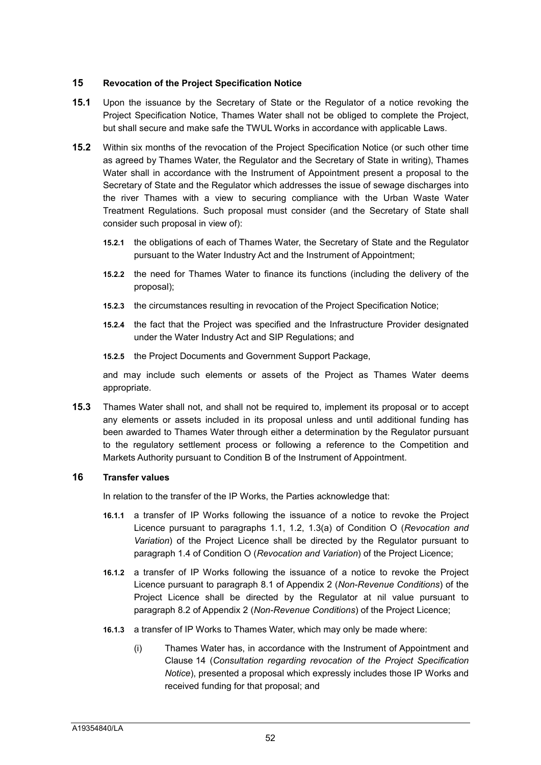# **15 Revocation of the Project Specification Notice**

- **15.1** Upon the issuance by the Secretary of State or the Regulator of a notice revoking the Project Specification Notice, Thames Water shall not be obliged to complete the Project, but shall secure and make safe the TWUL Works in accordance with applicable Laws.
- **15.2** Within six months of the revocation of the Project Specification Notice (or such other time as agreed by Thames Water, the Regulator and the Secretary of State in writing), Thames Water shall in accordance with the Instrument of Appointment present a proposal to the Secretary of State and the Regulator which addresses the issue of sewage discharges into the river Thames with a view to securing compliance with the Urban Waste Water Treatment Regulations. Such proposal must consider (and the Secretary of State shall consider such proposal in view of):
	- **15.2.1** the obligations of each of Thames Water, the Secretary of State and the Regulator pursuant to the Water Industry Act and the Instrument of Appointment;
	- **15.2.2** the need for Thames Water to finance its functions (including the delivery of the proposal);
	- **15.2.3** the circumstances resulting in revocation of the Project Specification Notice;
	- **15.2.4** the fact that the Project was specified and the Infrastructure Provider designated under the Water Industry Act and SIP Regulations; and
	- **15.2.5** the Project Documents and Government Support Package,

and may include such elements or assets of the Project as Thames Water deems appropriate.

**15.3** Thames Water shall not, and shall not be required to, implement its proposal or to accept any elements or assets included in its proposal unless and until additional funding has been awarded to Thames Water through either a determination by the Regulator pursuant to the regulatory settlement process or following a reference to the Competition and Markets Authority pursuant to Condition B of the Instrument of Appointment.

#### **16 Transfer values**

In relation to the transfer of the IP Works, the Parties acknowledge that:

- **16.1.1** a transfer of IP Works following the issuance of a notice to revoke the Project Licence pursuant to paragraphs 1.1, 1.2, 1.3(a) of Condition O (*Revocation and Variation*) of the Project Licence shall be directed by the Regulator pursuant to paragraph 1.4 of Condition O (*Revocation and Variation*) of the Project Licence;
- **16.1.2** a transfer of IP Works following the issuance of a notice to revoke the Project Licence pursuant to paragraph 8.1 of Appendix 2 (*Non-Revenue Conditions*) of the Project Licence shall be directed by the Regulator at nil value pursuant to paragraph 8.2 of Appendix 2 (*Non-Revenue Conditions*) of the Project Licence;
- **16.1.3** a transfer of IP Works to Thames Water, which may only be made where:
	- (i) Thames Water has, in accordance with the Instrument of Appointment and Clause 14 (*Consultation regarding revocation of the Project Specification Notice*), presented a proposal which expressly includes those IP Works and received funding for that proposal; and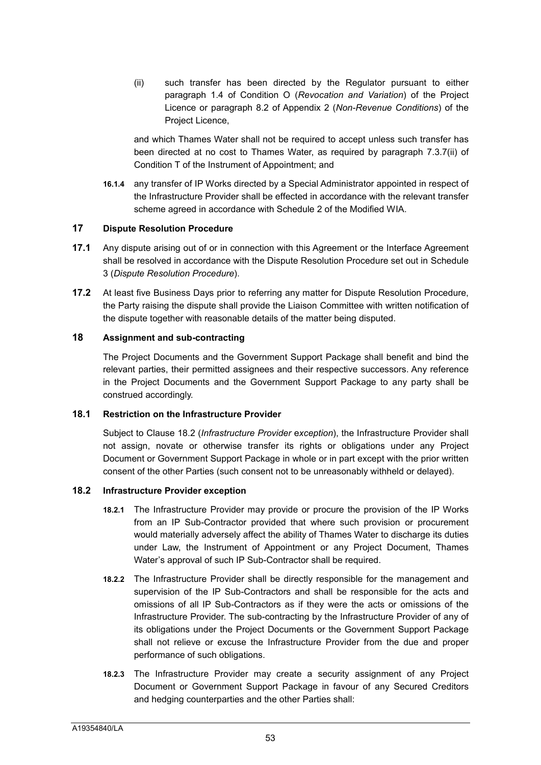(ii) such transfer has been directed by the Regulator pursuant to either paragraph 1.4 of Condition O (*Revocation and Variation*) of the Project Licence or paragraph 8.2 of Appendix 2 (*Non-Revenue Conditions*) of the Project Licence,

and which Thames Water shall not be required to accept unless such transfer has been directed at no cost to Thames Water, as required by paragraph 7.3.7(ii) of Condition T of the Instrument of Appointment; and

**16.1.4** any transfer of IP Works directed by a Special Administrator appointed in respect of the Infrastructure Provider shall be effected in accordance with the relevant transfer scheme agreed in accordance with Schedule 2 of the Modified WIA.

### **17 Dispute Resolution Procedure**

- **17.1** Any dispute arising out of or in connection with this Agreement or the Interface Agreement shall be resolved in accordance with the Dispute Resolution Procedure set out in Schedule 3 (*Dispute Resolution Procedure*).
- **17.2** At least five Business Days prior to referring any matter for Dispute Resolution Procedure, the Party raising the dispute shall provide the Liaison Committee with written notification of the dispute together with reasonable details of the matter being disputed.

# **18 Assignment and sub-contracting**

The Project Documents and the Government Support Package shall benefit and bind the relevant parties, their permitted assignees and their respective successors. Any reference in the Project Documents and the Government Support Package to any party shall be construed accordingly.

## **18.1 Restriction on the Infrastructure Provider**

Subject to Clause 18.2 (*Infrastructure Provider* e*xception*), the Infrastructure Provider shall not assign, novate or otherwise transfer its rights or obligations under any Project Document or Government Support Package in whole or in part except with the prior written consent of the other Parties (such consent not to be unreasonably withheld or delayed).

# **18.2 Infrastructure Provider exception**

- **18.2.1** The Infrastructure Provider may provide or procure the provision of the IP Works from an IP Sub-Contractor provided that where such provision or procurement would materially adversely affect the ability of Thames Water to discharge its duties under Law, the Instrument of Appointment or any Project Document, Thames Water's approval of such IP Sub-Contractor shall be required.
- **18.2.2** The Infrastructure Provider shall be directly responsible for the management and supervision of the IP Sub-Contractors and shall be responsible for the acts and omissions of all IP Sub-Contractors as if they were the acts or omissions of the Infrastructure Provider. The sub-contracting by the Infrastructure Provider of any of its obligations under the Project Documents or the Government Support Package shall not relieve or excuse the Infrastructure Provider from the due and proper performance of such obligations.
- **18.2.3** The Infrastructure Provider may create a security assignment of any Project Document or Government Support Package in favour of any Secured Creditors and hedging counterparties and the other Parties shall: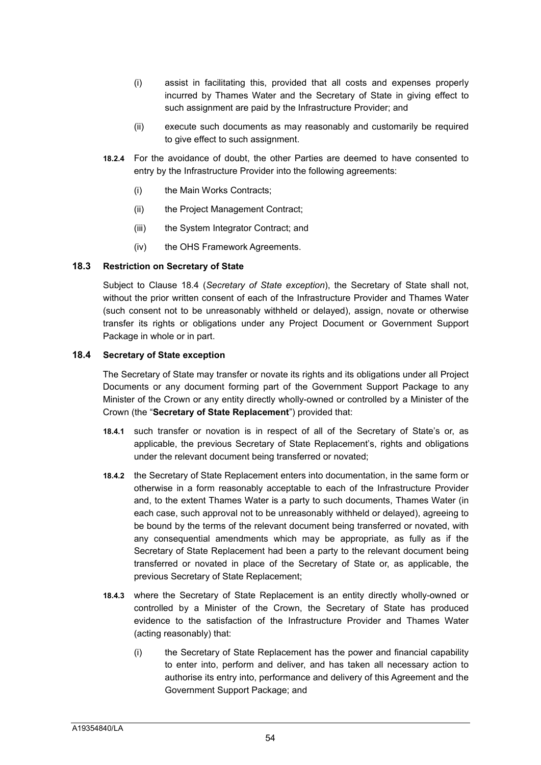- (i) assist in facilitating this, provided that all costs and expenses properly incurred by Thames Water and the Secretary of State in giving effect to such assignment are paid by the Infrastructure Provider; and
- (ii) execute such documents as may reasonably and customarily be required to give effect to such assignment.
- **18.2.4** For the avoidance of doubt, the other Parties are deemed to have consented to entry by the Infrastructure Provider into the following agreements:
	- (i) the Main Works Contracts;
	- (ii) the Project Management Contract;
	- (iii) the System Integrator Contract; and
	- (iv) the OHS Framework Agreements.

# **18.3 Restriction on Secretary of State**

Subject to Clause 18.4 (*Secretary of State exception*), the Secretary of State shall not, without the prior written consent of each of the Infrastructure Provider and Thames Water (such consent not to be unreasonably withheld or delayed), assign, novate or otherwise transfer its rights or obligations under any Project Document or Government Support Package in whole or in part.

# **18.4 Secretary of State exception**

The Secretary of State may transfer or novate its rights and its obligations under all Project Documents or any document forming part of the Government Support Package to any Minister of the Crown or any entity directly wholly-owned or controlled by a Minister of the Crown (the "**Secretary of State Replacement**") provided that:

- **18.4.1** such transfer or novation is in respect of all of the Secretary of State's or, as applicable, the previous Secretary of State Replacement's, rights and obligations under the relevant document being transferred or novated;
- **18.4.2** the Secretary of State Replacement enters into documentation, in the same form or otherwise in a form reasonably acceptable to each of the Infrastructure Provider and, to the extent Thames Water is a party to such documents, Thames Water (in each case, such approval not to be unreasonably withheld or delayed), agreeing to be bound by the terms of the relevant document being transferred or novated, with any consequential amendments which may be appropriate, as fully as if the Secretary of State Replacement had been a party to the relevant document being transferred or novated in place of the Secretary of State or, as applicable, the previous Secretary of State Replacement;
- **18.4.3** where the Secretary of State Replacement is an entity directly wholly-owned or controlled by a Minister of the Crown, the Secretary of State has produced evidence to the satisfaction of the Infrastructure Provider and Thames Water (acting reasonably) that:
	- (i) the Secretary of State Replacement has the power and financial capability to enter into, perform and deliver, and has taken all necessary action to authorise its entry into, performance and delivery of this Agreement and the Government Support Package; and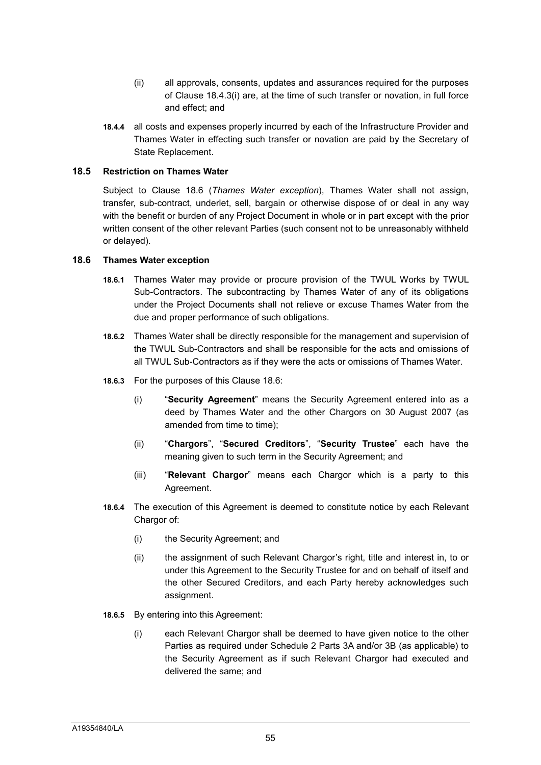- (ii) all approvals, consents, updates and assurances required for the purposes of Clause 18.4.3(i) are, at the time of such transfer or novation, in full force and effect; and
- **18.4.4** all costs and expenses properly incurred by each of the Infrastructure Provider and Thames Water in effecting such transfer or novation are paid by the Secretary of State Replacement.

## **18.5 Restriction on Thames Water**

Subject to Clause 18.6 (*Thames Water exception*), Thames Water shall not assign, transfer, sub-contract, underlet, sell, bargain or otherwise dispose of or deal in any way with the benefit or burden of any Project Document in whole or in part except with the prior written consent of the other relevant Parties (such consent not to be unreasonably withheld or delayed).

# **18.6 Thames Water exception**

- **18.6.1** Thames Water may provide or procure provision of the TWUL Works by TWUL Sub-Contractors. The subcontracting by Thames Water of any of its obligations under the Project Documents shall not relieve or excuse Thames Water from the due and proper performance of such obligations.
- **18.6.2** Thames Water shall be directly responsible for the management and supervision of the TWUL Sub-Contractors and shall be responsible for the acts and omissions of all TWUL Sub-Contractors as if they were the acts or omissions of Thames Water.
- **18.6.3** For the purposes of this Clause 18.6:
	- (i) "**Security Agreement**" means the Security Agreement entered into as a deed by Thames Water and the other Chargors on 30 August 2007 (as amended from time to time);
	- (ii) "**Chargors**", "**Secured Creditors**", "**Security Trustee**" each have the meaning given to such term in the Security Agreement; and
	- (iii) "**Relevant Chargor**" means each Chargor which is a party to this Agreement.
- **18.6.4** The execution of this Agreement is deemed to constitute notice by each Relevant Chargor of:
	- (i) the Security Agreement; and
	- (ii) the assignment of such Relevant Chargor's right, title and interest in, to or under this Agreement to the Security Trustee for and on behalf of itself and the other Secured Creditors, and each Party hereby acknowledges such assignment.
- **18.6.5** By entering into this Agreement:
	- (i) each Relevant Chargor shall be deemed to have given notice to the other Parties as required under Schedule 2 Parts 3A and/or 3B (as applicable) to the Security Agreement as if such Relevant Chargor had executed and delivered the same; and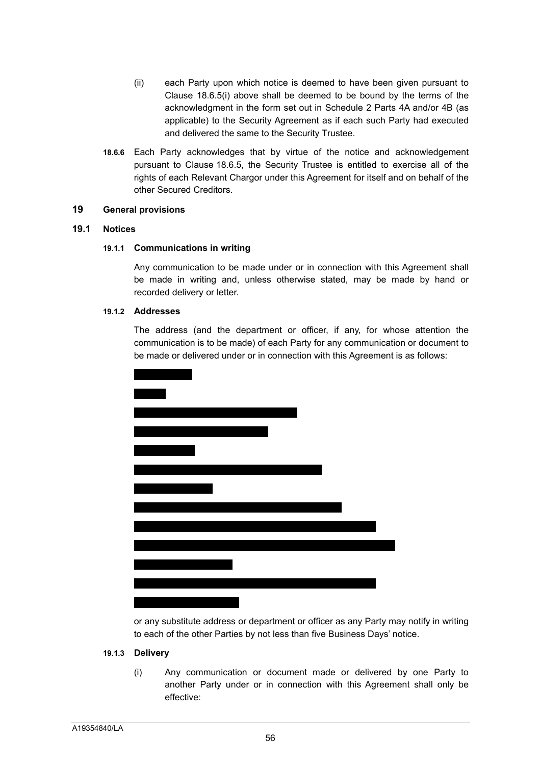- (ii) each Party upon which notice is deemed to have been given pursuant to Clause 18.6.5(i) above shall be deemed to be bound by the terms of the acknowledgment in the form set out in Schedule 2 Parts 4A and/or 4B (as applicable) to the Security Agreement as if each such Party had executed and delivered the same to the Security Trustee.
- **18.6.6** Each Party acknowledges that by virtue of the notice and acknowledgement pursuant to Clause 18.6.5, the Security Trustee is entitled to exercise all of the rights of each Relevant Chargor under this Agreement for itself and on behalf of the other Secured Creditors.

#### **19 General provisions**

## **19.1 Notices**

#### **19.1.1 Communications in writing**

Any communication to be made under or in connection with this Agreement shall be made in writing and, unless otherwise stated, may be made by hand or recorded delivery or letter.

#### **19.1.2 Addresses**

The address (and the department or officer, if any, for whose attention the communication is to be made) of each Party for any communication or document to be made or delivered under or in connection with this Agreement is as follows:



or any substitute address or department or officer as any Party may notify in writing to each of the other Parties by not less than five Business Days' notice.

#### **19.1.3 Delivery**

(i) Any communication or document made or delivered by one Party to another Party under or in connection with this Agreement shall only be effective: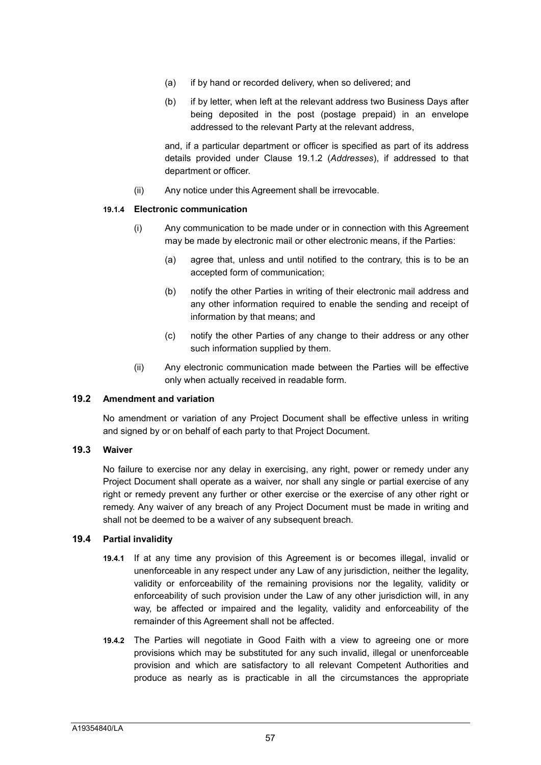- (a) if by hand or recorded delivery, when so delivered; and
- (b) if by letter, when left at the relevant address two Business Days after being deposited in the post (postage prepaid) in an envelope addressed to the relevant Party at the relevant address,

and, if a particular department or officer is specified as part of its address details provided under Clause 19.1.2 (*Addresses*), if addressed to that department or officer.

(ii) Any notice under this Agreement shall be irrevocable.

#### **19.1.4 Electronic communication**

- (i) Any communication to be made under or in connection with this Agreement may be made by electronic mail or other electronic means, if the Parties:
	- (a) agree that, unless and until notified to the contrary, this is to be an accepted form of communication;
	- (b) notify the other Parties in writing of their electronic mail address and any other information required to enable the sending and receipt of information by that means; and
	- (c) notify the other Parties of any change to their address or any other such information supplied by them.
- (ii) Any electronic communication made between the Parties will be effective only when actually received in readable form.

#### **19.2 Amendment and variation**

No amendment or variation of any Project Document shall be effective unless in writing and signed by or on behalf of each party to that Project Document.

### **19.3 Waiver**

No failure to exercise nor any delay in exercising, any right, power or remedy under any Project Document shall operate as a waiver, nor shall any single or partial exercise of any right or remedy prevent any further or other exercise or the exercise of any other right or remedy. Any waiver of any breach of any Project Document must be made in writing and shall not be deemed to be a waiver of any subsequent breach.

#### **19.4 Partial invalidity**

- **19.4.1** If at any time any provision of this Agreement is or becomes illegal, invalid or unenforceable in any respect under any Law of any jurisdiction, neither the legality, validity or enforceability of the remaining provisions nor the legality, validity or enforceability of such provision under the Law of any other jurisdiction will, in any way, be affected or impaired and the legality, validity and enforceability of the remainder of this Agreement shall not be affected.
- **19.4.2** The Parties will negotiate in Good Faith with a view to agreeing one or more provisions which may be substituted for any such invalid, illegal or unenforceable provision and which are satisfactory to all relevant Competent Authorities and produce as nearly as is practicable in all the circumstances the appropriate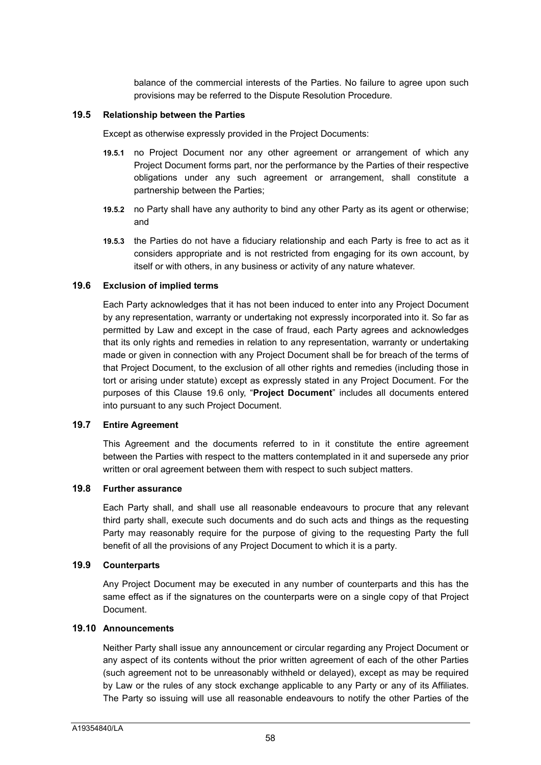balance of the commercial interests of the Parties. No failure to agree upon such provisions may be referred to the Dispute Resolution Procedure*.*

#### **19.5 Relationship between the Parties**

Except as otherwise expressly provided in the Project Documents:

- **19.5.1** no Project Document nor any other agreement or arrangement of which any Project Document forms part, nor the performance by the Parties of their respective obligations under any such agreement or arrangement, shall constitute a partnership between the Parties;
- **19.5.2** no Party shall have any authority to bind any other Party as its agent or otherwise; and
- **19.5.3** the Parties do not have a fiduciary relationship and each Party is free to act as it considers appropriate and is not restricted from engaging for its own account, by itself or with others, in any business or activity of any nature whatever.

# **19.6 Exclusion of implied terms**

Each Party acknowledges that it has not been induced to enter into any Project Document by any representation, warranty or undertaking not expressly incorporated into it. So far as permitted by Law and except in the case of fraud, each Party agrees and acknowledges that its only rights and remedies in relation to any representation, warranty or undertaking made or given in connection with any Project Document shall be for breach of the terms of that Project Document, to the exclusion of all other rights and remedies (including those in tort or arising under statute) except as expressly stated in any Project Document. For the purposes of this Clause 19.6 only, "**Project Document**" includes all documents entered into pursuant to any such Project Document.

#### **19.7 Entire Agreement**

This Agreement and the documents referred to in it constitute the entire agreement between the Parties with respect to the matters contemplated in it and supersede any prior written or oral agreement between them with respect to such subject matters.

# **19.8 Further assurance**

Each Party shall, and shall use all reasonable endeavours to procure that any relevant third party shall, execute such documents and do such acts and things as the requesting Party may reasonably require for the purpose of giving to the requesting Party the full benefit of all the provisions of any Project Document to which it is a party.

# **19.9 Counterparts**

Any Project Document may be executed in any number of counterparts and this has the same effect as if the signatures on the counterparts were on a single copy of that Project Document.

# **19.10 Announcements**

Neither Party shall issue any announcement or circular regarding any Project Document or any aspect of its contents without the prior written agreement of each of the other Parties (such agreement not to be unreasonably withheld or delayed), except as may be required by Law or the rules of any stock exchange applicable to any Party or any of its Affiliates. The Party so issuing will use all reasonable endeavours to notify the other Parties of the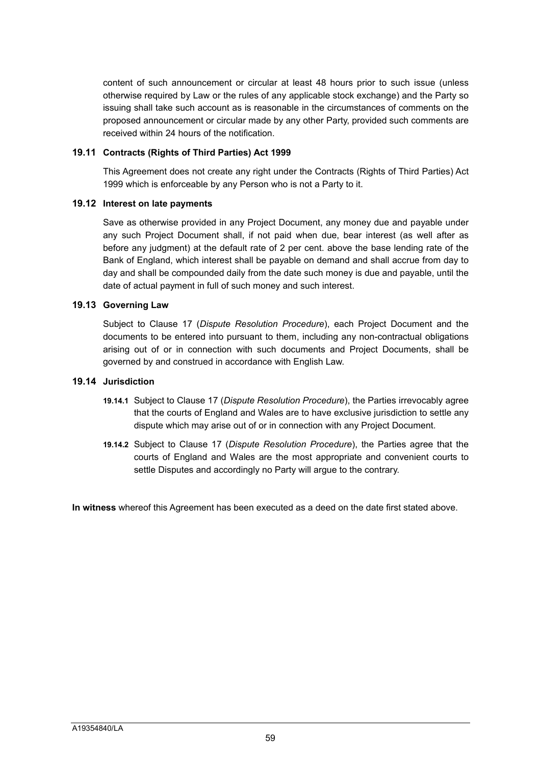content of such announcement or circular at least 48 hours prior to such issue (unless otherwise required by Law or the rules of any applicable stock exchange) and the Party so issuing shall take such account as is reasonable in the circumstances of comments on the proposed announcement or circular made by any other Party, provided such comments are received within 24 hours of the notification.

# **19.11 Contracts (Rights of Third Parties) Act 1999**

This Agreement does not create any right under the Contracts (Rights of Third Parties) Act 1999 which is enforceable by any Person who is not a Party to it.

# **19.12 Interest on late payments**

Save as otherwise provided in any Project Document, any money due and payable under any such Project Document shall, if not paid when due, bear interest (as well after as before any judgment) at the default rate of 2 per cent. above the base lending rate of the Bank of England, which interest shall be payable on demand and shall accrue from day to day and shall be compounded daily from the date such money is due and payable, until the date of actual payment in full of such money and such interest.

# **19.13 Governing Law**

Subject to Clause 17 (*Dispute Resolution Procedure*), each Project Document and the documents to be entered into pursuant to them, including any non-contractual obligations arising out of or in connection with such documents and Project Documents, shall be governed by and construed in accordance with English Law.

## **19.14 Jurisdiction**

- **19.14.1** Subject to Clause 17 (*Dispute Resolution Procedure*), the Parties irrevocably agree that the courts of England and Wales are to have exclusive jurisdiction to settle any dispute which may arise out of or in connection with any Project Document.
- **19.14.2** Subject to Clause 17 (*Dispute Resolution Procedure*), the Parties agree that the courts of England and Wales are the most appropriate and convenient courts to settle Disputes and accordingly no Party will argue to the contrary.

**In witness** whereof this Agreement has been executed as a deed on the date first stated above.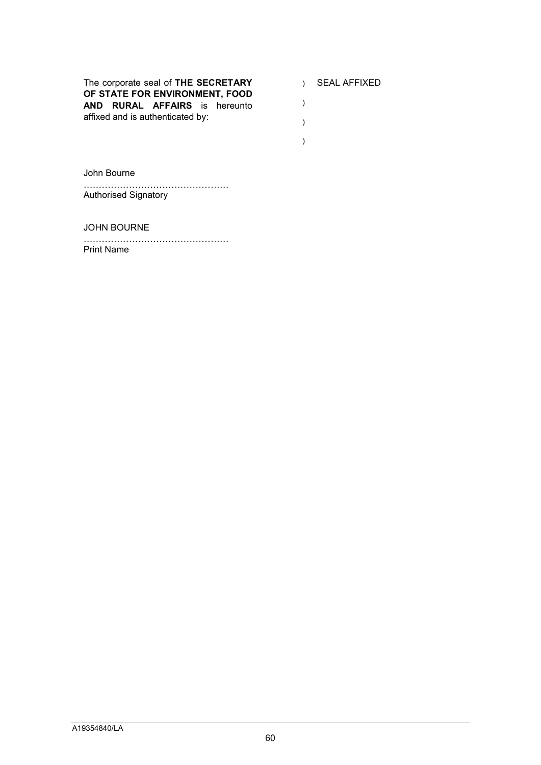The corporate seal of **THE SECRETARY OF STATE FOR ENVIRONMENT, FOOD AND RURAL AFFAIRS** is hereunto affixed and is authenticated by:

- ) SEAL AFFIXED
- )
- )
- )

John Bourne

………………………………………… Authorised Signatory

JOHN BOURNE

………………………………………… Print Name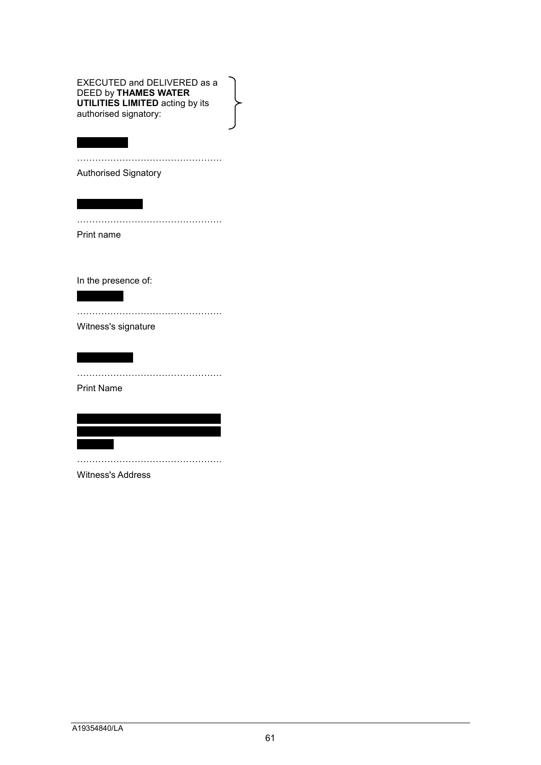EXECUTED and DELIVERED as a DEED by **THAMES WATER UTILITIES LIMITED** acting by its authorised signatory:

…………………………………………

…………………………………………

Authorised Signatory

Print name

In the presence of:

Witness's signature

…………………………………………

…………………………………………

Print Name

| | | | | | | | | | | | | | | | | | | | | | | | | | | | | | | | | | | | | | | | | | | | | | | | | | | | | | | | | | | |

…………………………………………

Witness's Address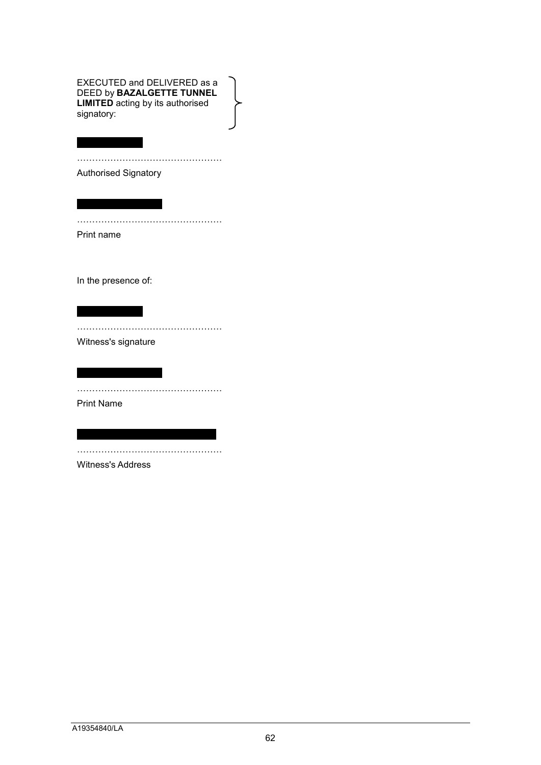EXECUTED and DELIVERED as a DEED by **BAZALGETTE TUNNEL LIMITED** acting by its authorised signatory:

…………………………………………

…………………………………………

Authorised Signatory

| | | | | | | | | | | | | |

Print name

In the presence of:

| | | | | | | | | | | | | |

…………………………………………

Witness's signature

…………………………………………

Print Name

| | | | | | | | | | | | | | | | | | | | | | | | | | | | | …………………………………………

Witness's Address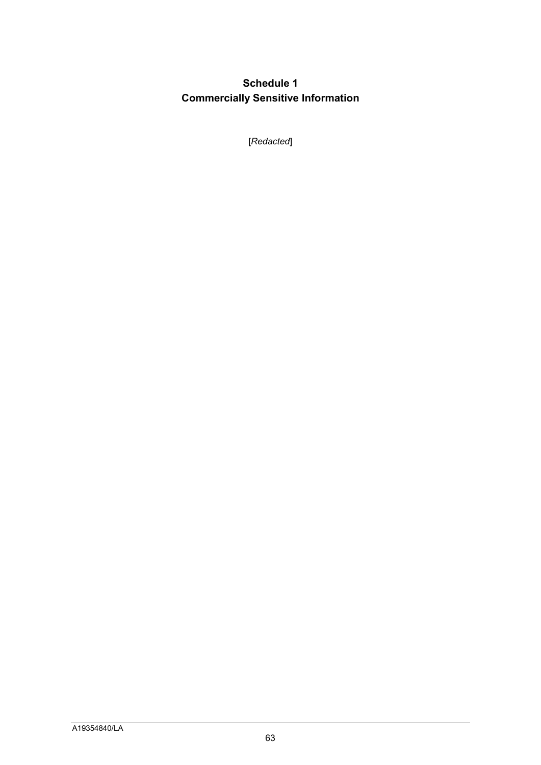# **Schedule 1 Commercially Sensitive Information**

[*Redacted*]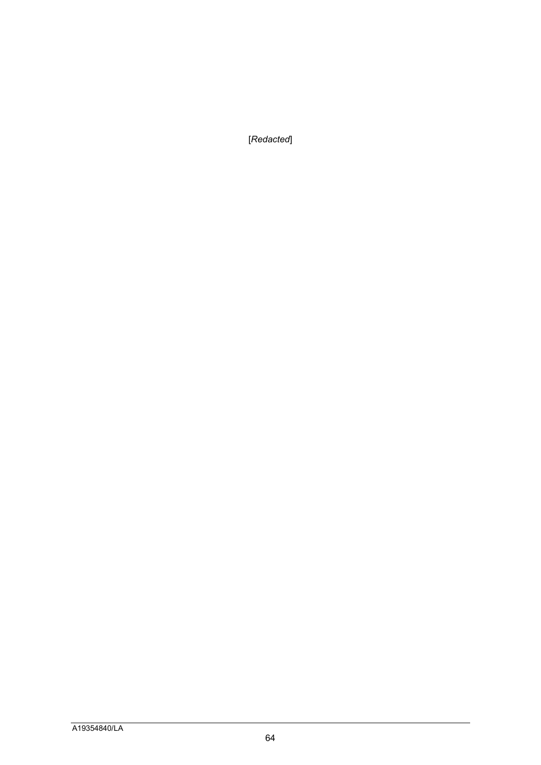[*Redacted*]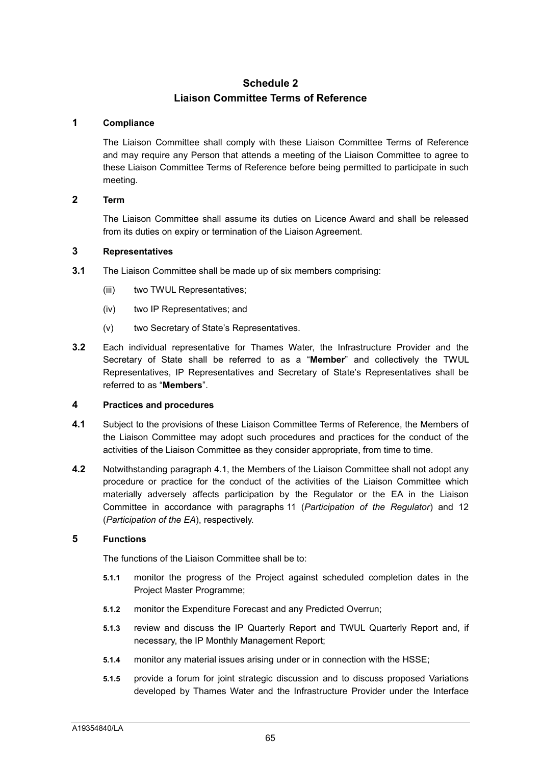# **Schedule 2 Liaison Committee Terms of Reference**

## **1 Compliance**

The Liaison Committee shall comply with these Liaison Committee Terms of Reference and may require any Person that attends a meeting of the Liaison Committee to agree to these Liaison Committee Terms of Reference before being permitted to participate in such meeting.

# **2 Term**

The Liaison Committee shall assume its duties on Licence Award and shall be released from its duties on expiry or termination of the Liaison Agreement.

#### **3 Representatives**

- **3.1** The Liaison Committee shall be made up of six members comprising:
	- (iii) two TWUL Representatives;
	- (iv) two IP Representatives; and
	- (v) two Secretary of State's Representatives.
- **3.2** Each individual representative for Thames Water, the Infrastructure Provider and the Secretary of State shall be referred to as a "**Member**" and collectively the TWUL Representatives, IP Representatives and Secretary of State's Representatives shall be referred to as "**Members**".

# **4 Practices and procedures**

- **4.1** Subject to the provisions of these Liaison Committee Terms of Reference, the Members of the Liaison Committee may adopt such procedures and practices for the conduct of the activities of the Liaison Committee as they consider appropriate, from time to time.
- **4.2** Notwithstanding paragraph 4.1, the Members of the Liaison Committee shall not adopt any procedure or practice for the conduct of the activities of the Liaison Committee which materially adversely affects participation by the Regulator or the EA in the Liaison Committee in accordance with paragraphs 11 (*Participation of the Regulator*) and 12 (*Participation of the EA*), respectively.

### **5 Functions**

The functions of the Liaison Committee shall be to:

- **5.1.1** monitor the progress of the Project against scheduled completion dates in the Project Master Programme;
- **5.1.2** monitor the Expenditure Forecast and any Predicted Overrun;
- **5.1.3** review and discuss the IP Quarterly Report and TWUL Quarterly Report and, if necessary, the IP Monthly Management Report;
- **5.1.4** monitor any material issues arising under or in connection with the HSSE;
- **5.1.5** provide a forum for joint strategic discussion and to discuss proposed Variations developed by Thames Water and the Infrastructure Provider under the Interface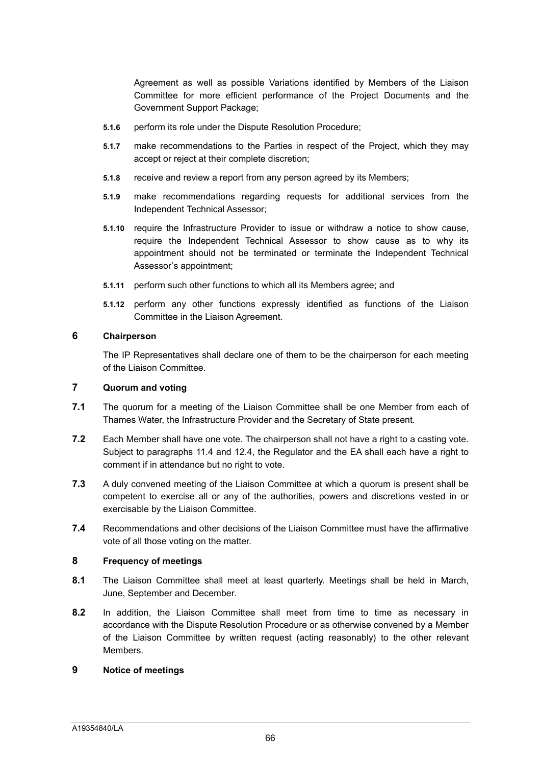Agreement as well as possible Variations identified by Members of the Liaison Committee for more efficient performance of the Project Documents and the Government Support Package;

- **5.1.6** perform its role under the Dispute Resolution Procedure;
- **5.1.7** make recommendations to the Parties in respect of the Project, which they may accept or reject at their complete discretion;
- **5.1.8** receive and review a report from any person agreed by its Members;
- **5.1.9** make recommendations regarding requests for additional services from the Independent Technical Assessor;
- **5.1.10** require the Infrastructure Provider to issue or withdraw a notice to show cause, require the Independent Technical Assessor to show cause as to why its appointment should not be terminated or terminate the Independent Technical Assessor's appointment;
- **5.1.11** perform such other functions to which all its Members agree; and
- **5.1.12** perform any other functions expressly identified as functions of the Liaison Committee in the Liaison Agreement.

# **6 Chairperson**

The IP Representatives shall declare one of them to be the chairperson for each meeting of the Liaison Committee.

# **7 Quorum and voting**

- **7.1** The quorum for a meeting of the Liaison Committee shall be one Member from each of Thames Water, the Infrastructure Provider and the Secretary of State present.
- **7.2** Each Member shall have one vote. The chairperson shall not have a right to a casting vote. Subject to paragraphs 11.4 and 12.4, the Regulator and the EA shall each have a right to comment if in attendance but no right to vote.
- **7.3** A duly convened meeting of the Liaison Committee at which a quorum is present shall be competent to exercise all or any of the authorities, powers and discretions vested in or exercisable by the Liaison Committee.
- **7.4** Recommendations and other decisions of the Liaison Committee must have the affirmative vote of all those voting on the matter.

#### **8 Frequency of meetings**

- **8.1** The Liaison Committee shall meet at least quarterly. Meetings shall be held in March, June, September and December.
- **8.2** In addition, the Liaison Committee shall meet from time to time as necessary in accordance with the Dispute Resolution Procedure or as otherwise convened by a Member of the Liaison Committee by written request (acting reasonably) to the other relevant Members.

#### **9 Notice of meetings**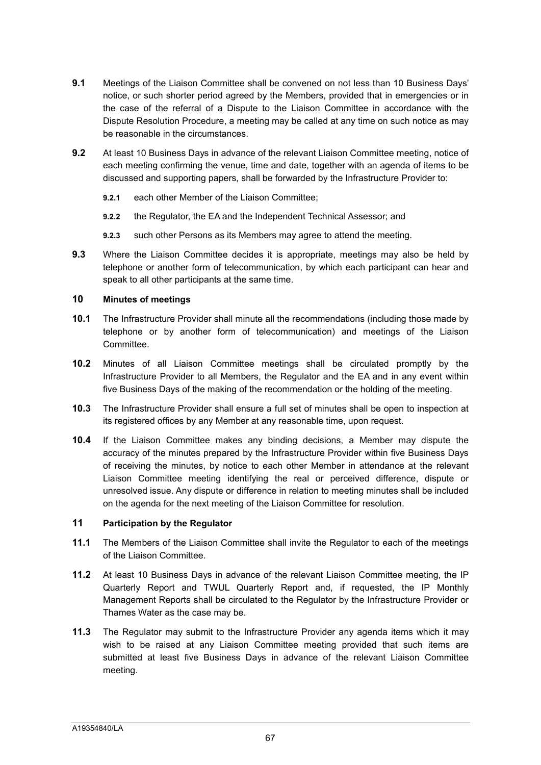- **9.1** Meetings of the Liaison Committee shall be convened on not less than 10 Business Days' notice, or such shorter period agreed by the Members, provided that in emergencies or in the case of the referral of a Dispute to the Liaison Committee in accordance with the Dispute Resolution Procedure, a meeting may be called at any time on such notice as may be reasonable in the circumstances.
- **9.2** At least 10 Business Days in advance of the relevant Liaison Committee meeting, notice of each meeting confirming the venue, time and date, together with an agenda of items to be discussed and supporting papers, shall be forwarded by the Infrastructure Provider to:
	- **9.2.1** each other Member of the Liaison Committee;
	- **9.2.2** the Regulator, the EA and the Independent Technical Assessor; and
	- **9.2.3** such other Persons as its Members may agree to attend the meeting.
- **9.3** Where the Liaison Committee decides it is appropriate, meetings may also be held by telephone or another form of telecommunication, by which each participant can hear and speak to all other participants at the same time.

# **10 Minutes of meetings**

- **10.1** The Infrastructure Provider shall minute all the recommendations (including those made by telephone or by another form of telecommunication) and meetings of the Liaison Committee.
- **10.2** Minutes of all Liaison Committee meetings shall be circulated promptly by the Infrastructure Provider to all Members, the Regulator and the EA and in any event within five Business Days of the making of the recommendation or the holding of the meeting.
- **10.3** The Infrastructure Provider shall ensure a full set of minutes shall be open to inspection at its registered offices by any Member at any reasonable time, upon request.
- **10.4** If the Liaison Committee makes any binding decisions, a Member may dispute the accuracy of the minutes prepared by the Infrastructure Provider within five Business Days of receiving the minutes, by notice to each other Member in attendance at the relevant Liaison Committee meeting identifying the real or perceived difference, dispute or unresolved issue. Any dispute or difference in relation to meeting minutes shall be included on the agenda for the next meeting of the Liaison Committee for resolution.

# **11 Participation by the Regulator**

- **11.1** The Members of the Liaison Committee shall invite the Regulator to each of the meetings of the Liaison Committee.
- **11.2** At least 10 Business Days in advance of the relevant Liaison Committee meeting, the IP Quarterly Report and TWUL Quarterly Report and, if requested, the IP Monthly Management Reports shall be circulated to the Regulator by the Infrastructure Provider or Thames Water as the case may be.
- **11.3** The Regulator may submit to the Infrastructure Provider any agenda items which it may wish to be raised at any Liaison Committee meeting provided that such items are submitted at least five Business Days in advance of the relevant Liaison Committee meeting.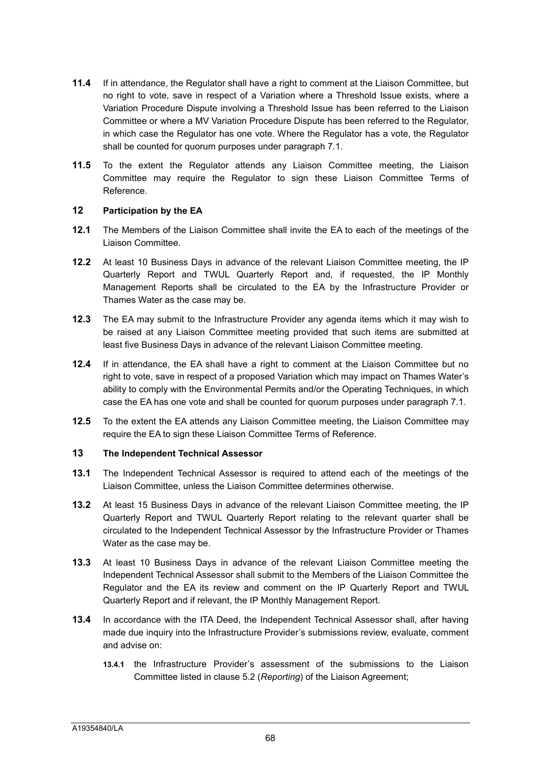- **11.4** If in attendance, the Regulator shall have a right to comment at the Liaison Committee, but no right to vote, save in respect of a Variation where a Threshold Issue exists, where a Variation Procedure Dispute involving a Threshold Issue has been referred to the Liaison Committee or where a MV Variation Procedure Dispute has been referred to the Regulator, in which case the Regulator has one vote. Where the Regulator has a vote, the Regulator shall be counted for quorum purposes under paragraph 7.1.
- **11.5** To the extent the Regulator attends any Liaison Committee meeting, the Liaison Committee may require the Regulator to sign these Liaison Committee Terms of Reference.

# **12 Participation by the EA**

- **12.1** The Members of the Liaison Committee shall invite the EA to each of the meetings of the Liaison Committee.
- **12.2** At least 10 Business Days in advance of the relevant Liaison Committee meeting, the IP Quarterly Report and TWUL Quarterly Report and, if requested, the IP Monthly Management Reports shall be circulated to the EA by the Infrastructure Provider or Thames Water as the case may be.
- **12.3** The EA may submit to the Infrastructure Provider any agenda items which it may wish to be raised at any Liaison Committee meeting provided that such items are submitted at least five Business Days in advance of the relevant Liaison Committee meeting.
- **12.4** If in attendance, the EA shall have a right to comment at the Liaison Committee but no right to vote, save in respect of a proposed Variation which may impact on Thames Water's ability to comply with the Environmental Permits and/or the Operating Techniques, in which case the EA has one vote and shall be counted for quorum purposes under paragraph 7.1.
- **12.5** To the extent the EA attends any Liaison Committee meeting, the Liaison Committee may require the EA to sign these Liaison Committee Terms of Reference.

# **13 The Independent Technical Assessor**

- **13.1** The Independent Technical Assessor is required to attend each of the meetings of the Liaison Committee, unless the Liaison Committee determines otherwise.
- **13.2** At least 15 Business Days in advance of the relevant Liaison Committee meeting, the IP Quarterly Report and TWUL Quarterly Report relating to the relevant quarter shall be circulated to the Independent Technical Assessor by the Infrastructure Provider or Thames Water as the case may be.
- **13.3** At least 10 Business Days in advance of the relevant Liaison Committee meeting the Independent Technical Assessor shall submit to the Members of the Liaison Committee the Regulator and the EA its review and comment on the IP Quarterly Report and TWUL Quarterly Report and if relevant, the IP Monthly Management Report.
- **13.4** In accordance with the ITA Deed, the Independent Technical Assessor shall, after having made due inquiry into the Infrastructure Provider's submissions review, evaluate, comment and advise on:
	- **13.4.1** the Infrastructure Provider's assessment of the submissions to the Liaison Committee listed in clause 5.2 (*Reporting*) of the Liaison Agreement;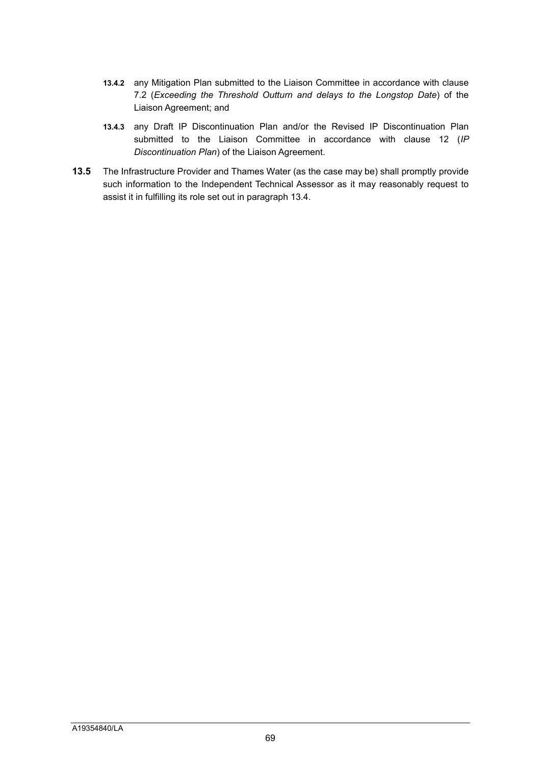- **13.4.2** any Mitigation Plan submitted to the Liaison Committee in accordance with clause 7.2 (*Exceeding the Threshold Outturn and delays to the Longstop Date*) of the Liaison Agreement; and
- **13.4.3** any Draft IP Discontinuation Plan and/or the Revised IP Discontinuation Plan submitted to the Liaison Committee in accordance with clause 12 (*IP Discontinuation Plan*) of the Liaison Agreement.
- **13.5** The Infrastructure Provider and Thames Water (as the case may be) shall promptly provide such information to the Independent Technical Assessor as it may reasonably request to assist it in fulfilling its role set out in paragraph 13.4.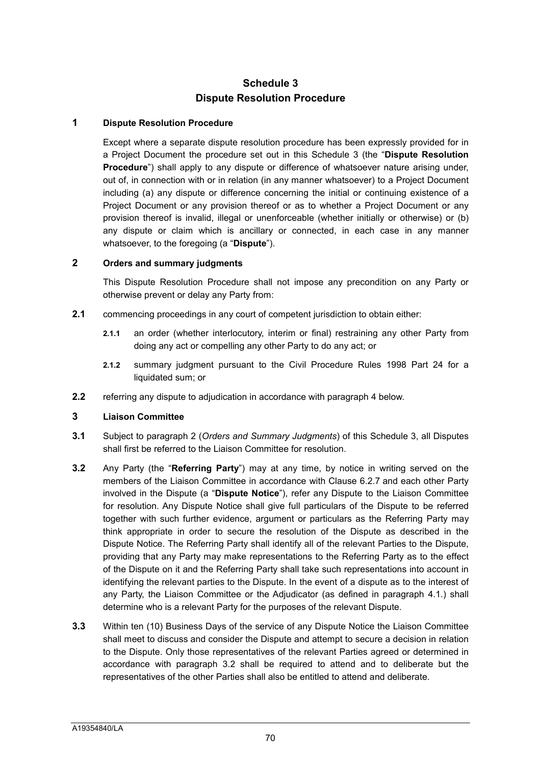# **Schedule 3 Dispute Resolution Procedure**

## **1 Dispute Resolution Procedure**

Except where a separate dispute resolution procedure has been expressly provided for in a Project Document the procedure set out in this Schedule 3 (the "**Dispute Resolution Procedure**") shall apply to any dispute or difference of whatsoever nature arising under, out of, in connection with or in relation (in any manner whatsoever) to a Project Document including (a) any dispute or difference concerning the initial or continuing existence of a Project Document or any provision thereof or as to whether a Project Document or any provision thereof is invalid, illegal or unenforceable (whether initially or otherwise) or (b) any dispute or claim which is ancillary or connected, in each case in any manner whatsoever, to the foregoing (a "**Dispute**").

# **2 Orders and summary judgments**

This Dispute Resolution Procedure shall not impose any precondition on any Party or otherwise prevent or delay any Party from:

- **2.1** commencing proceedings in any court of competent jurisdiction to obtain either:
	- **2.1.1** an order (whether interlocutory, interim or final) restraining any other Party from doing any act or compelling any other Party to do any act; or
	- **2.1.2** summary judgment pursuant to the Civil Procedure Rules 1998 Part 24 for a liquidated sum; or
- **2.2** referring any dispute to adjudication in accordance with paragraph 4 below.

#### **3 Liaison Committee**

- **3.1** Subject to paragraph 2 (*Orders and Summary Judgments*) of this Schedule 3, all Disputes shall first be referred to the Liaison Committee for resolution.
- **3.2** Any Party (the "**Referring Party**") may at any time, by notice in writing served on the members of the Liaison Committee in accordance with Clause 6.2.7 and each other Party involved in the Dispute (a "**Dispute Notice**"), refer any Dispute to the Liaison Committee for resolution. Any Dispute Notice shall give full particulars of the Dispute to be referred together with such further evidence, argument or particulars as the Referring Party may think appropriate in order to secure the resolution of the Dispute as described in the Dispute Notice. The Referring Party shall identify all of the relevant Parties to the Dispute, providing that any Party may make representations to the Referring Party as to the effect of the Dispute on it and the Referring Party shall take such representations into account in identifying the relevant parties to the Dispute. In the event of a dispute as to the interest of any Party, the Liaison Committee or the Adjudicator (as defined in paragraph 4.1.) shall determine who is a relevant Party for the purposes of the relevant Dispute.
- **3.3** Within ten (10) Business Days of the service of any Dispute Notice the Liaison Committee shall meet to discuss and consider the Dispute and attempt to secure a decision in relation to the Dispute. Only those representatives of the relevant Parties agreed or determined in accordance with paragraph 3.2 shall be required to attend and to deliberate but the representatives of the other Parties shall also be entitled to attend and deliberate.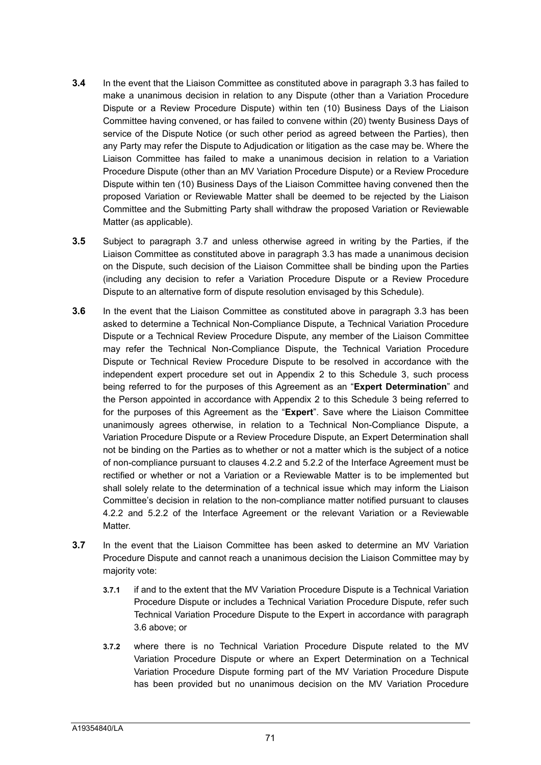- **3.4** In the event that the Liaison Committee as constituted above in paragraph 3.3 has failed to make a unanimous decision in relation to any Dispute (other than a Variation Procedure Dispute or a Review Procedure Dispute) within ten (10) Business Days of the Liaison Committee having convened, or has failed to convene within (20) twenty Business Days of service of the Dispute Notice (or such other period as agreed between the Parties), then any Party may refer the Dispute to Adjudication or litigation as the case may be. Where the Liaison Committee has failed to make a unanimous decision in relation to a Variation Procedure Dispute (other than an MV Variation Procedure Dispute) or a Review Procedure Dispute within ten (10) Business Days of the Liaison Committee having convened then the proposed Variation or Reviewable Matter shall be deemed to be rejected by the Liaison Committee and the Submitting Party shall withdraw the proposed Variation or Reviewable Matter (as applicable).
- **3.5** Subject to paragraph 3.7 and unless otherwise agreed in writing by the Parties, if the Liaison Committee as constituted above in paragraph 3.3 has made a unanimous decision on the Dispute, such decision of the Liaison Committee shall be binding upon the Parties (including any decision to refer a Variation Procedure Dispute or a Review Procedure Dispute to an alternative form of dispute resolution envisaged by this Schedule).
- **3.6** In the event that the Liaison Committee as constituted above in paragraph 3.3 has been asked to determine a Technical Non-Compliance Dispute, a Technical Variation Procedure Dispute or a Technical Review Procedure Dispute, any member of the Liaison Committee may refer the Technical Non-Compliance Dispute, the Technical Variation Procedure Dispute or Technical Review Procedure Dispute to be resolved in accordance with the independent expert procedure set out in Appendix 2 to this Schedule 3, such process being referred to for the purposes of this Agreement as an "**Expert Determination**" and the Person appointed in accordance with Appendix 2 to this Schedule 3 being referred to for the purposes of this Agreement as the "**Expert**". Save where the Liaison Committee unanimously agrees otherwise, in relation to a Technical Non-Compliance Dispute, a Variation Procedure Dispute or a Review Procedure Dispute, an Expert Determination shall not be binding on the Parties as to whether or not a matter which is the subject of a notice of non-compliance pursuant to clauses 4.2.2 and 5.2.2 of the Interface Agreement must be rectified or whether or not a Variation or a Reviewable Matter is to be implemented but shall solely relate to the determination of a technical issue which may inform the Liaison Committee's decision in relation to the non-compliance matter notified pursuant to clauses 4.2.2 and 5.2.2 of the Interface Agreement or the relevant Variation or a Reviewable Matter.
- **3.7** In the event that the Liaison Committee has been asked to determine an MV Variation Procedure Dispute and cannot reach a unanimous decision the Liaison Committee may by majority vote:
	- **3.7.1** if and to the extent that the MV Variation Procedure Dispute is a Technical Variation Procedure Dispute or includes a Technical Variation Procedure Dispute, refer such Technical Variation Procedure Dispute to the Expert in accordance with paragraph 3.6 above; or
	- **3.7.2** where there is no Technical Variation Procedure Dispute related to the MV Variation Procedure Dispute or where an Expert Determination on a Technical Variation Procedure Dispute forming part of the MV Variation Procedure Dispute has been provided but no unanimous decision on the MV Variation Procedure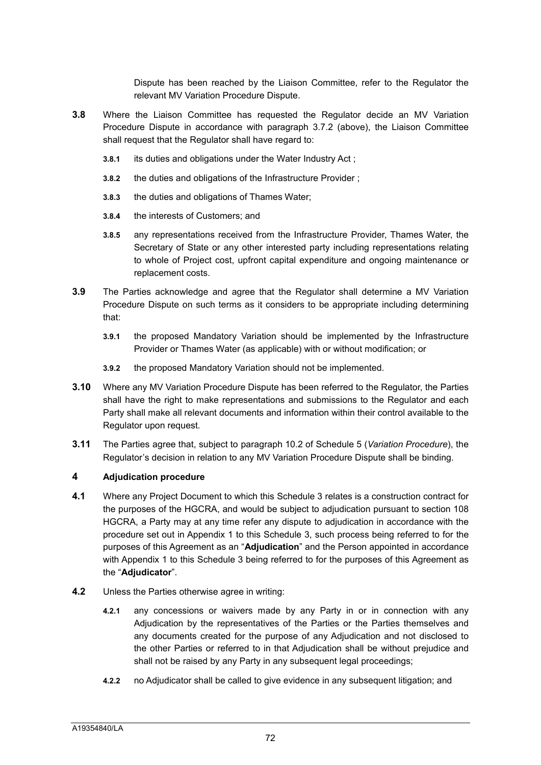Dispute has been reached by the Liaison Committee, refer to the Regulator the relevant MV Variation Procedure Dispute.

- **3.8** Where the Liaison Committee has requested the Regulator decide an MV Variation Procedure Dispute in accordance with paragraph 3.7.2 (above), the Liaison Committee shall request that the Regulator shall have regard to:
	- **3.8.1** its duties and obligations under the Water Industry Act ;
	- **3.8.2** the duties and obligations of the Infrastructure Provider ;
	- **3.8.3** the duties and obligations of Thames Water;
	- **3.8.4** the interests of Customers; and
	- **3.8.5** any representations received from the Infrastructure Provider, Thames Water, the Secretary of State or any other interested party including representations relating to whole of Project cost, upfront capital expenditure and ongoing maintenance or replacement costs.
- **3.9** The Parties acknowledge and agree that the Regulator shall determine a MV Variation Procedure Dispute on such terms as it considers to be appropriate including determining that:
	- **3.9.1** the proposed Mandatory Variation should be implemented by the Infrastructure Provider or Thames Water (as applicable) with or without modification; or
	- **3.9.2** the proposed Mandatory Variation should not be implemented.
- **3.10** Where any MV Variation Procedure Dispute has been referred to the Regulator, the Parties shall have the right to make representations and submissions to the Regulator and each Party shall make all relevant documents and information within their control available to the Regulator upon request.
- **3.11** The Parties agree that, subject to paragraph 10.2 of Schedule 5 (*Variation Procedure*), the Regulator's decision in relation to any MV Variation Procedure Dispute shall be binding.

#### **4 Adjudication procedure**

- **4.1** Where any Project Document to which this Schedule 3 relates is a construction contract for the purposes of the HGCRA, and would be subject to adjudication pursuant to section 108 HGCRA, a Party may at any time refer any dispute to adjudication in accordance with the procedure set out in Appendix 1 to this Schedule 3, such process being referred to for the purposes of this Agreement as an "**Adjudication**" and the Person appointed in accordance with Appendix 1 to this Schedule 3 being referred to for the purposes of this Agreement as the "**Adjudicator**".
- **4.2** Unless the Parties otherwise agree in writing:
	- **4.2.1** any concessions or waivers made by any Party in or in connection with any Adjudication by the representatives of the Parties or the Parties themselves and any documents created for the purpose of any Adjudication and not disclosed to the other Parties or referred to in that Adjudication shall be without prejudice and shall not be raised by any Party in any subsequent legal proceedings;
	- **4.2.2** no Adjudicator shall be called to give evidence in any subsequent litigation; and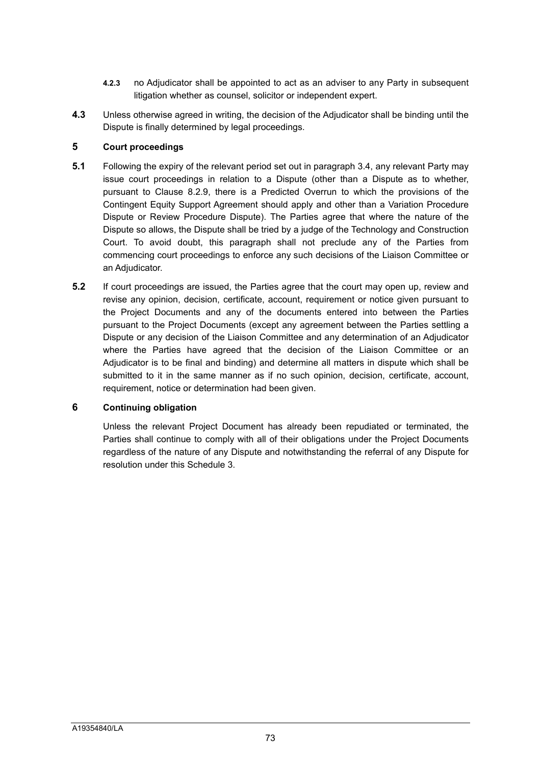- **4.2.3** no Adjudicator shall be appointed to act as an adviser to any Party in subsequent litigation whether as counsel, solicitor or independent expert.
- **4.3** Unless otherwise agreed in writing, the decision of the Adjudicator shall be binding until the Dispute is finally determined by legal proceedings.

#### **5 Court proceedings**

- **5.1** Following the expiry of the relevant period set out in paragraph 3.4, any relevant Party may issue court proceedings in relation to a Dispute (other than a Dispute as to whether, pursuant to Clause 8.2.9, there is a Predicted Overrun to which the provisions of the Contingent Equity Support Agreement should apply and other than a Variation Procedure Dispute or Review Procedure Dispute). The Parties agree that where the nature of the Dispute so allows, the Dispute shall be tried by a judge of the Technology and Construction Court. To avoid doubt, this paragraph shall not preclude any of the Parties from commencing court proceedings to enforce any such decisions of the Liaison Committee or an Adjudicator.
- **5.2** If court proceedings are issued, the Parties agree that the court may open up, review and revise any opinion, decision, certificate, account, requirement or notice given pursuant to the Project Documents and any of the documents entered into between the Parties pursuant to the Project Documents (except any agreement between the Parties settling a Dispute or any decision of the Liaison Committee and any determination of an Adjudicator where the Parties have agreed that the decision of the Liaison Committee or an Adjudicator is to be final and binding) and determine all matters in dispute which shall be submitted to it in the same manner as if no such opinion, decision, certificate, account, requirement, notice or determination had been given.

#### **6 Continuing obligation**

Unless the relevant Project Document has already been repudiated or terminated, the Parties shall continue to comply with all of their obligations under the Project Documents regardless of the nature of any Dispute and notwithstanding the referral of any Dispute for resolution under this Schedule 3.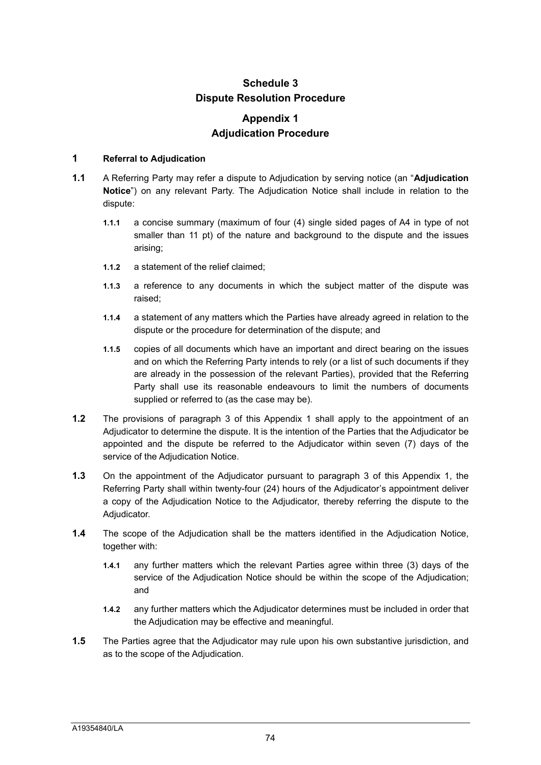## **Schedule 3 Dispute Resolution Procedure**

## **Appendix 1 Adjudication Procedure**

#### **1 Referral to Adjudication**

- **1.1** A Referring Party may refer a dispute to Adjudication by serving notice (an "**Adjudication Notice**") on any relevant Party. The Adjudication Notice shall include in relation to the dispute:
	- **1.1.1** a concise summary (maximum of four (4) single sided pages of A4 in type of not smaller than 11 pt) of the nature and background to the dispute and the issues arising;
	- **1.1.2** a statement of the relief claimed;
	- **1.1.3** a reference to any documents in which the subject matter of the dispute was raised;
	- **1.1.4** a statement of any matters which the Parties have already agreed in relation to the dispute or the procedure for determination of the dispute; and
	- **1.1.5** copies of all documents which have an important and direct bearing on the issues and on which the Referring Party intends to rely (or a list of such documents if they are already in the possession of the relevant Parties), provided that the Referring Party shall use its reasonable endeavours to limit the numbers of documents supplied or referred to (as the case may be).
- **1.2** The provisions of paragraph 3 of this Appendix 1 shall apply to the appointment of an Adjudicator to determine the dispute. It is the intention of the Parties that the Adjudicator be appointed and the dispute be referred to the Adjudicator within seven (7) days of the service of the Adjudication Notice.
- **1.3** On the appointment of the Adjudicator pursuant to paragraph 3 of this Appendix 1, the Referring Party shall within twenty-four (24) hours of the Adjudicator's appointment deliver a copy of the Adjudication Notice to the Adjudicator, thereby referring the dispute to the Adiudicator.
- **1.4** The scope of the Adjudication shall be the matters identified in the Adjudication Notice, together with:
	- **1.4.1** any further matters which the relevant Parties agree within three (3) days of the service of the Adjudication Notice should be within the scope of the Adjudication; and
	- **1.4.2** any further matters which the Adjudicator determines must be included in order that the Adjudication may be effective and meaningful.
- **1.5** The Parties agree that the Adjudicator may rule upon his own substantive jurisdiction, and as to the scope of the Adjudication.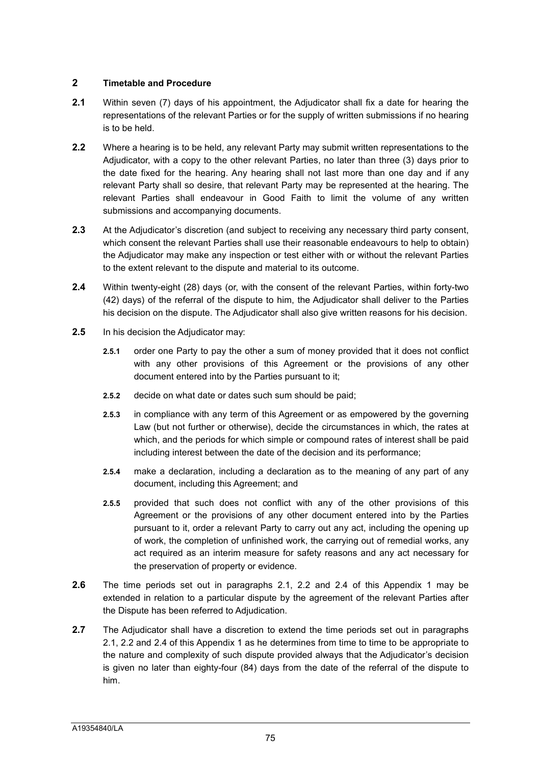#### **2 Timetable and Procedure**

- **2.1** Within seven (7) days of his appointment, the Adjudicator shall fix a date for hearing the representations of the relevant Parties or for the supply of written submissions if no hearing is to be held.
- **2.2** Where a hearing is to be held, any relevant Party may submit written representations to the Adjudicator, with a copy to the other relevant Parties, no later than three (3) days prior to the date fixed for the hearing. Any hearing shall not last more than one day and if any relevant Party shall so desire, that relevant Party may be represented at the hearing. The relevant Parties shall endeavour in Good Faith to limit the volume of any written submissions and accompanying documents.
- **2.3** At the Adjudicator's discretion (and subject to receiving any necessary third party consent, which consent the relevant Parties shall use their reasonable endeavours to help to obtain) the Adjudicator may make any inspection or test either with or without the relevant Parties to the extent relevant to the dispute and material to its outcome.
- **2.4** Within twenty-eight (28) days (or, with the consent of the relevant Parties, within forty-two (42) days) of the referral of the dispute to him, the Adjudicator shall deliver to the Parties his decision on the dispute. The Adjudicator shall also give written reasons for his decision.
- **2.5** In his decision the Adjudicator may:
	- **2.5.1** order one Party to pay the other a sum of money provided that it does not conflict with any other provisions of this Agreement or the provisions of any other document entered into by the Parties pursuant to it;
	- **2.5.2** decide on what date or dates such sum should be paid;
	- **2.5.3** in compliance with any term of this Agreement or as empowered by the governing Law (but not further or otherwise), decide the circumstances in which, the rates at which, and the periods for which simple or compound rates of interest shall be paid including interest between the date of the decision and its performance;
	- **2.5.4** make a declaration, including a declaration as to the meaning of any part of any document, including this Agreement; and
	- **2.5.5** provided that such does not conflict with any of the other provisions of this Agreement or the provisions of any other document entered into by the Parties pursuant to it, order a relevant Party to carry out any act, including the opening up of work, the completion of unfinished work, the carrying out of remedial works, any act required as an interim measure for safety reasons and any act necessary for the preservation of property or evidence.
- **2.6** The time periods set out in paragraphs 2.1, 2.2 and 2.4 of this Appendix 1 may be extended in relation to a particular dispute by the agreement of the relevant Parties after the Dispute has been referred to Adjudication.
- **2.7** The Adjudicator shall have a discretion to extend the time periods set out in paragraphs 2.1, 2.2 and 2.4 of this Appendix 1 as he determines from time to time to be appropriate to the nature and complexity of such dispute provided always that the Adjudicator's decision is given no later than eighty-four (84) days from the date of the referral of the dispute to him.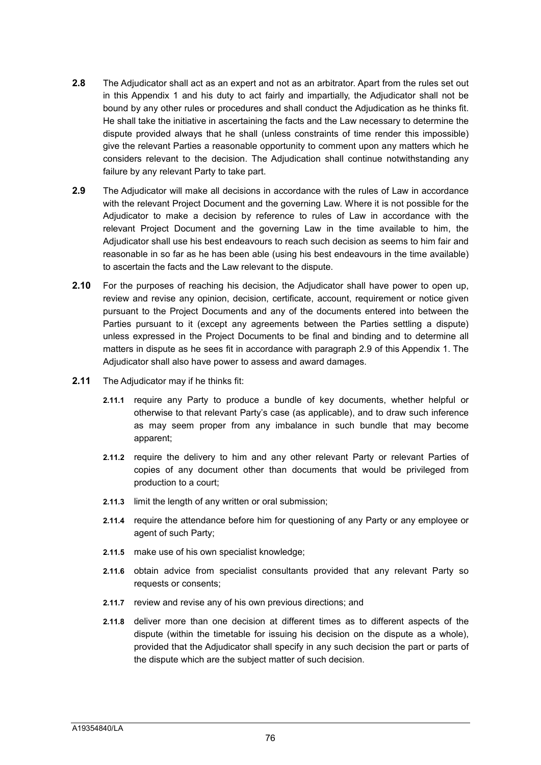- **2.8** The Adjudicator shall act as an expert and not as an arbitrator. Apart from the rules set out in this Appendix 1 and his duty to act fairly and impartially, the Adjudicator shall not be bound by any other rules or procedures and shall conduct the Adjudication as he thinks fit. He shall take the initiative in ascertaining the facts and the Law necessary to determine the dispute provided always that he shall (unless constraints of time render this impossible) give the relevant Parties a reasonable opportunity to comment upon any matters which he considers relevant to the decision. The Adjudication shall continue notwithstanding any failure by any relevant Party to take part.
- **2.9** The Adjudicator will make all decisions in accordance with the rules of Law in accordance with the relevant Project Document and the governing Law. Where it is not possible for the Adjudicator to make a decision by reference to rules of Law in accordance with the relevant Project Document and the governing Law in the time available to him, the Adjudicator shall use his best endeavours to reach such decision as seems to him fair and reasonable in so far as he has been able (using his best endeavours in the time available) to ascertain the facts and the Law relevant to the dispute.
- **2.10** For the purposes of reaching his decision, the Adjudicator shall have power to open up, review and revise any opinion, decision, certificate, account, requirement or notice given pursuant to the Project Documents and any of the documents entered into between the Parties pursuant to it (except any agreements between the Parties settling a dispute) unless expressed in the Project Documents to be final and binding and to determine all matters in dispute as he sees fit in accordance with paragraph 2.9 of this Appendix 1. The Adjudicator shall also have power to assess and award damages.
- **2.11** The Adjudicator may if he thinks fit:
	- **2.11.1** require any Party to produce a bundle of key documents, whether helpful or otherwise to that relevant Party's case (as applicable), and to draw such inference as may seem proper from any imbalance in such bundle that may become apparent;
	- **2.11.2** require the delivery to him and any other relevant Party or relevant Parties of copies of any document other than documents that would be privileged from production to a court;
	- **2.11.3** limit the length of any written or oral submission;
	- **2.11.4** require the attendance before him for questioning of any Party or any employee or agent of such Party;
	- **2.11.5** make use of his own specialist knowledge;
	- **2.11.6** obtain advice from specialist consultants provided that any relevant Party so requests or consents;
	- **2.11.7** review and revise any of his own previous directions; and
	- **2.11.8** deliver more than one decision at different times as to different aspects of the dispute (within the timetable for issuing his decision on the dispute as a whole), provided that the Adjudicator shall specify in any such decision the part or parts of the dispute which are the subject matter of such decision.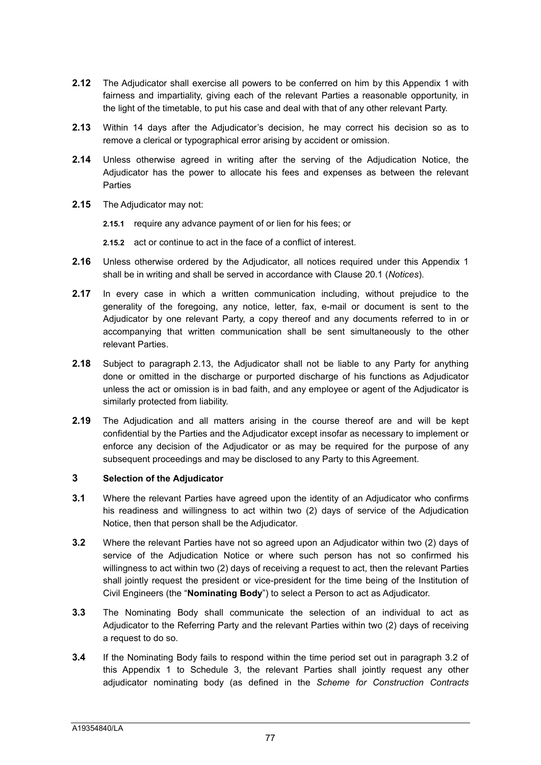- **2.12** The Adjudicator shall exercise all powers to be conferred on him by this Appendix 1 with fairness and impartiality, giving each of the relevant Parties a reasonable opportunity, in the light of the timetable, to put his case and deal with that of any other relevant Party.
- **2.13** Within 14 days after the Adjudicator's decision, he may correct his decision so as to remove a clerical or typographical error arising by accident or omission.
- **2.14** Unless otherwise agreed in writing after the serving of the Adjudication Notice, the Adjudicator has the power to allocate his fees and expenses as between the relevant Parties
- **2.15** The Adjudicator may not:
	- **2.15.1** require any advance payment of or lien for his fees; or
	- **2.15.2** act or continue to act in the face of a conflict of interest.
- **2.16** Unless otherwise ordered by the Adjudicator, all notices required under this Appendix 1 shall be in writing and shall be served in accordance with Clause 20.1 (*Notices*).
- **2.17** In every case in which a written communication including, without prejudice to the generality of the foregoing, any notice, letter, fax, e-mail or document is sent to the Adjudicator by one relevant Party, a copy thereof and any documents referred to in or accompanying that written communication shall be sent simultaneously to the other relevant Parties.
- **2.18** Subject to paragraph 2.13, the Adjudicator shall not be liable to any Party for anything done or omitted in the discharge or purported discharge of his functions as Adjudicator unless the act or omission is in bad faith, and any employee or agent of the Adjudicator is similarly protected from liability.
- **2.19** The Adjudication and all matters arising in the course thereof are and will be kept confidential by the Parties and the Adjudicator except insofar as necessary to implement or enforce any decision of the Adjudicator or as may be required for the purpose of any subsequent proceedings and may be disclosed to any Party to this Agreement.

#### **3 Selection of the Adjudicator**

- **3.1** Where the relevant Parties have agreed upon the identity of an Adjudicator who confirms his readiness and willingness to act within two (2) days of service of the Adjudication Notice, then that person shall be the Adjudicator.
- **3.2** Where the relevant Parties have not so agreed upon an Adjudicator within two (2) days of service of the Adjudication Notice or where such person has not so confirmed his willingness to act within two (2) days of receiving a request to act, then the relevant Parties shall jointly request the president or vice-president for the time being of the Institution of Civil Engineers (the "**Nominating Body**") to select a Person to act as Adjudicator.
- **3.3** The Nominating Body shall communicate the selection of an individual to act as Adjudicator to the Referring Party and the relevant Parties within two (2) days of receiving a request to do so.
- **3.4** If the Nominating Body fails to respond within the time period set out in paragraph 3.2 of this Appendix 1 to Schedule 3, the relevant Parties shall jointly request any other adjudicator nominating body (as defined in the *Scheme for Construction Contracts*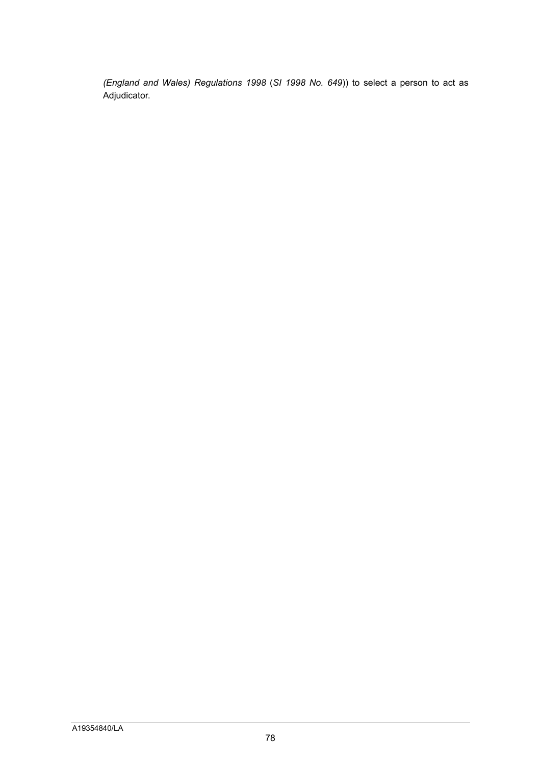*(England and Wales) Regulations 1998* (*SI 1998 No. 649*)) to select a person to act as Adjudicator.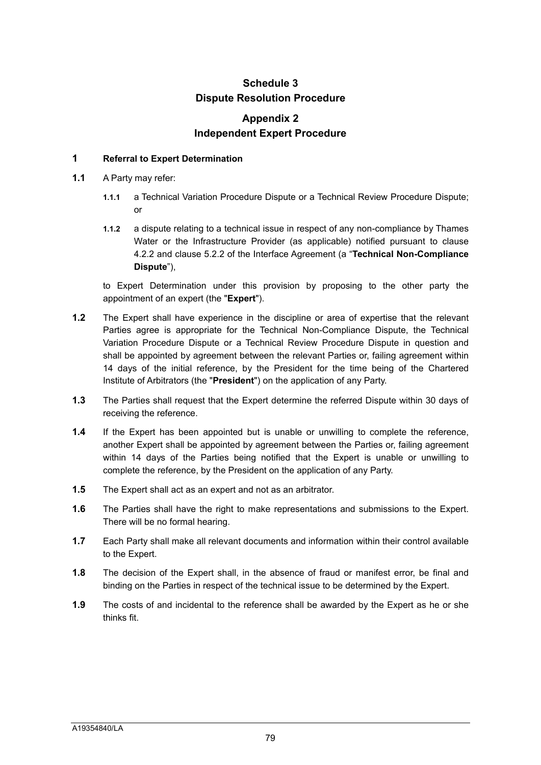## **Schedule 3 Dispute Resolution Procedure**

## **Appendix 2 Independent Expert Procedure**

#### **1 Referral to Expert Determination**

- **1.1** A Party may refer:
	- **1.1.1** a Technical Variation Procedure Dispute or a Technical Review Procedure Dispute; or
	- **1.1.2** a dispute relating to a technical issue in respect of any non-compliance by Thames Water or the Infrastructure Provider (as applicable) notified pursuant to clause 4.2.2 and clause 5.2.2 of the Interface Agreement (a "**Technical Non-Compliance Dispute**"),

to Expert Determination under this provision by proposing to the other party the appointment of an expert (the "**Expert**").

- **1.2** The Expert shall have experience in the discipline or area of expertise that the relevant Parties agree is appropriate for the Technical Non-Compliance Dispute, the Technical Variation Procedure Dispute or a Technical Review Procedure Dispute in question and shall be appointed by agreement between the relevant Parties or, failing agreement within 14 days of the initial reference, by the President for the time being of the Chartered Institute of Arbitrators (the "**President**") on the application of any Party.
- **1.3** The Parties shall request that the Expert determine the referred Dispute within 30 days of receiving the reference.
- **1.4** If the Expert has been appointed but is unable or unwilling to complete the reference, another Expert shall be appointed by agreement between the Parties or, failing agreement within 14 days of the Parties being notified that the Expert is unable or unwilling to complete the reference, by the President on the application of any Party.
- **1.5** The Expert shall act as an expert and not as an arbitrator.
- **1.6** The Parties shall have the right to make representations and submissions to the Expert. There will be no formal hearing.
- **1.7** Each Party shall make all relevant documents and information within their control available to the Expert.
- **1.8** The decision of the Expert shall, in the absence of fraud or manifest error, be final and binding on the Parties in respect of the technical issue to be determined by the Expert.
- **1.9** The costs of and incidental to the reference shall be awarded by the Expert as he or she thinks fit.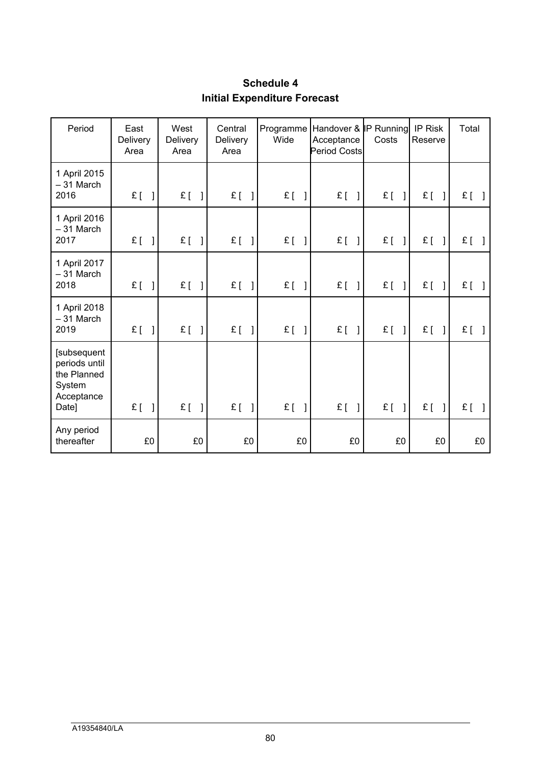# **Schedule 4 Initial Expenditure Forecast**

| Period                                                                       | East<br>Delivery<br>Area | West<br>Delivery<br>Area | Central<br><b>Delivery</b><br>Area | Wide    | Programme Handover & IP Running<br>Acceptance<br><b>Period Costs</b> | Costs   | IP Risk<br>Reserve | Total |
|------------------------------------------------------------------------------|--------------------------|--------------------------|------------------------------------|---------|----------------------------------------------------------------------|---------|--------------------|-------|
| 1 April 2015<br>$-31$ March<br>2016                                          | $E[\ ]$                  | $E$ [                    | $E$ [ ]                            | $E$ [ ] | $E[\ ]$                                                              | £[      | £[                 | £[    |
| 1 April 2016<br>$-31$ March<br>2017                                          | $E[\ ]$                  | $E$ [                    | $E$ [ ]                            | $E$ [ ] | $E[\ ]$                                                              | $E$ [ ] | $E$ [              | £[    |
| 1 April 2017<br>$-31$ March<br>2018                                          | $E[\ ]$                  | $E$ [                    | $E$ [ ]                            | $E[\ ]$ | $E[\ ]$                                                              | $E$ [ ] | $E$ [              | $E$ [ |
| 1 April 2018<br>$-31$ March<br>2019                                          | $E[\ ]$                  | $E$ [                    | $E$ [ ]                            | $E$ [ ] | $E$ [ ]                                                              | $E$ [ ] | $E$ [              | £[    |
| [subsequent<br>periods until<br>the Planned<br>System<br>Acceptance<br>Date] | $E$ [<br>$\mathbf{1}$    | $E$ [                    | $E$ [ ]                            | $E$ [ ] | $E$ [ ]                                                              | $E$ [   | £[                 | £[    |
| Any period<br>thereafter                                                     | £0                       | £0                       | £0                                 | £0      | £0                                                                   | £0      | £0                 | £0    |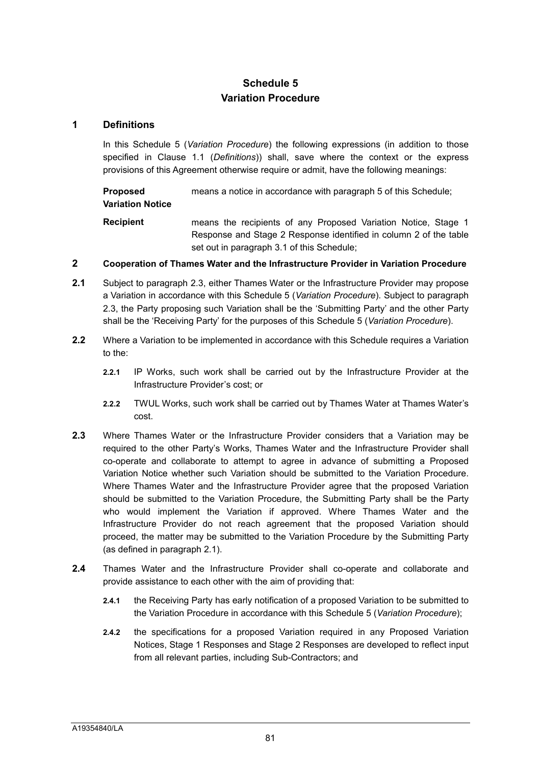## **Schedule 5 Variation Procedure**

#### **1 Definitions**

In this Schedule 5 (*Variation Procedure*) the following expressions (in addition to those specified in Clause 1.1 (*Definitions*)) shall, save where the context or the express provisions of this Agreement otherwise require or admit, have the following meanings:

**Proposed Variation Notice** means a notice in accordance with paragraph 5 of this Schedule;

**Recipient** means the recipients of any Proposed Variation Notice, Stage 1 Response and Stage 2 Response identified in column 2 of the table set out in paragraph 3.1 of this Schedule;

#### **2 Cooperation of Thames Water and the Infrastructure Provider in Variation Procedure**

- **2.1** Subject to paragraph 2.3, either Thames Water or the Infrastructure Provider may propose a Variation in accordance with this Schedule 5 (*Variation Procedure*). Subject to paragraph 2.3, the Party proposing such Variation shall be the 'Submitting Party' and the other Party shall be the 'Receiving Party' for the purposes of this Schedule 5 (*Variation Procedure*).
- **2.2** Where a Variation to be implemented in accordance with this Schedule requires a Variation to the:
	- **2.2.1** IP Works, such work shall be carried out by the Infrastructure Provider at the Infrastructure Provider's cost; or
	- **2.2.2** TWUL Works, such work shall be carried out by Thames Water at Thames Water's cost.
- **2.3** Where Thames Water or the Infrastructure Provider considers that a Variation may be required to the other Party's Works, Thames Water and the Infrastructure Provider shall co-operate and collaborate to attempt to agree in advance of submitting a Proposed Variation Notice whether such Variation should be submitted to the Variation Procedure. Where Thames Water and the Infrastructure Provider agree that the proposed Variation should be submitted to the Variation Procedure, the Submitting Party shall be the Party who would implement the Variation if approved. Where Thames Water and the Infrastructure Provider do not reach agreement that the proposed Variation should proceed, the matter may be submitted to the Variation Procedure by the Submitting Party (as defined in paragraph 2.1).
- **2.4** Thames Water and the Infrastructure Provider shall co-operate and collaborate and provide assistance to each other with the aim of providing that:
	- **2.4.1** the Receiving Party has early notification of a proposed Variation to be submitted to the Variation Procedure in accordance with this Schedule 5 (*Variation Procedure*);
	- **2.4.2** the specifications for a proposed Variation required in any Proposed Variation Notices, Stage 1 Responses and Stage 2 Responses are developed to reflect input from all relevant parties, including Sub-Contractors; and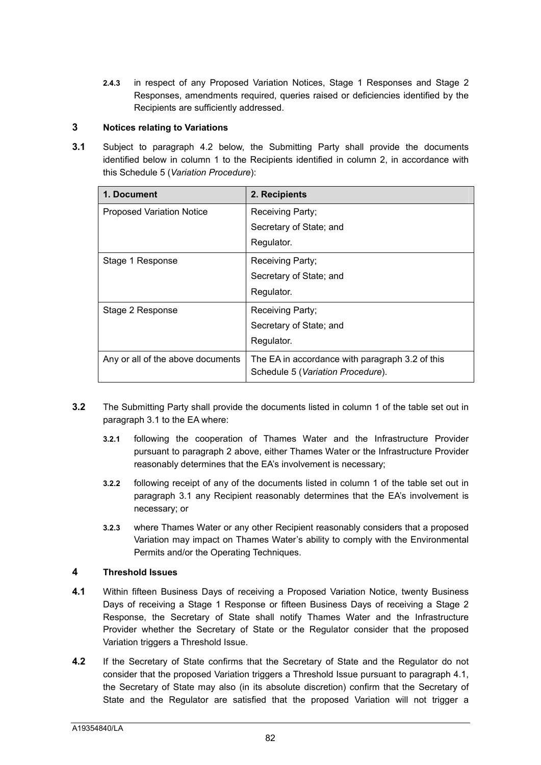**2.4.3** in respect of any Proposed Variation Notices, Stage 1 Responses and Stage 2 Responses, amendments required, queries raised or deficiencies identified by the Recipients are sufficiently addressed.

#### **3 Notices relating to Variations**

**3.1** Subject to paragraph 4.2 below, the Submitting Party shall provide the documents identified below in column 1 to the Recipients identified in column 2, in accordance with this Schedule 5 (*Variation Procedure*):

| 1. Document                       | 2. Recipients                                                                        |  |  |  |
|-----------------------------------|--------------------------------------------------------------------------------------|--|--|--|
| <b>Proposed Variation Notice</b>  | Receiving Party;                                                                     |  |  |  |
|                                   | Secretary of State; and                                                              |  |  |  |
|                                   | Regulator.                                                                           |  |  |  |
| Stage 1 Response                  | Receiving Party;                                                                     |  |  |  |
|                                   | Secretary of State; and                                                              |  |  |  |
|                                   | Regulator.                                                                           |  |  |  |
| Stage 2 Response                  | Receiving Party;                                                                     |  |  |  |
|                                   | Secretary of State; and                                                              |  |  |  |
|                                   | Regulator.                                                                           |  |  |  |
| Any or all of the above documents | The EA in accordance with paragraph 3.2 of this<br>Schedule 5 (Variation Procedure). |  |  |  |

- **3.2** The Submitting Party shall provide the documents listed in column 1 of the table set out in paragraph 3.1 to the EA where:
	- **3.2.1** following the cooperation of Thames Water and the Infrastructure Provider pursuant to paragraph 2 above, either Thames Water or the Infrastructure Provider reasonably determines that the EA's involvement is necessary;
	- **3.2.2** following receipt of any of the documents listed in column 1 of the table set out in paragraph 3.1 any Recipient reasonably determines that the EA's involvement is necessary; or
	- **3.2.3** where Thames Water or any other Recipient reasonably considers that a proposed Variation may impact on Thames Water's ability to comply with the Environmental Permits and/or the Operating Techniques.

#### **4 Threshold Issues**

- **4.1** Within fifteen Business Days of receiving a Proposed Variation Notice, twenty Business Days of receiving a Stage 1 Response or fifteen Business Days of receiving a Stage 2 Response, the Secretary of State shall notify Thames Water and the Infrastructure Provider whether the Secretary of State or the Regulator consider that the proposed Variation triggers a Threshold Issue.
- **4.2** If the Secretary of State confirms that the Secretary of State and the Regulator do not consider that the proposed Variation triggers a Threshold Issue pursuant to paragraph 4.1, the Secretary of State may also (in its absolute discretion) confirm that the Secretary of State and the Regulator are satisfied that the proposed Variation will not trigger a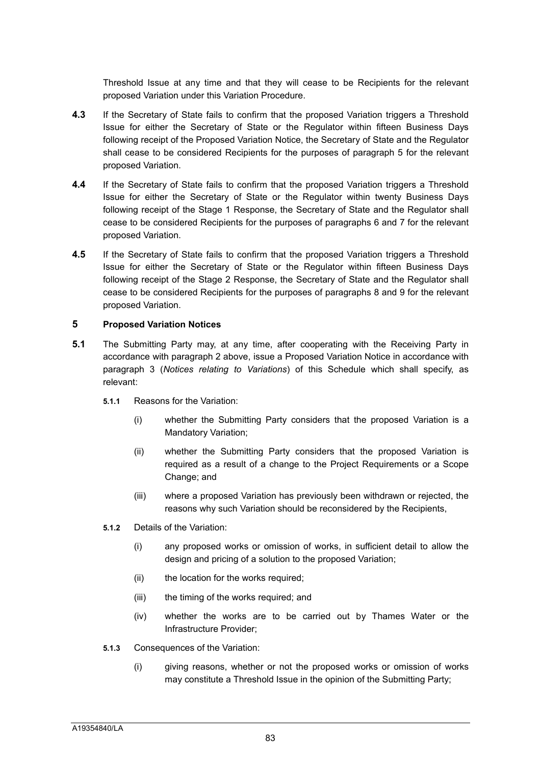Threshold Issue at any time and that they will cease to be Recipients for the relevant proposed Variation under this Variation Procedure.

- **4.3** If the Secretary of State fails to confirm that the proposed Variation triggers a Threshold Issue for either the Secretary of State or the Regulator within fifteen Business Days following receipt of the Proposed Variation Notice, the Secretary of State and the Regulator shall cease to be considered Recipients for the purposes of paragraph 5 for the relevant proposed Variation.
- **4.4** If the Secretary of State fails to confirm that the proposed Variation triggers a Threshold Issue for either the Secretary of State or the Regulator within twenty Business Days following receipt of the Stage 1 Response, the Secretary of State and the Regulator shall cease to be considered Recipients for the purposes of paragraphs 6 and 7 for the relevant proposed Variation.
- **4.5** If the Secretary of State fails to confirm that the proposed Variation triggers a Threshold Issue for either the Secretary of State or the Regulator within fifteen Business Days following receipt of the Stage 2 Response, the Secretary of State and the Regulator shall cease to be considered Recipients for the purposes of paragraphs 8 and 9 for the relevant proposed Variation.

#### **5 Proposed Variation Notices**

- **5.1** The Submitting Party may, at any time, after cooperating with the Receiving Party in accordance with paragraph 2 above, issue a Proposed Variation Notice in accordance with paragraph 3 (*Notices relating to Variations*) of this Schedule which shall specify, as relevant:
	- **5.1.1** Reasons for the Variation:
		- (i) whether the Submitting Party considers that the proposed Variation is a Mandatory Variation;
		- (ii) whether the Submitting Party considers that the proposed Variation is required as a result of a change to the Project Requirements or a Scope Change; and
		- (iii) where a proposed Variation has previously been withdrawn or rejected, the reasons why such Variation should be reconsidered by the Recipients,
	- **5.1.2** Details of the Variation:
		- (i) any proposed works or omission of works, in sufficient detail to allow the design and pricing of a solution to the proposed Variation;
		- (ii) the location for the works required;
		- (iii) the timing of the works required; and
		- (iv) whether the works are to be carried out by Thames Water or the Infrastructure Provider;
	- **5.1.3** Consequences of the Variation:
		- (i) giving reasons, whether or not the proposed works or omission of works may constitute a Threshold Issue in the opinion of the Submitting Party;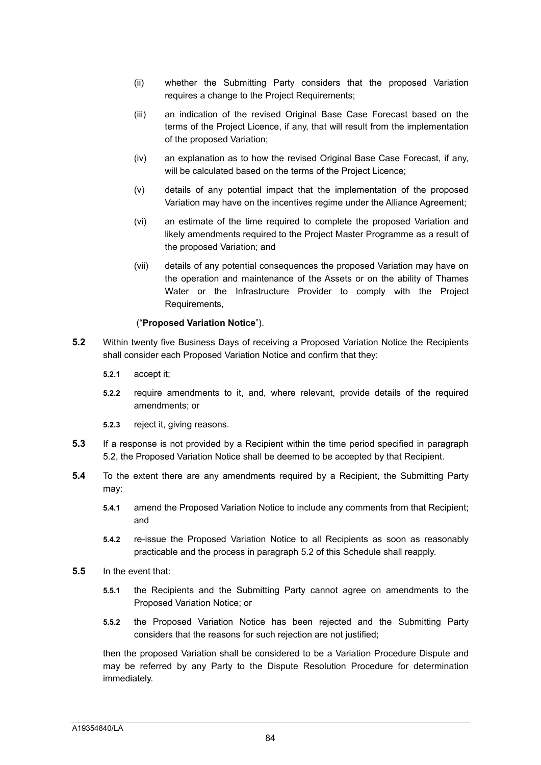- (ii) whether the Submitting Party considers that the proposed Variation requires a change to the Project Requirements;
- (iii) an indication of the revised Original Base Case Forecast based on the terms of the Project Licence, if any, that will result from the implementation of the proposed Variation;
- (iv) an explanation as to how the revised Original Base Case Forecast, if any, will be calculated based on the terms of the Project Licence;
- (v) details of any potential impact that the implementation of the proposed Variation may have on the incentives regime under the Alliance Agreement;
- (vi) an estimate of the time required to complete the proposed Variation and likely amendments required to the Project Master Programme as a result of the proposed Variation; and
- (vii) details of any potential consequences the proposed Variation may have on the operation and maintenance of the Assets or on the ability of Thames Water or the Infrastructure Provider to comply with the Project Requirements,

#### ("**Proposed Variation Notice**").

- **5.2** Within twenty five Business Days of receiving a Proposed Variation Notice the Recipients shall consider each Proposed Variation Notice and confirm that they:
	- **5.2.1** accept it;
	- **5.2.2** require amendments to it, and, where relevant, provide details of the required amendments; or
	- **5.2.3** reject it, giving reasons.
- **5.3** If a response is not provided by a Recipient within the time period specified in paragraph 5.2, the Proposed Variation Notice shall be deemed to be accepted by that Recipient.
- **5.4** To the extent there are any amendments required by a Recipient, the Submitting Party may:
	- **5.4.1** amend the Proposed Variation Notice to include any comments from that Recipient; and
	- **5.4.2** re-issue the Proposed Variation Notice to all Recipients as soon as reasonably practicable and the process in paragraph 5.2 of this Schedule shall reapply.
- **5.5** In the event that:
	- **5.5.1** the Recipients and the Submitting Party cannot agree on amendments to the Proposed Variation Notice; or
	- **5.5.2** the Proposed Variation Notice has been rejected and the Submitting Party considers that the reasons for such rejection are not justified;

then the proposed Variation shall be considered to be a Variation Procedure Dispute and may be referred by any Party to the Dispute Resolution Procedure for determination immediately.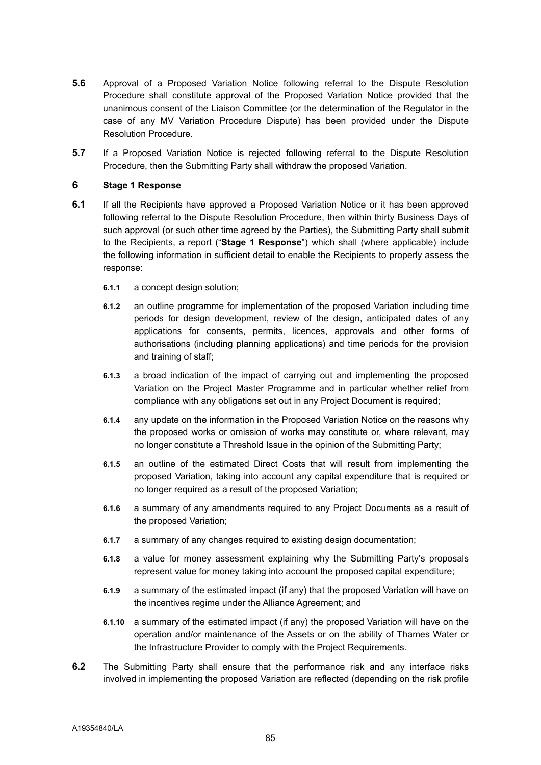- **5.6** Approval of a Proposed Variation Notice following referral to the Dispute Resolution Procedure shall constitute approval of the Proposed Variation Notice provided that the unanimous consent of the Liaison Committee (or the determination of the Regulator in the case of any MV Variation Procedure Dispute) has been provided under the Dispute Resolution Procedure.
- **5.7** If a Proposed Variation Notice is rejected following referral to the Dispute Resolution Procedure, then the Submitting Party shall withdraw the proposed Variation.

#### **6 Stage 1 Response**

- **6.1** If all the Recipients have approved a Proposed Variation Notice or it has been approved following referral to the Dispute Resolution Procedure, then within thirty Business Days of such approval (or such other time agreed by the Parties), the Submitting Party shall submit to the Recipients, a report ("**Stage 1 Response**") which shall (where applicable) include the following information in sufficient detail to enable the Recipients to properly assess the response:
	- **6.1.1** a concept design solution;
	- **6.1.2** an outline programme for implementation of the proposed Variation including time periods for design development, review of the design, anticipated dates of any applications for consents, permits, licences, approvals and other forms of authorisations (including planning applications) and time periods for the provision and training of staff;
	- **6.1.3** a broad indication of the impact of carrying out and implementing the proposed Variation on the Project Master Programme and in particular whether relief from compliance with any obligations set out in any Project Document is required;
	- **6.1.4** any update on the information in the Proposed Variation Notice on the reasons why the proposed works or omission of works may constitute or, where relevant, may no longer constitute a Threshold Issue in the opinion of the Submitting Party;
	- **6.1.5** an outline of the estimated Direct Costs that will result from implementing the proposed Variation, taking into account any capital expenditure that is required or no longer required as a result of the proposed Variation;
	- **6.1.6** a summary of any amendments required to any Project Documents as a result of the proposed Variation;
	- **6.1.7** a summary of any changes required to existing design documentation;
	- **6.1.8** a value for money assessment explaining why the Submitting Party's proposals represent value for money taking into account the proposed capital expenditure;
	- **6.1.9** a summary of the estimated impact (if any) that the proposed Variation will have on the incentives regime under the Alliance Agreement; and
	- **6.1.10** a summary of the estimated impact (if any) the proposed Variation will have on the operation and/or maintenance of the Assets or on the ability of Thames Water or the Infrastructure Provider to comply with the Project Requirements.
- **6.2** The Submitting Party shall ensure that the performance risk and any interface risks involved in implementing the proposed Variation are reflected (depending on the risk profile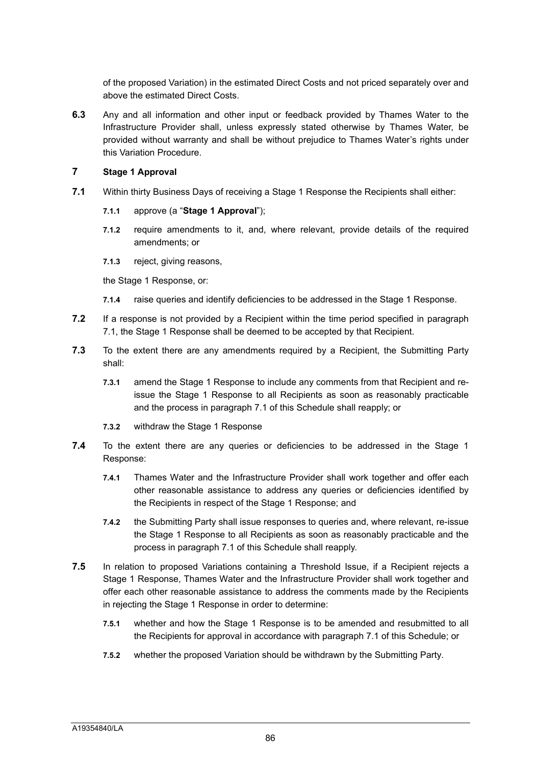of the proposed Variation) in the estimated Direct Costs and not priced separately over and above the estimated Direct Costs.

**6.3** Any and all information and other input or feedback provided by Thames Water to the Infrastructure Provider shall, unless expressly stated otherwise by Thames Water, be provided without warranty and shall be without prejudice to Thames Water's rights under this Variation Procedure.

#### **7 Stage 1 Approval**

- **7.1** Within thirty Business Days of receiving a Stage 1 Response the Recipients shall either:
	- **7.1.1** approve (a "**Stage 1 Approval**");
	- **7.1.2** require amendments to it, and, where relevant, provide details of the required amendments; or
	- **7.1.3** reject, giving reasons,

the Stage 1 Response, or:

- **7.1.4** raise queries and identify deficiencies to be addressed in the Stage 1 Response.
- **7.2** If a response is not provided by a Recipient within the time period specified in paragraph 7.1, the Stage 1 Response shall be deemed to be accepted by that Recipient.
- **7.3** To the extent there are any amendments required by a Recipient, the Submitting Party shall:
	- **7.3.1** amend the Stage 1 Response to include any comments from that Recipient and reissue the Stage 1 Response to all Recipients as soon as reasonably practicable and the process in paragraph 7.1 of this Schedule shall reapply; or
	- **7.3.2** withdraw the Stage 1 Response
- **7.4** To the extent there are any queries or deficiencies to be addressed in the Stage 1 Response:
	- **7.4.1** Thames Water and the Infrastructure Provider shall work together and offer each other reasonable assistance to address any queries or deficiencies identified by the Recipients in respect of the Stage 1 Response; and
	- **7.4.2** the Submitting Party shall issue responses to queries and, where relevant, re-issue the Stage 1 Response to all Recipients as soon as reasonably practicable and the process in paragraph 7.1 of this Schedule shall reapply.
- **7.5** In relation to proposed Variations containing a Threshold Issue, if a Recipient rejects a Stage 1 Response, Thames Water and the Infrastructure Provider shall work together and offer each other reasonable assistance to address the comments made by the Recipients in rejecting the Stage 1 Response in order to determine:
	- **7.5.1** whether and how the Stage 1 Response is to be amended and resubmitted to all the Recipients for approval in accordance with paragraph 7.1 of this Schedule; or
	- **7.5.2** whether the proposed Variation should be withdrawn by the Submitting Party.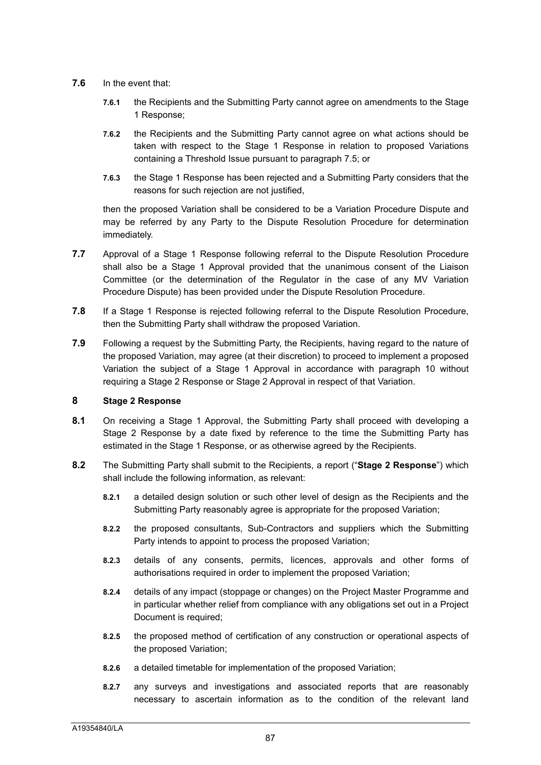- **7.6** In the event that:
	- **7.6.1** the Recipients and the Submitting Party cannot agree on amendments to the Stage 1 Response;
	- **7.6.2** the Recipients and the Submitting Party cannot agree on what actions should be taken with respect to the Stage 1 Response in relation to proposed Variations containing a Threshold Issue pursuant to paragraph 7.5; or
	- **7.6.3** the Stage 1 Response has been rejected and a Submitting Party considers that the reasons for such rejection are not justified,

then the proposed Variation shall be considered to be a Variation Procedure Dispute and may be referred by any Party to the Dispute Resolution Procedure for determination immediately.

- **7.7** Approval of a Stage 1 Response following referral to the Dispute Resolution Procedure shall also be a Stage 1 Approval provided that the unanimous consent of the Liaison Committee (or the determination of the Regulator in the case of any MV Variation Procedure Dispute) has been provided under the Dispute Resolution Procedure.
- **7.8** If a Stage 1 Response is rejected following referral to the Dispute Resolution Procedure, then the Submitting Party shall withdraw the proposed Variation.
- **7.9** Following a request by the Submitting Party, the Recipients, having regard to the nature of the proposed Variation, may agree (at their discretion) to proceed to implement a proposed Variation the subject of a Stage 1 Approval in accordance with paragraph 10 without requiring a Stage 2 Response or Stage 2 Approval in respect of that Variation.

#### **8 Stage 2 Response**

- **8.1** On receiving a Stage 1 Approval, the Submitting Party shall proceed with developing a Stage 2 Response by a date fixed by reference to the time the Submitting Party has estimated in the Stage 1 Response, or as otherwise agreed by the Recipients.
- **8.2** The Submitting Party shall submit to the Recipients, a report ("**Stage 2 Response**") which shall include the following information, as relevant:
	- **8.2.1** a detailed design solution or such other level of design as the Recipients and the Submitting Party reasonably agree is appropriate for the proposed Variation;
	- **8.2.2** the proposed consultants, Sub-Contractors and suppliers which the Submitting Party intends to appoint to process the proposed Variation;
	- **8.2.3** details of any consents, permits, licences, approvals and other forms of authorisations required in order to implement the proposed Variation;
	- **8.2.4** details of any impact (stoppage or changes) on the Project Master Programme and in particular whether relief from compliance with any obligations set out in a Project Document is required:
	- **8.2.5** the proposed method of certification of any construction or operational aspects of the proposed Variation;
	- **8.2.6** a detailed timetable for implementation of the proposed Variation;
	- **8.2.7** any surveys and investigations and associated reports that are reasonably necessary to ascertain information as to the condition of the relevant land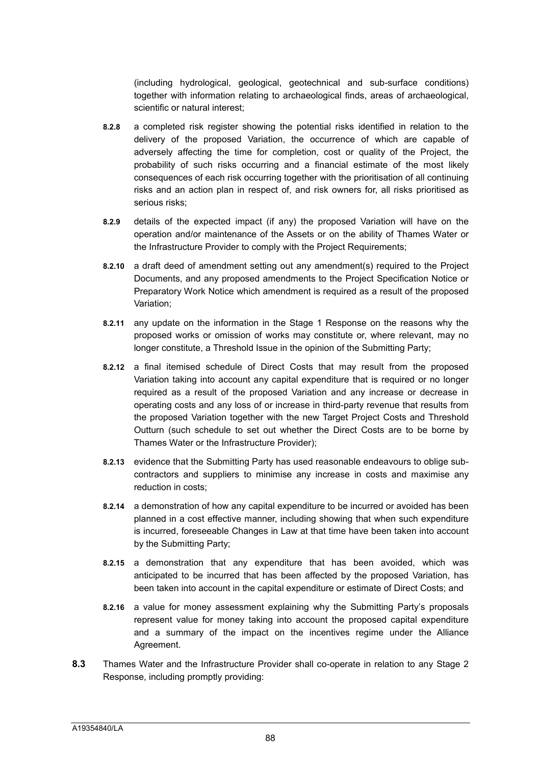(including hydrological, geological, geotechnical and sub-surface conditions) together with information relating to archaeological finds, areas of archaeological, scientific or natural interest;

- **8.2.8** a completed risk register showing the potential risks identified in relation to the delivery of the proposed Variation, the occurrence of which are capable of adversely affecting the time for completion, cost or quality of the Project, the probability of such risks occurring and a financial estimate of the most likely consequences of each risk occurring together with the prioritisation of all continuing risks and an action plan in respect of, and risk owners for, all risks prioritised as serious risks;
- **8.2.9** details of the expected impact (if any) the proposed Variation will have on the operation and/or maintenance of the Assets or on the ability of Thames Water or the Infrastructure Provider to comply with the Project Requirements;
- **8.2.10** a draft deed of amendment setting out any amendment(s) required to the Project Documents, and any proposed amendments to the Project Specification Notice or Preparatory Work Notice which amendment is required as a result of the proposed Variation;
- **8.2.11** any update on the information in the Stage 1 Response on the reasons why the proposed works or omission of works may constitute or, where relevant, may no longer constitute, a Threshold Issue in the opinion of the Submitting Party;
- **8.2.12** a final itemised schedule of Direct Costs that may result from the proposed Variation taking into account any capital expenditure that is required or no longer required as a result of the proposed Variation and any increase or decrease in operating costs and any loss of or increase in third-party revenue that results from the proposed Variation together with the new Target Project Costs and Threshold Outturn (such schedule to set out whether the Direct Costs are to be borne by Thames Water or the Infrastructure Provider);
- **8.2.13** evidence that the Submitting Party has used reasonable endeavours to oblige subcontractors and suppliers to minimise any increase in costs and maximise any reduction in costs;
- **8.2.14** a demonstration of how any capital expenditure to be incurred or avoided has been planned in a cost effective manner, including showing that when such expenditure is incurred, foreseeable Changes in Law at that time have been taken into account by the Submitting Party;
- **8.2.15** a demonstration that any expenditure that has been avoided, which was anticipated to be incurred that has been affected by the proposed Variation, has been taken into account in the capital expenditure or estimate of Direct Costs; and
- **8.2.16** a value for money assessment explaining why the Submitting Party's proposals represent value for money taking into account the proposed capital expenditure and a summary of the impact on the incentives regime under the Alliance Agreement.
- **8.3** Thames Water and the Infrastructure Provider shall co-operate in relation to any Stage 2 Response, including promptly providing: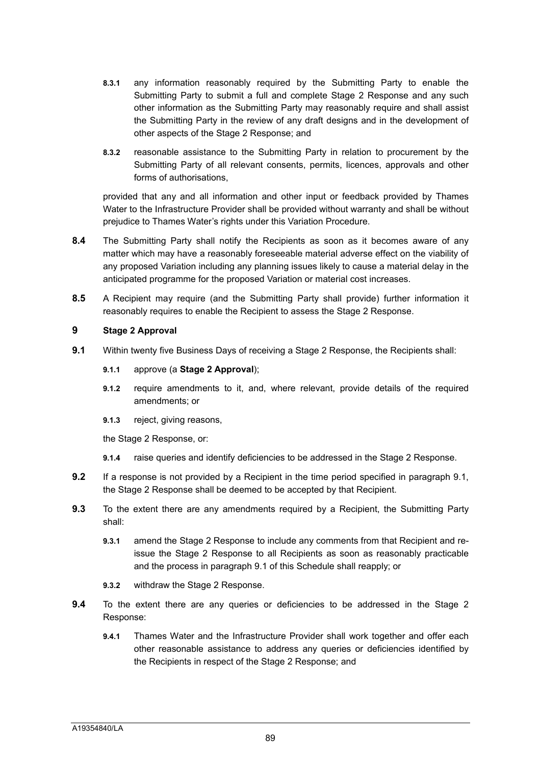- **8.3.1** any information reasonably required by the Submitting Party to enable the Submitting Party to submit a full and complete Stage 2 Response and any such other information as the Submitting Party may reasonably require and shall assist the Submitting Party in the review of any draft designs and in the development of other aspects of the Stage 2 Response; and
- **8.3.2** reasonable assistance to the Submitting Party in relation to procurement by the Submitting Party of all relevant consents, permits, licences, approvals and other forms of authorisations,

provided that any and all information and other input or feedback provided by Thames Water to the Infrastructure Provider shall be provided without warranty and shall be without prejudice to Thames Water's rights under this Variation Procedure.

- **8.4** The Submitting Party shall notify the Recipients as soon as it becomes aware of any matter which may have a reasonably foreseeable material adverse effect on the viability of any proposed Variation including any planning issues likely to cause a material delay in the anticipated programme for the proposed Variation or material cost increases.
- **8.5** A Recipient may require (and the Submitting Party shall provide) further information it reasonably requires to enable the Recipient to assess the Stage 2 Response.

#### **9 Stage 2 Approval**

- **9.1** Within twenty five Business Days of receiving a Stage 2 Response, the Recipients shall:
	- **9.1.1** approve (a **Stage 2 Approval**);
	- **9.1.2** require amendments to it, and, where relevant, provide details of the required amendments; or
	- **9.1.3** reject, giving reasons,

the Stage 2 Response, or:

- **9.1.4** raise queries and identify deficiencies to be addressed in the Stage 2 Response.
- **9.2** If a response is not provided by a Recipient in the time period specified in paragraph 9.1, the Stage 2 Response shall be deemed to be accepted by that Recipient.
- **9.3** To the extent there are any amendments required by a Recipient, the Submitting Party shall:
	- **9.3.1** amend the Stage 2 Response to include any comments from that Recipient and reissue the Stage 2 Response to all Recipients as soon as reasonably practicable and the process in paragraph 9.1 of this Schedule shall reapply; or
	- **9.3.2** withdraw the Stage 2 Response.
- **9.4** To the extent there are any queries or deficiencies to be addressed in the Stage 2 Response:
	- **9.4.1** Thames Water and the Infrastructure Provider shall work together and offer each other reasonable assistance to address any queries or deficiencies identified by the Recipients in respect of the Stage 2 Response; and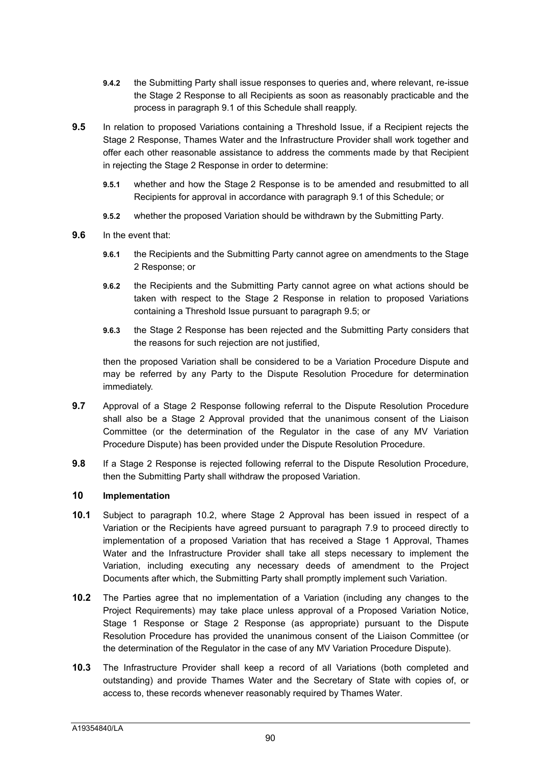- **9.4.2** the Submitting Party shall issue responses to queries and, where relevant, re-issue the Stage 2 Response to all Recipients as soon as reasonably practicable and the process in paragraph 9.1 of this Schedule shall reapply.
- **9.5** In relation to proposed Variations containing a Threshold Issue, if a Recipient rejects the Stage 2 Response, Thames Water and the Infrastructure Provider shall work together and offer each other reasonable assistance to address the comments made by that Recipient in rejecting the Stage 2 Response in order to determine:
	- **9.5.1** whether and how the Stage 2 Response is to be amended and resubmitted to all Recipients for approval in accordance with paragraph 9.1 of this Schedule; or
	- **9.5.2** whether the proposed Variation should be withdrawn by the Submitting Party.
- **9.6** In the event that:
	- **9.6.1** the Recipients and the Submitting Party cannot agree on amendments to the Stage 2 Response; or
	- **9.6.2** the Recipients and the Submitting Party cannot agree on what actions should be taken with respect to the Stage 2 Response in relation to proposed Variations containing a Threshold Issue pursuant to paragraph 9.5; or
	- **9.6.3** the Stage 2 Response has been rejected and the Submitting Party considers that the reasons for such rejection are not justified,

then the proposed Variation shall be considered to be a Variation Procedure Dispute and may be referred by any Party to the Dispute Resolution Procedure for determination immediately.

- **9.7** Approval of a Stage 2 Response following referral to the Dispute Resolution Procedure shall also be a Stage 2 Approval provided that the unanimous consent of the Liaison Committee (or the determination of the Regulator in the case of any MV Variation Procedure Dispute) has been provided under the Dispute Resolution Procedure.
- **9.8** If a Stage 2 Response is rejected following referral to the Dispute Resolution Procedure, then the Submitting Party shall withdraw the proposed Variation.

#### **10 Implementation**

- **10.1** Subject to paragraph 10.2, where Stage 2 Approval has been issued in respect of a Variation or the Recipients have agreed pursuant to paragraph 7.9 to proceed directly to implementation of a proposed Variation that has received a Stage 1 Approval, Thames Water and the Infrastructure Provider shall take all steps necessary to implement the Variation, including executing any necessary deeds of amendment to the Project Documents after which, the Submitting Party shall promptly implement such Variation.
- **10.2** The Parties agree that no implementation of a Variation (including any changes to the Project Requirements) may take place unless approval of a Proposed Variation Notice, Stage 1 Response or Stage 2 Response (as appropriate) pursuant to the Dispute Resolution Procedure has provided the unanimous consent of the Liaison Committee (or the determination of the Regulator in the case of any MV Variation Procedure Dispute).
- **10.3** The Infrastructure Provider shall keep a record of all Variations (both completed and outstanding) and provide Thames Water and the Secretary of State with copies of, or access to, these records whenever reasonably required by Thames Water.